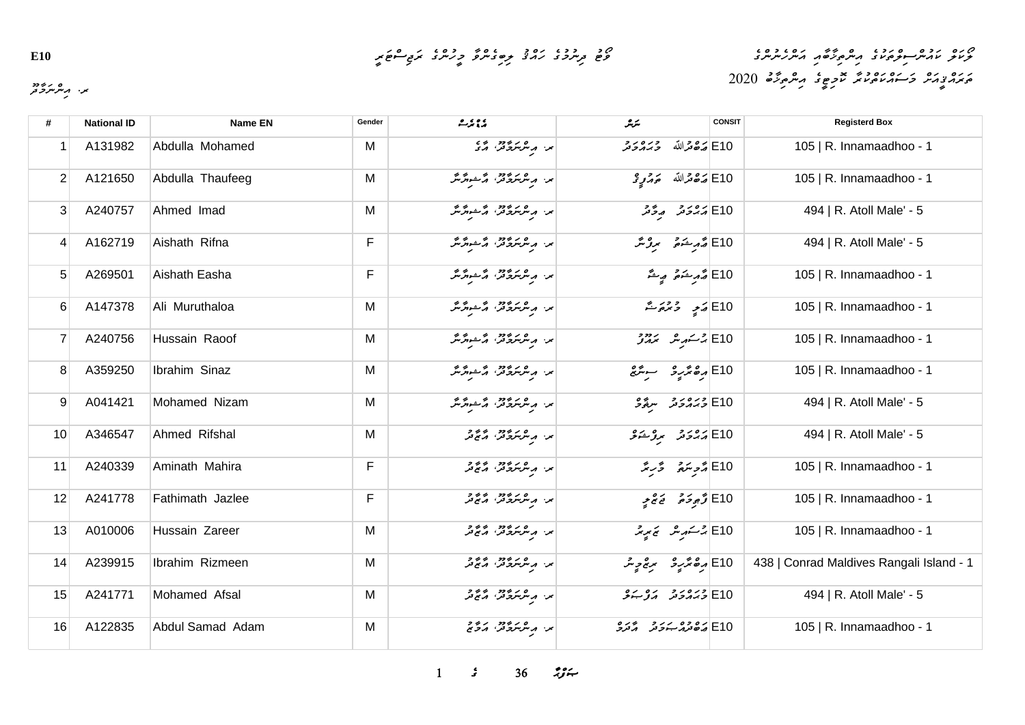*sCw7q7s5w7m< o<n9nOoAw7o< sCq;mAwBoEw7q<m; wBm;vB* م من المرة المرة المرة المرجع المرجع في المركبة 2020<br>مجم*د المريض المربوط المربع المرجع في المراجع المركبة* 

| <b>33 G S</b><br>بر. برسرسر و در |  |
|----------------------------------|--|
|----------------------------------|--|

| #              | <b>National ID</b> | <b>Name EN</b>   | Gender      | 2ء تر م                           | سرپر                                    | <b>CONSIT</b> | <b>Registerd Box</b>                     |
|----------------|--------------------|------------------|-------------|-----------------------------------|-----------------------------------------|---------------|------------------------------------------|
|                | A131982            | Abdulla Mohamed  | M           | بر به مرسور د د د                 | E10 مَرْهُ مِرْاللّه وَبَرْمُرْدَمْر    |               | 105   R. Innamaadhoo - 1                 |
| $\overline{2}$ | A121650            | Abdulla Thaufeeg | M           | ىر. مەس ھەر ئەس كەنسى بىر         | E10 كەھەراللە <i>مەم<sup>ورى</sup>ج</i> |               | 105   R. Innamaadhoo - 1                 |
| 3              | A240757            | Ahmed Imad       | M           | ىر. مەس ھەر ئەس كەنسى بىر         | E10 كەندى ھەرىپى                        |               | 494   R. Atoll Male' - 5                 |
| $\overline{4}$ | A162719            | Aishath Rifna    | F           | ىر. مەسىرى قەر ئەسىر ئىگە         | E10 مۇرىسىمۇ مېرىگە                     |               | 494   R. Atoll Male' - 5                 |
| 5              | A269501            | Aishath Easha    | $\mathsf F$ | ىر. مەس ھەر ئەس كەنسى بىر         | E10 مُرمِشَمُ مِثْ                      |               | 105   R. Innamaadhoo - 1                 |
| 6              | A147378            | Ali Muruthaloa   | M           | ىمە بەس بەرەدە بۇ شەركىتى         | E10 كەير - ئەتمەرىشە                    |               | 105   R. Innamaadhoo - 1                 |
| 7              | A240756            | Hussain Raoof    | M           | ىر. مەسىرى قەر ئەسىر ئىگە         | E10 برڪيريش پر <i>وج</i> و              |               | 105   R. Innamaadhoo - 1                 |
| 8              | A359250            | Ibrahim Sinaz    | M           | ىر. مەسىرى قەر ئەسىر ئىگە         | E10   رەئزىر جۇ سوشى                    |               | 105   R. Innamaadhoo - 1                 |
| 9              | A041421            | Mohamed Nizam    | M           | ىر. مەس ھەر ئەس كەنسى بىر         | E10 دېم ديگر موگور شر                   |               | 494   R. Atoll Male' - 5                 |
| 10             | A346547            | Ahmed Rifshal    | M           | ז היי הליבלי הזי                  | E10   كەش <sup>ى</sup> كەرگە سىرگە شەمى |               | 494   R. Atoll Male' - 5                 |
| 11             | A240339            | Aminath Mahira   | $\mathsf F$ | بر به مرسر در در در در در برای بر | E10 مَّ جِسَعَة _ حَ سِعَّد             |               | 105   R. Innamaadhoo - 1                 |
| 12             | A241778            | Fathimath Jazlee | F           | بر . مر شرکتری از برای تر         | E10 گوچر تھ تھ                          |               | 105   R. Innamaadhoo - 1                 |
| 13             | A010006            | Hussain Zareer   | M           | بر به مرکز در ۱۶۶۶                | E10 پر ستمبر بھی تھا ہے۔<br>ا           |               | 105   R. Innamaadhoo - 1                 |
| 14             | A239915            | Ibrahim Rizmeen  | M           | بر به مرکزده در در د              | E10 <sub>ا</sub> رەتمەر ئەسىم ئەرىمى    |               | 438   Conrad Maldives Rangali Island - 1 |
| 15             | A241771            | Mohamed Afsal    | M           | بر پر مر دور در د                 | E10 دېم دي پروب دي.                     |               | 494   R. Atoll Male' - 5                 |
| 16             | A122835            | Abdul Samad Adam | M           | بر ب <i>ه مرشوقر بروج</i>         | E10 كەھەر مەرىخ ئەرە                    |               | 105   R. Innamaadhoo - 1                 |

*1 s* 36 *i*<sub>Si</sub>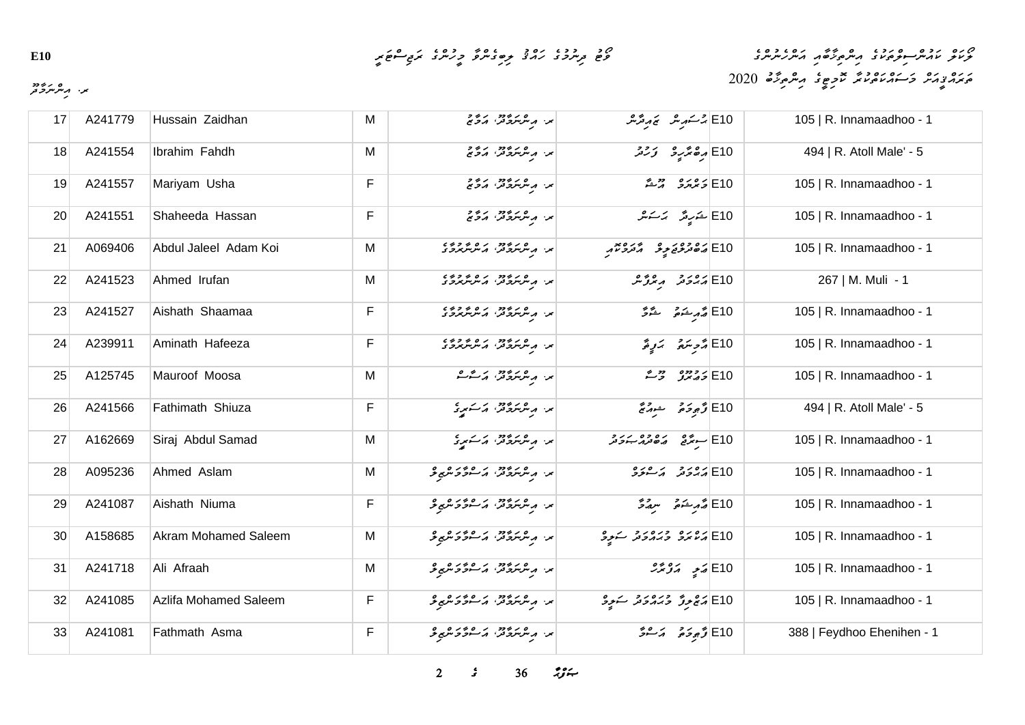*sCw7q7s5w7m< o<n9nOoAw7o< sCq;mAwBoEw7q<m; wBm;vB* م من المرة المرة المرة المرجع المرجع في المركبة 2020<br>مجم*د المريض المربوط المربع المرجع في المراجع المركبة* 

| <b>33 G S</b><br>بر. برسرسر و تر |  |
|----------------------------------|--|
|----------------------------------|--|

| 17 | A241779 | Hussain Zaidhan             | M           | بر ریگر کردی کردی                                                                                             | E10 پڑے پر بھ کا پروگر بھر              | 105   R. Innamaadhoo - 1   |
|----|---------|-----------------------------|-------------|---------------------------------------------------------------------------------------------------------------|-----------------------------------------|----------------------------|
| 18 | A241554 | Ibrahim Fahdh               | M           | بر پر مر بروج دیگر دیگر                                                                                       | E10 م <i>وڭ ئۇرۇسى قەرق</i> ر           | 494   R. Atoll Male' - 5   |
| 19 | A241557 | Mariyam Usha                | $\mathsf F$ | بر به شرکتری بروج<br>بر به شرکتری بروی                                                                        | E10 كَرْبَرْدْ بِرْتْدُ                 | 105   R. Innamaadhoo - 1   |
| 20 | A241551 | Shaheeda Hassan             | $\mathsf F$ | بر ریگر کردی کردی                                                                                             | E10] ڪريگ - پرڪنگر-                     | 105   R. Innamaadhoo - 1   |
| 21 | A069406 | Abdul Jaleel Adam Koi       | M           | بر به مربود بره بوده و                                                                                        | E10 كەھىرى <i>مۇرەتتەر</i>              | 105   R. Innamaadhoo - 1   |
| 22 | A241523 | Ahmed Irufan                | M           | بر به مربود بره بوده و                                                                                        | E10 كەردى ھەر بەرگەش                    | 267   M. Muli - 1          |
| 23 | A241527 | Aishath Shaamaa             | $\mathsf F$ | بر به مربود به ۱۵۶۵<br>بر به مربود به مربوبردی                                                                | E10 مُجْمِسْمَةً شَدَّدَّ               | 105   R. Innamaadhoo - 1   |
| 24 | A239911 | Aminath Hafeeza             | $\mathsf F$ | بر . مرس ده دو . بره به دو .<br>بر . مرس دو تر . مرس برو .                                                    | E10 مَرْحِ سَمَعَ      مَرْمٍ مَّ       | 105   R. Innamaadhoo - 1   |
| 25 | A125745 | Mauroof Moosa               | M           | ىر بەشكەن كەشى                                                                                                | $23$ $322$ $5$ $-10$                    | 105   R. Innamaadhoo - 1   |
| 26 | A241566 | Fathimath Shiuza            | F           | بر رسر مردود برگر ه                                                                                           | E10 گوچوڪو ھوچي                         | 494   R. Atoll Male' - 5   |
| 27 | A162669 | Siraj Abdul Samad           | M           | بر رسر مردود رسمبری                                                                                           | E10 سېټرنى كەھەركە ئەرەبىرى             | 105   R. Innamaadhoo - 1   |
| 28 | A095236 | Ahmed Aslam                 | M           | ىر. مەشكەن مەسكەر ھەر                                                                                         | E10 كەبرى كەرە يەر بىر                  | 105   R. Innamaadhoo - 1   |
| 29 | A241087 | Aishath Niuma               | F           | بر رقم بر و در و در و در و در اندازه بر از اندازه بر اندازه بر اندازه بر اندازه بر اندازه بر اندازه بر اندازه | E10 مَّ مِشَعْرِ سِمْدَةَ               | 105   R. Innamaadhoo - 1   |
| 30 | A158685 | <b>Akram Mohamed Saleem</b> | M           | ر موسود در ۱۳۶۵ ورم و                                                                                         | E10 كەندە مەدەرە س <i>ې</i> رى          | 105   R. Innamaadhoo - 1   |
| 31 | A241718 | Ali Afraah                  | M           | بر رعيترون رعور عروبر                                                                                         | E10 كەير كەرگەر                         | 105   R. Innamaadhoo - 1   |
| 32 | A241085 | Azlifa Mohamed Saleem       | $\mathsf F$ | ر مشرکتر مسرکرمه                                                                                              | E10 كەنج بورى ئەرەكە ئەر ئىكى سىكەن ئىل | 105   R. Innamaadhoo - 1   |
| 33 | A241081 | Fathmath Asma               | F           | بر ریگریزی ریگروری                                                                                            | E10 تۇم <sub>ب</sub> وقى مەشىۋ          | 388   Feydhoo Ehenihen - 1 |

 $2$  *s* 36  $23$   $\div$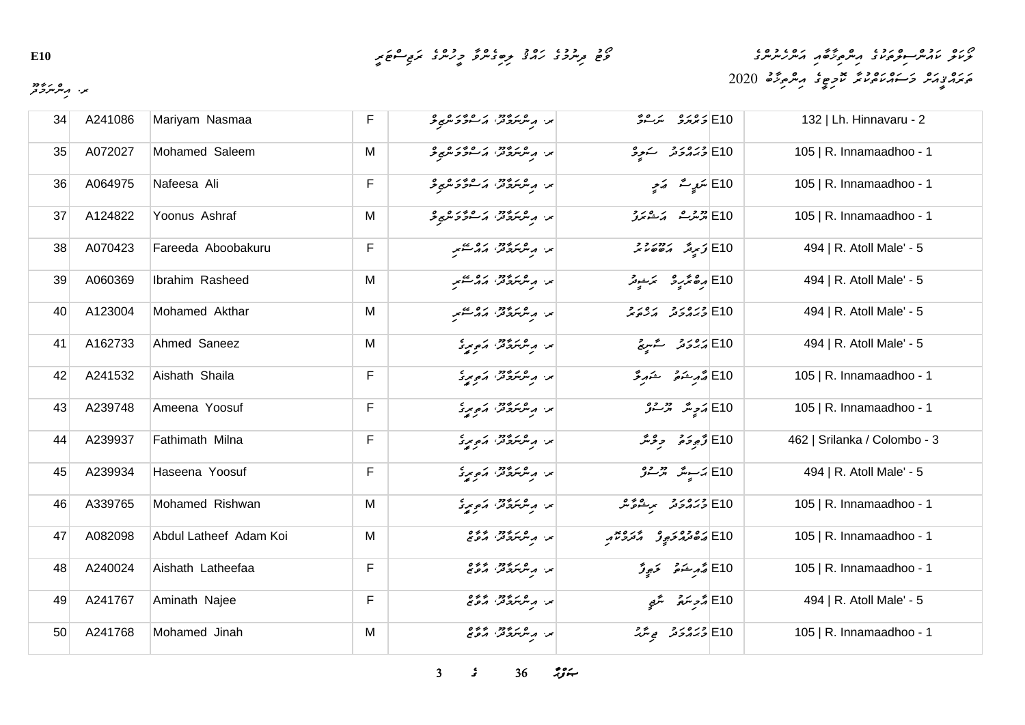*sCw7q7s5w7m< o<n9nOoAw7o< sCq;mAwBoEw7q<m; wBm;vB* م من المرة المرة المرة المرجع المرجع في المركبة 2020<br>مجم*د المريض المربوط المربع المرجع في المراجع المركبة* 

| <b>33 G S</b><br>ىر. برسرسر جر |  |  |
|--------------------------------|--|--|
|--------------------------------|--|--|

| 34 | A241086 | Mariyam Nasmaa         | F            | بر ریگر دو ره در کرد                                         | E10 كەنگەنى بىر ئىرىشۇ               | 132   Lh. Hinnavaru - 2      |
|----|---------|------------------------|--------------|--------------------------------------------------------------|--------------------------------------|------------------------------|
| 35 | A072027 | Mohamed Saleem         | M            | بر رکوبروژه رکارویو                                          | E10 \$ پروژنز سکود                   | 105   R. Innamaadhoo - 1     |
| 36 | A064975 | Nafeesa Ali            | $\mathsf{F}$ | بر ، مرس ده در ۱۶۵۰ و برا                                    | E10 سَمِير - مَدِ                    | 105   R. Innamaadhoo - 1     |
| 37 | A124822 | Yoonus Ashraf          | M            | ر موسر دور د ۱۶۵۰ مربع و                                     | E10 برتر مر بر برتد تر               | 105   R. Innamaadhoo - 1     |
| 38 | A070423 | Fareeda Aboobakuru     | F            | بر و سرسرو ده ده سوم                                         | E10 كۈيىرىگە ئە <i>ھەملى</i> گە      | 494   R. Atoll Male' - 5     |
| 39 | A060369 | Ibrahim Rasheed        | M            | بر و سرسرو ده ده سوم                                         | E10 م <i>وڭ ئۇر</i> تەرىپوتر         | 494   R. Atoll Male' - 5     |
| 40 | A123004 | Mohamed Akthar         | M            | بر ومرسود ده ده در                                           | E10 دېره دين په دې پر                | 494   R. Atoll Male' - 5     |
| 41 | A162733 | Ahmed Saneez           | M            | بر ، مر سر سر در در استان برا در استان                       | E10 كەبرى قىرىقى سىگە بىرى ئى        | 494   R. Atoll Male' - 5     |
| 42 | A241532 | Aishath Shaila         | F            | بر ، مرسر پروژه ، کرم برد                                    | E10 مَگْرِسْتَمْ شَهْرِتَرْ          | 105   R. Innamaadhoo - 1     |
| 43 | A239748 | Ameena Yoosuf          | $\mathsf{F}$ | بر ، مر سر سر در در استان برا در استان                       | E10 كەربىگە ئ <i>ۇشۇ</i>             | 105   R. Innamaadhoo - 1     |
| 44 | A239937 | Fathimath Milna        | $\mathsf{F}$ | بر ، مر سر سر دی بر در دید و                                 | E10 گۇجۇڭمۇ جۇنگە                    | 462   Srilanka / Colombo - 3 |
| 45 | A239934 | Haseena Yoosuf         | F            | بر ، مر سر سر در در در در در د                               | E10 كەسپەنتىر تەرىپىتونى<br>E10      | 494   R. Atoll Male' - 5     |
| 46 | A339765 | Mohamed Rishwan        | M            | بر ، مر سر سر در در استان برا در استان                       | E10 <i>22825 برخومگ</i> ر            | 105   R. Innamaadhoo - 1     |
| 47 | A082098 | Abdul Latheef Adam Koi | M            | بر . پر شریر تهراه در در باشد.<br>بر . پر شریر تهراه از برای | E10 كەھەممى مۇرەبىر ھەردىتى          | 105   R. Innamaadhoo - 1     |
| 48 | A240024 | Aishath Latheefaa      | F            | بر به شرور و دوه<br>بر به شریر فران بروی                     | E10 مۇمەشقى كىي <sub>چ</sub> ۇ       | 105   R. Innamaadhoo - 1     |
| 49 | A241767 | Aminath Najee          | F            | بر به شرور و دوه<br>بر به شریر فران بروی                     | E10 مَّ صِنَّعَهُ مِنَّتَّبِهِ       | 494   R. Atoll Male' - 5     |
| 50 | A241768 | Mohamed Jinah          | M            | بر به مرود و وه<br>بر به مرس در مروم                         | E10 <i>\$ بَرْدْ \$ مِنْ مِنْ</i> \$ | 105   R. Innamaadhoo - 1     |

**3 36** *<i>n***<sub>3</sub>** *i***<sub>3</sub>** *i***<sub>3</sub>** *i*<sub>3</sub>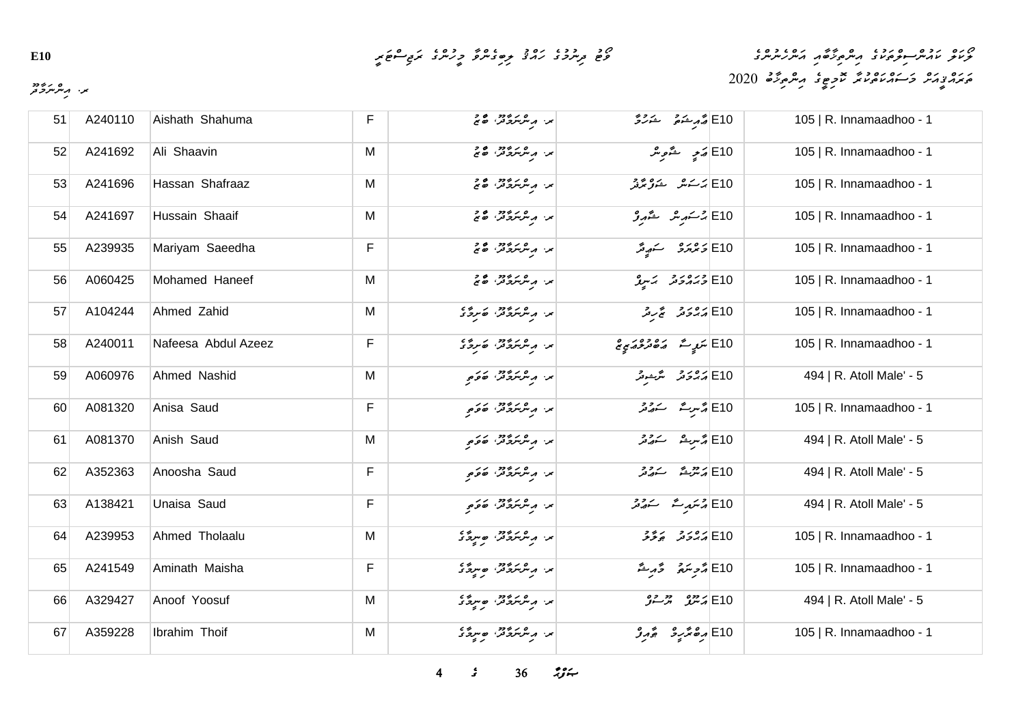*sCw7q7s5w7m< o<n9nOoAw7o< sCq;mAwBoEw7q<m; wBm;vB* م من المرة المرة المرة المرجع المرجع في المركبة 2020<br>مجم*د المريض المربوط المربع المرجع في المراجع المركبة* 

| <b>33 G S</b><br>ىر. برسرسر تەر |  |
|---------------------------------|--|
|---------------------------------|--|

| 51 | A240110 | Aishath Shahuma     | $\mathsf F$ | بر بر شریروز ده و                  | E10 مَجْمِيشَمْ شَرْرَةً                                                                            | 105   R. Innamaadhoo - 1 |
|----|---------|---------------------|-------------|------------------------------------|-----------------------------------------------------------------------------------------------------|--------------------------|
| 52 | A241692 | Ali Shaavin         | M           | بر بر شریروز ه د                   | E10 کی په مش <i>مو</i> شر                                                                           | 105   R. Innamaadhoo - 1 |
| 53 | A241696 | Hassan Shafraaz     | M           | بر بر شریرو ده و                   | E10 كەستەش خۇرگەنگە                                                                                 | 105   R. Innamaadhoo - 1 |
| 54 | A241697 | Hussain Shaaif      | M           | بر مرسر دور ه د                    | E10 يُرْسَمَ مِيْشَ مِيْتَمَ مِيْشَمْ بِيَنْ مِيْشَمْ بِيَنْ مِيْشَمْ بِيَنْ بِيَنْ بِيَا بِيَا بِي | 105   R. Innamaadhoo - 1 |
| 55 | A239935 | Mariyam Saeedha     | $\mathsf F$ | بر بر شریروز ه د                   | E10 كەنترىر ئەر ئىكە بەش                                                                            | 105   R. Innamaadhoo - 1 |
| 56 | A060425 | Mohamed Haneef      | M           | بر بر سرسرو در در د                | E10  <i>323\$ يَسِي</i> رُ                                                                          | 105   R. Innamaadhoo - 1 |
| 57 | A104244 | Ahmed Zahid         | M           | أين أر سر سر قريب الصر و محمد      | E10 كەندى قىلى قىلىدى قىلىپ ئىس                                                                     | 105   R. Innamaadhoo - 1 |
| 58 | A240011 | Nafeesa Abdul Azeez | F           |                                    | E10 سَمِرٍ — مَصْرَحْمَةٍ مِيحَ                                                                     | 105   R. Innamaadhoo - 1 |
| 59 | A060976 | Ahmed Nashid        | M           | بر ویریزدو در                      | E10 كەش <sup>ى</sup> كەر سەر سىر ئىسى ئىش                                                           | 494   R. Atoll Male' - 5 |
| 60 | A081320 | Anisa Saud          | F           | بر مشر دور در د                    | E10 گەمبرىشە سەھەتىر                                                                                | 105   R. Innamaadhoo - 1 |
| 61 | A081370 | Anish Saud          | M           | بر و شریح تر کرد                   | E10 گەسرىشە كەركەتر                                                                                 | 494   R. Atoll Male' - 5 |
| 62 | A352363 | Anoosha Saud        | F           | بر ، مر سر سر در استخدام کرد.      | E10 كەنترىش سەھەتىر                                                                                 | 494   R. Atoll Male' - 5 |
| 63 | A138421 | Unaisa Saud         | F           | بر ، مر شرور ، صوبح                | E10 مەتتى <i>ر شەھەتى</i>                                                                           | 494   R. Atoll Male' - 5 |
| 64 | A239953 | Ahmed Tholaalu      | M           | بر بەشكەن ھېردى<br>بر بەشكەن ھېردى | E10 كەندى تەرىخ                                                                                     | 105   R. Innamaadhoo - 1 |
| 65 | A241549 | Aminath Maisha      | F           | بر بەشكەن ھېردى<br>بر بەشكەن ھېردى | E10 أَمَّ حِسَمَةٌ مَتَّ مِسَّمَّ                                                                   | 105   R. Innamaadhoo - 1 |
| 66 | A329427 | Anoof Yoosuf        | M           |                                    | $3 - 3$ $3 - 5$ $\approx$ 510                                                                       | 494   R. Atoll Male' - 5 |
| 67 | A359228 | Ibrahim Thoif       | M           | بر بەشكەن ھېر <i>دى</i>            | E10 مەھمەر پەر قەرۇ                                                                                 | 105   R. Innamaadhoo - 1 |

*4 s* 36 *i*<sub>Si</sub>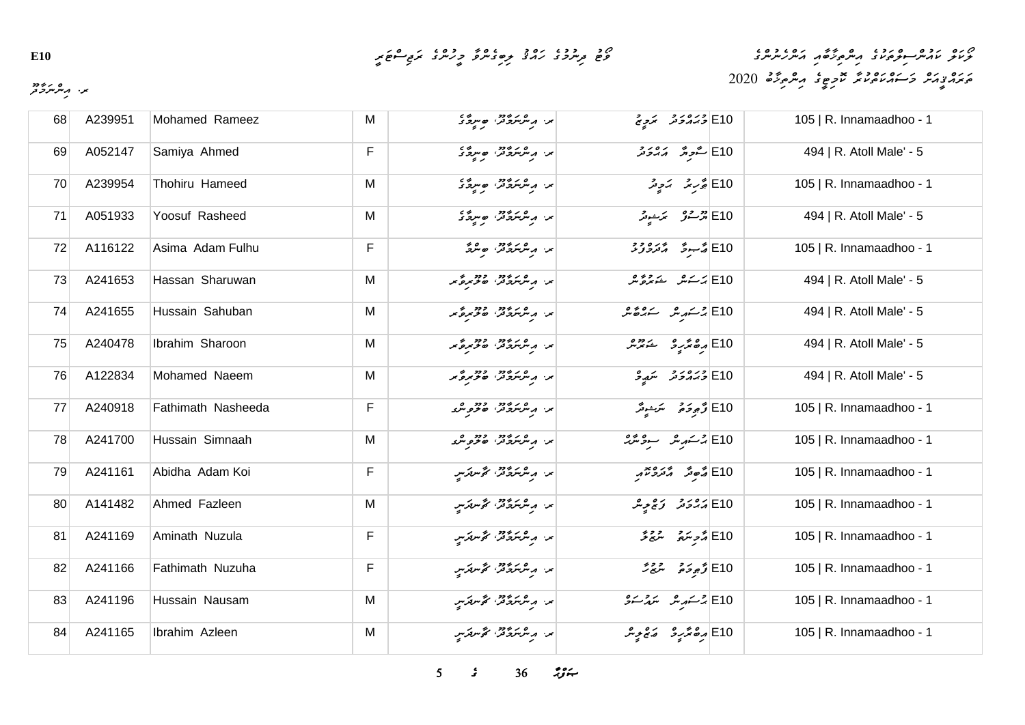*sCw7q7s5w7m< o<n9nOoAw7o< sCq;mAwBoEw7q<m; wBm;vB* م من المرة المرة المرة المرجع المرجع في المركبة 2020<br>مجم*د المريض المربوط المربع المرجع في المراجع المركبة* 

| <b>33 G S</b><br>ىر. برسرسرتر تر |  |
|----------------------------------|--|
|----------------------------------|--|

| 68 | A239951 | Mohamed Rameez     | M            | بر به مرکزده مورد و                                                                                          | E10 كەندە كەندىقى بەر ئىكتىرىتى بىر              | 105   R. Innamaadhoo - 1 |
|----|---------|--------------------|--------------|--------------------------------------------------------------------------------------------------------------|--------------------------------------------------|--------------------------|
| 69 | A052147 | Samiya Ahmed       | F            | بر ، مر شرور الله الله من در در در در استراله در استراله در استراله در استراله در استراله دار دارد.<br>مراجع | E10 گەجەمدە كەبدى قىلە                           | 494   R. Atoll Male' - 5 |
| 70 | A239954 | Thohiru Hameed     | M            | أبرا والكريموس والرومي                                                                                       | E10 ۾ پيم - برج هر                               | 105   R. Innamaadhoo - 1 |
| 71 | A051933 | Yoosuf Rasheed     | M            | ىر. مەسكىگەن ھېرگەنى                                                                                         | E10 تېرىشق ئىم ئىشىدىگە                          | 494   R. Atoll Male' - 5 |
| 72 | A116122 | Asima Adam Fulhu   | F            | بر بر سر سر در صر د                                                                                          | E10 \$سبرة قرقرونونو                             | 105   R. Innamaadhoo - 1 |
| 73 | A241653 | Hassan Sharuwan    | M            | بر رسر دور وود ديگر<br>بر رسر سرد در                                                                         | E10 يَرْسَىشْ سَيَعْرَضْ مَثْرَ                  | 494   R. Atoll Male' - 5 |
| 74 | A241655 | Hussain Sahuban    | M            | بر رسر دور وود ديگر<br>بر رسر سرد در                                                                         | E10 ير شەر شەر ئىسىمبار بىر                      | 494   R. Atoll Male' - 5 |
| 75 | A240478 | Ibrahim Sharoon    | M            | بر به سرسروس موسر در د                                                                                       | E10 م <i>وڭ ئۇرۇ ھەممىتى</i> ر                   | 494   R. Atoll Male' - 5 |
| 76 | A122834 | Mohamed Naeem      | M            | بر رسر دور وود ديگر<br>بر رسر سرد در                                                                         | E10 <i>\$22,23 سَمدٍ \$</i>                      | 494   R. Atoll Male' - 5 |
| 77 | A240918 | Fathimath Nasheeda | F            | بر به شرورو ودر در<br>بر به شرید و موجو شر                                                                   | E10 تَ <i>وْجِ دَمَّةَ</i> سَرَسُوِمَّ <i>رٌ</i> | 105   R. Innamaadhoo - 1 |
| 78 | A241700 | Hussain Simnaah    | M            | بر ریرسرچر ورد ور                                                                                            | E10 پر شہر میں سوچیں ج                           | 105   R. Innamaadhoo - 1 |
| 79 | A241161 | Abidha Adam Koi    | $\mathsf F$  | ىر. ئ <i>ېر سرسر دى. ئۇس</i> رىكى س                                                                          | E10 مَّەمَّد مُتركِّسْمَ                         | 105   R. Innamaadhoo - 1 |
| 80 | A141482 | Ahmed Fazleen      | M            | ى: ئەس مەدەبىر.<br>ئارا ئەس مەس كەن كەن مەدىب                                                                | E10 كەردى تەرىجى بىر                             | 105   R. Innamaadhoo - 1 |
| 81 | A241169 | Aminath Nuzula     | $\mathsf{F}$ | ىر. ئ <i>ې سرسرى قل مۇسرىر</i> س                                                                             | E10 مُ مِ سَمْعٍ مُسْتِمَعٌ مِّ                  | 105   R. Innamaadhoo - 1 |
| 82 | A241166 | Fathimath Nuzuha   | F            | ىر. ئ <i>ېر سرسرى تى مۇ س</i> وتكىس                                                                          | E10 گۇج <sub>و</sub> چۇ مىتى مىتى بىر            | 105   R. Innamaadhoo - 1 |
| 83 | A241196 | Hussain Nausam     | M            | ىر. ئەس ئىركەدە كەس ئەس                                                                                      | E10 يُرْسَمَّ مِيَّةَ سَمَّةً سَنَّةً بِسَ       | 105   R. Innamaadhoo - 1 |
| 84 | A241165 | Ibrahim Azleen     | M            | ىر. ئ <i>ېر سرسرى تى مۇ س</i> وتكىس                                                                          | E10 <sub>م</sub> ەنگەر ئەنگەمچە ئەر              | 105   R. Innamaadhoo - 1 |

 $5$   $5$   $36$   $25$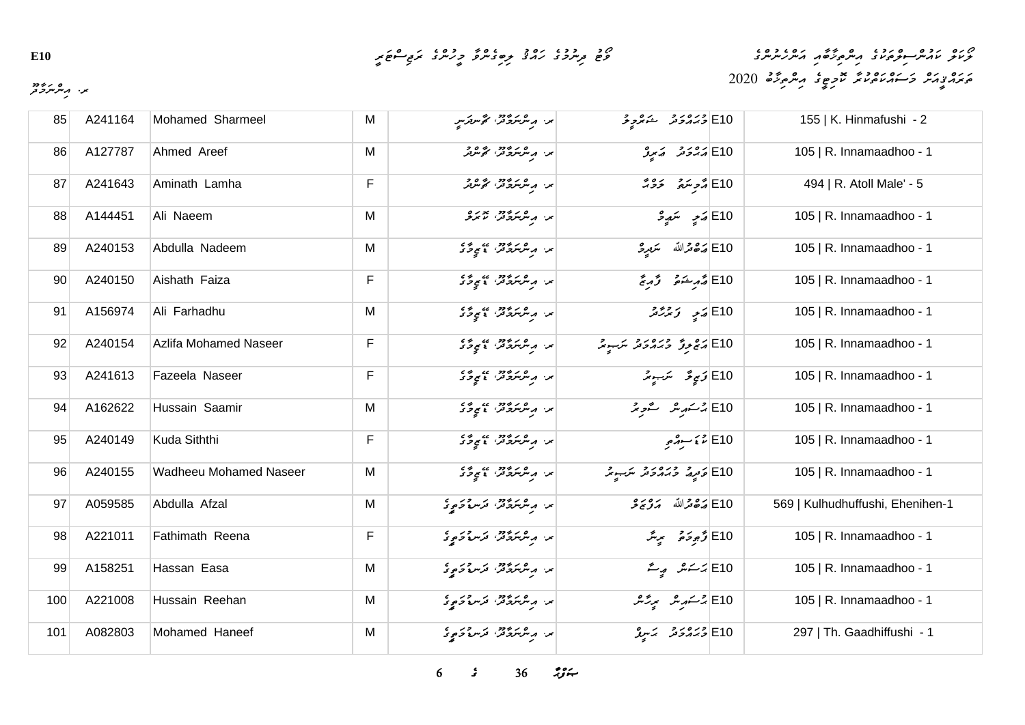*sCw7q7s5w7m< o<n9nOoAw7o< sCq;mAwBoEw7q<m; wBm;vB* م من المرة المرة المرة المرجع المرجع في المركبة 2020<br>مجم*د المريض المربوط المربع المرجع في المراجع المركبة* 

| <b>33 G S</b><br>ىر. برسرسرچەر |  |  |
|--------------------------------|--|--|
|--------------------------------|--|--|

| 85  | A241164 | Mohamed Sharmeel              | M           | أين أبر مكر مركز في المحمد من المريض المر | E10 <i>\$نەۋى قىمبۇنى</i> ق                   | 155   K. Hinmafushi - 2          |
|-----|---------|-------------------------------|-------------|-------------------------------------------|-----------------------------------------------|----------------------------------|
| 86  | A127787 | Ahmed Areef                   | M           | بر ریگر کرده در در                        | E10 كەندى كىم كەيدى                           | 105   R. Innamaadhoo - 1         |
| 87  | A241643 | Aminath Lamha                 | $\mathsf F$ | بر به مرسوده در در د                      | E10 أَمَّ مِسَمَّدٍ وَكَرْبَّهُ               | 494   R. Atoll Male' - 5         |
| 88  | A144451 | Ali Naeem                     | M           | بر ریگر کرده بر ده                        | E10 کم په شمېر سمه د                          | 105   R. Innamaadhoo - 1         |
| 89  | A240153 | Abdulla Nadeem                | M           | بر ره مرکزده به ده                        | E10 مَە قراللە سَرَمَبِر                      | 105   R. Innamaadhoo - 1         |
| 90  | A240150 | Aishath Faiza                 | $\mathsf F$ | بر په مرکزده په ده و                      | E10 مەم شىم ئى ئۇم تى                         | 105   R. Innamaadhoo - 1         |
| 91  | A156974 | Ali Farhadhu                  | M           | بر ریگر دور سی دی                         | E10] رَمٍ ک <i>ی تر</i> ُرُتْرُ               | 105   R. Innamaadhoo - 1         |
| 92  | A240154 | <b>Azlifa Mohamed Naseer</b>  | $\mathsf F$ | بر و مرود به و ،                          | E10 أرْجْعِرْ وْكَرْدْدْ مْرَسِرْتْرْ         | 105   R. Innamaadhoo - 1         |
| 93  | A241613 | Fazeela Naseer                | F           | بر و مرود به و ،                          | E10 كۆيەتى - شەيبەش                           | 105   R. Innamaadhoo - 1         |
| 94  | A162622 | Hussain Saamir                | M           | بر و مرود به و ،                          | E10 پرڪوپر گوپر                               | 105   R. Innamaadhoo - 1         |
| 95  | A240149 | Kuda Siththi                  | $\mathsf F$ |                                           | E10 كانتى سىرتىمو                             | 105   R. Innamaadhoo - 1         |
| 96  | A240155 | <b>Wadheeu Mohamed Naseer</b> | M           | بر و مرکز ده ده و د                       | E10 ك <i>وبيرة - 3 كومرة</i> الترسي <i>رة</i> | 105   R. Innamaadhoo - 1         |
| 97  | A059585 | Abdulla Afzal                 | M           | بر وتكريم وه ور ه د                       | E10 مَرْدَّقْرَاللَّهُ مَرْوَى وَ             | 569   Kulhudhuffushi, Ehenihen-1 |
| 98  | A221011 | Fathimath Reena               | F           | بر وتكريم وه ور ه د                       | E10 <i>وُّهِ دَهُ</i> مِرِسٌ                  | 105   R. Innamaadhoo - 1         |
| 99  | A158251 | Hassan Easa                   | M           | بر ریگریزده ترسه وی                       | E10   پرسٹر پریٹر                             | 105   R. Innamaadhoo - 1         |
| 100 | A221008 | Hussain Reehan                | M           | بر ریگریزده ترسه وی                       | E10 پڑے پر پر پڑھ                             | 105   R. Innamaadhoo - 1         |
| 101 | A082803 | Mohamed Haneef                | M           | بر ریگریزده ترس وی                        | E10 <i>\$222 مُرْسِرْة</i>                    | 297   Th. Gaadhiffushi - 1       |

 $6$   $36$   $292$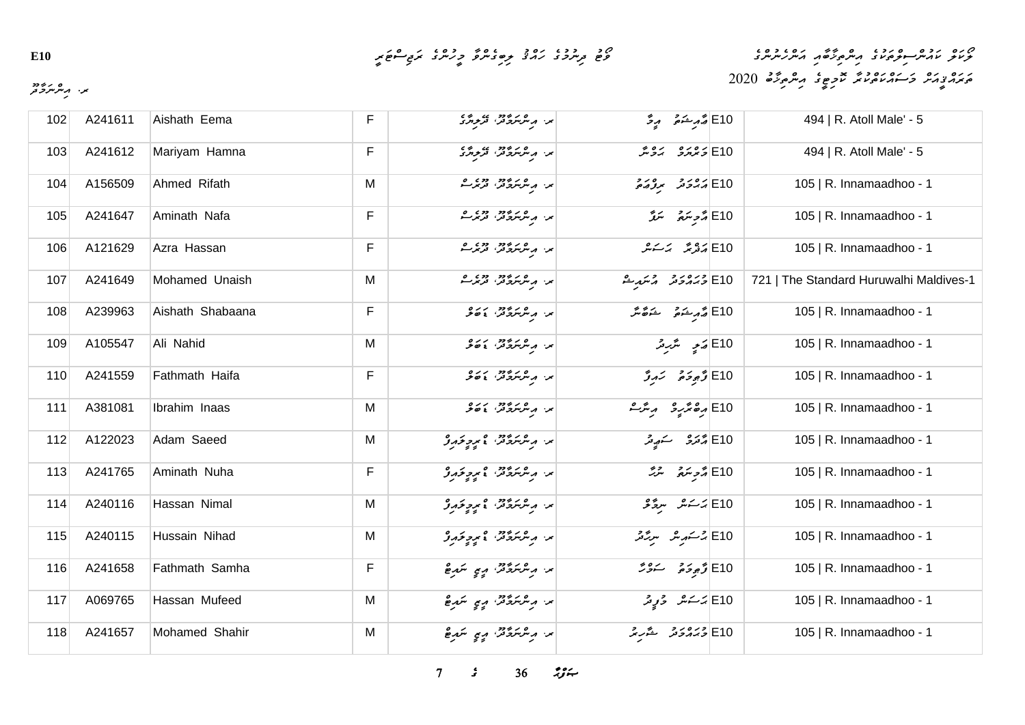*sCw7q7s5w7m< o<n9nOoAw7o< sCq;mAwBoEw7q<m; wBm;vB* م من المرة المرة المرة المرجع المرجع في المركبة 2020<br>مجم*د المريض المربوط المربع المرجع في المراجع المركبة* 

| <b>33 G C</b><br>ىر. برسرسرچەر |  |
|--------------------------------|--|
|--------------------------------|--|

| 102 | A241611 | Aishath Eema     | F           | بر . مر سر سر در در در در در ایران .<br>بر . م. سر سر در در ایران در در ایران | E10 مُرمِشَعْ رِگَ                        | 494   R. Atoll Male' - 5                |
|-----|---------|------------------|-------------|-------------------------------------------------------------------------------|-------------------------------------------|-----------------------------------------|
| 103 | A241612 | Mariyam Hamna    | F           | بر . مر سر سر در در در در در ایران<br>بر . مر سر سر در ایران در در ایران      | E10 كانترنى بالانتراك                     | 494   R. Atoll Male' - 5                |
| 104 | A156509 | Ahmed Rifath     | M           | بر به مرکز در دوی ه<br>بر به مرکز در فرمر                                     | E10 كەندى قىر مەرد كەنبە                  | 105   R. Innamaadhoo - 1                |
| 105 | A241647 | Aminath Nafa     | $\mathsf F$ |                                                                               | E10 مُ مِسَعْرِ مَتَدَّ                   | 105   R. Innamaadhoo - 1                |
| 106 | A121629 | Azra Hassan      | $\mathsf F$ | بر ریرسر دو دوی ه                                                             | E10 كەنتىرىتى كەسكەنتىك                   | 105   R. Innamaadhoo - 1                |
| 107 | A241649 | Mohamed Unaish   | M           | بر به مرسر دور دوره و                                                         | E10 وَيَرْدُونَ فَي مَسْرِسْهُ            | 721   The Standard Huruwalhi Maldives-1 |
| 108 | A239963 | Aishath Shabaana | $\mathsf F$ | بر وترشيع دره                                                                 | E10 مَگْرِسْدَة شَدَّةْ مَّرْ             | 105   R. Innamaadhoo - 1                |
| 109 | A105547 | Ali Nahid        | M           | بر به مرسور دره<br>بر به مرسور در وه د                                        | E10 کھ پہ مگریٹر                          | 105   R. Innamaadhoo - 1                |
| 110 | A241559 | Fathmath Haifa   | $\mathsf F$ | بر ، مر شرح دره                                                               | E10 گەچەقە ئەرگە                          | 105   R. Innamaadhoo - 1                |
| 111 | A381081 | Ibrahim Inaas    | M           | بر به مرسور دره<br>بر به مرسور در وه د                                        | E10 مەھەمگەر بىر مەمگەشە                  | 105   R. Innamaadhoo - 1                |
| 112 | A122023 | Adam Saeed       | M           | بر ریگریزده ؟ برد دَر و                                                       | E10 مُرْمَرْد     سَمرِ مُرْ              | 105   R. Innamaadhoo - 1                |
| 113 | A241765 | Aminath Nuha     | F           | بر ریرسردو ، برد در و                                                         | E10 مُ مِسَمَّد مِنْدَ                    | 105   R. Innamaadhoo - 1                |
| 114 | A240116 | Hassan Nimal     | M           | بر ریرسردو ، برد در و                                                         | E10   يَرْسَسْ سِرَةَ عْرَ                | 105   R. Innamaadhoo - 1                |
| 115 | A240115 | Hussain Nihad    | M           | بر ریرسردن ایرو درو                                                           | E10 بڑے پر شہر سربر تقر                   | 105   R. Innamaadhoo - 1                |
| 116 | A241658 | Fathmath Samha   | F           | بر ، مرسر دور ، مربح اسمه ع                                                   | E10 رَّ <sub>جِ ح</sub> َمَّةَ سَكَرْتَرُ | 105   R. Innamaadhoo - 1                |
| 117 | A069765 | Hassan Mufeed    | M           | بر مسترجعة مع شمي                                                             | E10] يَرْسَسُ وَرِمْرُ                    | 105   R. Innamaadhoo - 1                |
| 118 | A241657 | Mohamed Shahir   | M           | بر ، مرسر دور ، مربح اسمه ع                                                   | E10  3 <i>522 \$رقى</i> مىگەرىم           | 105   R. Innamaadhoo - 1                |

*7 sC 36 nNw?mS*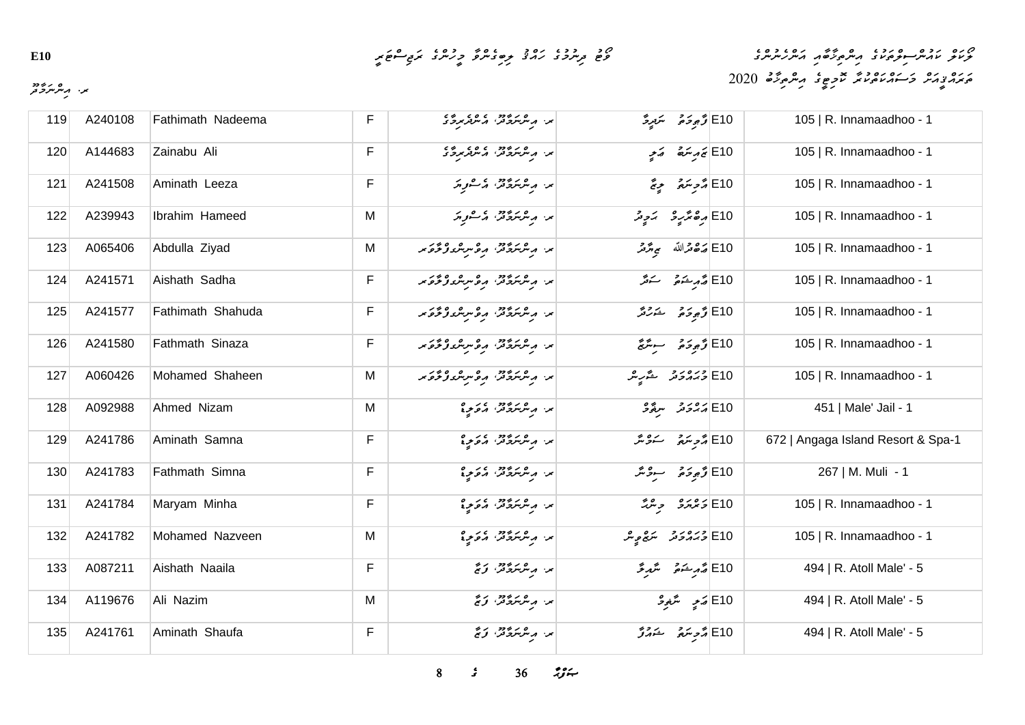*sCw7q7s5w7m< o<n9nOoAw7o< sCq;mAwBoEw7q<m; wBm;vB* م من المرة المرة المرة المرجع المرجع في المركبة 2020<br>مجم*د المريض المربوط المربع المرجع في المراجع المركبة* 

| ココ ジー・ロ<br>ىر. برسرسر جر<br>╯ |  |  |
|-------------------------------|--|--|
|-------------------------------|--|--|

| 119 | A240108 | Fathimath Nadeema | F           | بر . مر شرور . ما در در .<br>بر . مر شریرو تر . مر شریر بر در | E10 رُّجِ 5 مَ سَرَمِرِ \$                    | 105   R. Innamaadhoo - 1           |
|-----|---------|-------------------|-------------|---------------------------------------------------------------|-----------------------------------------------|------------------------------------|
| 120 | A144683 | Zainabu Ali       | F           | بر . مرکزده و ده و د و د<br>بر . مرکزدگر . مرکز برد د         | E10 تج م <i>جد محمد مق</i> حيه                | 105   R. Innamaadhoo - 1           |
| 121 | A241508 | Aminath Leeza     | F           | بر . مر سر سر در .<br>بر . مر سر سر تر . مر سو تر مر          | E10 مُ <i>جِنَّهُ جِي</i> َّ                  | 105   R. Innamaadhoo - 1           |
| 122 | A239943 | Ibrahim Hameed    | M           | بر رمز مردود می دارد.                                         | E10 م <i>وڭ ئۇچ</i> كەرى <i>گ</i>             | 105   R. Innamaadhoo - 1           |
| 123 | A065406 | Abdulla Ziyad     | M           | من ومرسكود و ومرسكونومبر                                      | E10 مَەھىرَاللە بىر مَ <i>زْقر</i>            | 105   R. Innamaadhoo - 1           |
| 124 | A241571 | Aishath Sadha     | F           | بر ومرسر دو. وه مرسو و در بر                                  | E10 مَّەمِسْتَمَّى سَقَّ                      | 105   R. Innamaadhoo - 1           |
| 125 | A241577 | Fathimath Shahuda | F           | ىر. مەسكەنگە مەھمەسىر ئەسكەنگە                                | E10 گەج <sup>ى</sup> ھەر سىنەر شەرقىگە        | 105   R. Innamaadhoo - 1           |
| 126 | A241580 | Fathmath Sinaza   | F           | ىر. مەسرىگەن مەھرىرى ئەمەر                                    | E10 تَرْجُوحَة مَّحْسِبَتَّةَ                 | 105   R. Innamaadhoo - 1           |
| 127 | A060426 | Mohamed Shaheen   | M           | ىر. مەسكەنگە مەھمەسىر ئەسكەنگە                                | E10 <i>\$نەۋەقە</i> ئىش <i>رى</i> ر           | 105   R. Innamaadhoo - 1           |
| 128 | A092988 | Ahmed Nizam       | M           | بر به سرسری بر ه در ه                                         | E10 كەندى قىر سى <i>نگ</i> ۇ                  | 451   Male' Jail - 1               |
| 129 | A241786 | Aminath Samna     | F           | بر ، مرسر برده و بر و                                         | E10 مَّ جِسَعَهُ سَوَسَّ                      | 672   Angaga Island Resort & Spa-1 |
| 130 | A241783 | Fathmath Simna    | F           | بر ، مرسر پرور ، در ه                                         | E10 ز <sub>ىمبو</sub> ىز مەر ئىبر             | 267   M. Muli - 1                  |
| 131 | A241784 | Maryam Minha      | $\mathsf F$ | بر ، مرسر پرور ، مرکزه                                        | E10 كا <i>ترىرى بېرىگ</i>                     | 105   R. Innamaadhoo - 1           |
| 132 | A241782 | Mohamed Nazveen   | M           | بر ، مرسور من المرضى                                          | E10 <i>\$نەم</i> 5مۇ س <i>ى</i> ھ <i>م</i> ىش | 105   R. Innamaadhoo - 1           |
| 133 | A087211 | Aishath Naaila    | F           | بر ریگریزود کرنج                                              | E10 مَدْرِسْدَة مُتَدِمَّة ا                  | 494   R. Atoll Male' - 5           |
| 134 | A119676 | Ali Nazim         | M           | بر. مەشرىقلار ئوتج                                            | E10 کم په مگ <sub>لجو</sub> د گ               | 494   R. Atoll Male' - 5           |
| 135 | A241761 | Aminath Shaufa    | F           | ىر. بەشرىكرونى، ئ $\zeta$                                     | E10 مُرْحِبَتِهِ صَمَرَتَرُ                   | 494   R. Atoll Male' - 5           |

**8** *s* **36** *n***<sub>s</sub>**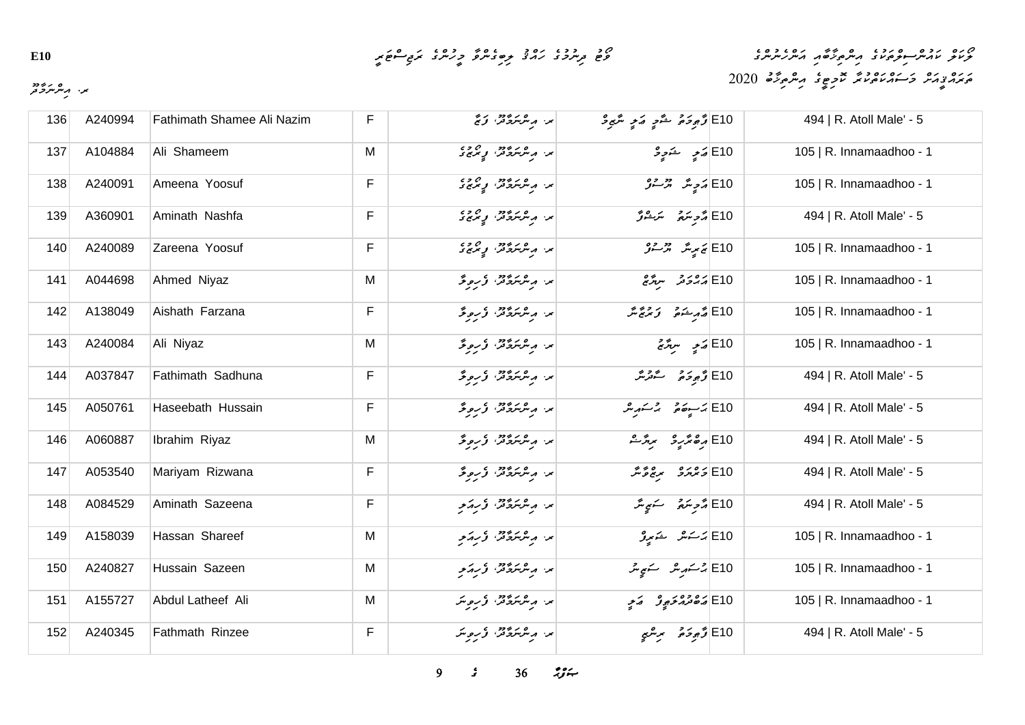*sCw7q7s5w7m< o<n9nOoAw7o< sCq;mAwBoEw7q<m; wBm;vB* م من المرة المرة المرة المرجع المرجع في المركبة 2020<br>مجم*د المريض المربوط المربع المرجع في المراجع المركبة* 

| <b>33 G S</b><br>ىر. برسرسر تەر |  |
|---------------------------------|--|
|---------------------------------|--|

| 136 | A240994 | Fathimath Shamee Ali Nazim | $\mathsf{F}$ | برا بر مر مردود از کالج            | E10 زَّە ئ <sup>ە</sup> ئۇ قۇم ئۇ ئۇي ئ                  | 494   R. Atoll Male' - 5 |
|-----|---------|----------------------------|--------------|------------------------------------|----------------------------------------------------------|--------------------------|
| 137 | A104884 | Ali Shameem                | M            | بر پر شرکتر و ده د                 | E10 کړې شکړې و                                           | 105   R. Innamaadhoo - 1 |
| 138 | A240091 | Ameena Yoosuf              | F            | بر پر مریز در ۲۶۵                  | E10 كەچ ئىش بىر شەشەرى                                   | 105   R. Innamaadhoo - 1 |
| 139 | A360901 | Aminath Nashfa             | $\mathsf F$  | بر ریگر گرده و ۲۵ و ،              | E10 گەج سَرَج سَن سَرْجُوتَر                             | 494   R. Atoll Male' - 5 |
| 140 | A240089 | Zareena Yoosuf             | $\mathsf{F}$ | بر پر شر شود.<br>بر پر شر شرق پر س | E10 ئىم پىگە بۇ جۇم                                      | 105   R. Innamaadhoo - 1 |
| 141 | A044698 | Ahmed Niyaz                | M            | بر ریگر گرفته و بروگ               | E10 كەش <sup>ى</sup> رى سى <i>رتى</i> چ                  | 105   R. Innamaadhoo - 1 |
| 142 | A138049 | Aishath Farzana            | F            | بر ریگر دور و بروگر                |                                                          | 105   R. Innamaadhoo - 1 |
| 143 | A240084 | Ali Niyaz                  | M            | بر رعي دوره وروځ                   | E10 کی می <i>نگی</i> ج                                   | 105   R. Innamaadhoo - 1 |
| 144 | A037847 | Fathimath Sadhuna          | $\mathsf F$  | بر رعمگردود. وروژ                  | E10 تۇ <sub>جو</sub> رَى <sub>م</sub> ش <sup>و</sup> رىد | 494   R. Atoll Male' - 5 |
| 145 | A050761 | Haseebath Hussain          | F            | بر رعمگردود. وروژ                  | E10 كەسىھ قەرىمىتەر شەر بىر                              | 494   R. Atoll Male' - 5 |
| 146 | A060887 | Ibrahim Riyaz              | M            | بر ریگر دور و باعد                 | E10 مەھەمگەيەدە مەمەرىكە                                 | 494   R. Atoll Male' - 5 |
| 147 | A053540 | Mariyam Rizwana            | F            | بر رعمگر دور و با عرف              | E10 كەبەد ئەرەك بىر ئاھەتتىكە                            | 494   R. Atoll Male' - 5 |
| 148 | A084529 | Aminath Sazeena            | F            | برا ما مریکرد و به کرد کرد.        | E10 گەجەمىقە سىئىم يىگر                                  | 494   R. Atoll Male' - 5 |
| 149 | A158039 | Hassan Shareef             | M            | برا ما من مردود المحرم و مرکز      | E10   يَرْسَدُّ شَمَعِيوُ                                | 105   R. Innamaadhoo - 1 |
| 150 | A240827 | Hussain Sazeen             | M            | برا ما مریکرد و به کرد کرد.        | E10 پرڪوپٽر ڪپ <sub>ي</sub> ٽر                           | 105   R. Innamaadhoo - 1 |
| 151 | A155727 | Abdul Latheef Ali          | M            | أيرا أرتكر مركز والمراكبة          | E10 كەھە <i>تەمۇمۇچ</i> ۇ كەمچ                           | 105   R. Innamaadhoo - 1 |
| 152 | A240345 | Fathmath Rinzee            | F            | ىر رىگەنگەنگە ۋىروىكە              | E10 <i>ؤوخو م</i> رش <sub>ي</sub>                        | 494   R. Atoll Male' - 5 |

**9** *s* 36 *n***<sub>s</sub>**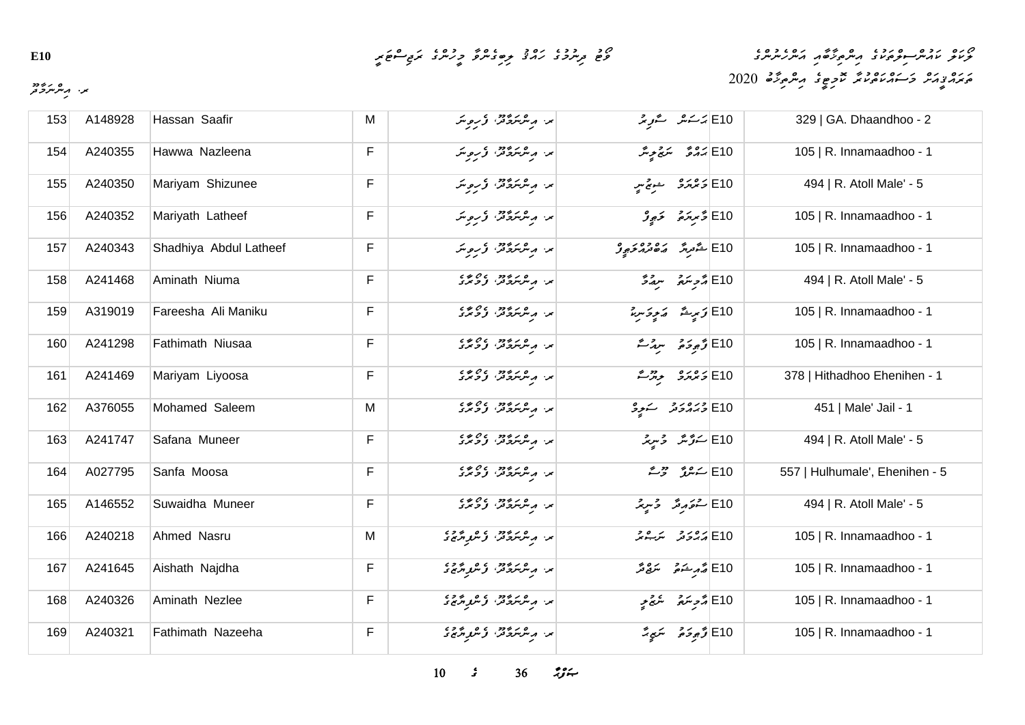*sCw7q7s5w7m< o<n9nOoAw7o< sCq;mAwBoEw7q<m; wBm;vB 2020*<br>*په پوهر وسوډيرونو لومو د موجو د مرمونه* 2020

| 153 | A148928 | Hassan Saafir          | M           | ىر ، مەشكەن كې ئوسىد                                  | E10   پرسٹر گے مریز                  | 329   GA. Dhaandhoo - 2        |
|-----|---------|------------------------|-------------|-------------------------------------------------------|--------------------------------------|--------------------------------|
| 154 | A240355 | Hawwa Nazleena         | F           | بر ریگر دیگر و بره مگر                                | E10 <i>بَدْهُ مَّ</i> سَمَّ مِسَّر   | 105   R. Innamaadhoo - 1       |
| 155 | A240350 | Mariyam Shizunee       | $\mathsf F$ | بر ریگر دور و برجنگ                                   | E10 كەنگە ئىرگە ھەم ئىس              | 494   R. Atoll Male' - 5       |
| 156 | A240352 | Mariyath Latheef       | F           | بر ریگر دیگر و بره مگر                                | E10 مُحب <i>دَة وَج</i> وِرْ         | 105   R. Innamaadhoo - 1       |
| 157 | A240343 | Shadhiya Abdul Latheef | F           | بر ریگر دور و برجنگ                                   | E10 شۇمەر ئەھەر ئەرەبۇ ئى            | 105   R. Innamaadhoo - 1       |
| 158 | A241468 | Aminath Niuma          | $\mathsf F$ | بر ، مرسور ، یوه ، د<br>بر ، مرسور از و د برد         | E10 أَمُّ مِ مَعْهُمْ مَسْتَمَرُّدُّ | 494   R. Atoll Male' - 5       |
| 159 | A319019 | Fareesha Ali Maniku    | $\mathsf F$ | بر . پر سرسری در ۵۷ و د<br>بر . پر سرسری در او د برای | E10] تزميث - سَرِيرَ سِرْرُ          | 105   R. Innamaadhoo - 1       |
| 160 | A241298 | Fathimath Niusaa       | F           | بر ، مرسور ، یوه ، د<br>بر ، مرسور از و د برد         | E10 تۇموخۇ سى <i>دى</i> گ            | 105   R. Innamaadhoo - 1       |
| 161 | A241469 | Mariyam Liyoosa        | F           | بر به شرکتری و و بر و<br>بر به شرکتری و و برو         | E10 كابر برقم محركث برقم             | 378   Hithadhoo Ehenihen - 1   |
| 162 | A376055 | Mohamed Saleem         | M           | بر به شرکتری و و بر د                                 | E10 <i>\$322 \$ سَنَوِ</i> دُ        | 451   Male' Jail - 1           |
| 163 | A241747 | Safana Muneer          | F           | بر به مرود و ۵ و و د<br>بر به مرسرو تر از و برو       | E10  سَرَرْتَدْ دُسِرْدُ             | 494   R. Atoll Male' - 5       |
| 164 | A027795 | Sanfa Moosa            | F           | ת ו הייתור בריים בי<br>ת הייתורית צביג                | E10 سُنگر مُرْشَہ                    | 557   Hulhumale', Ehenihen - 5 |
| 165 | A146552 | Suwaidha Muneer        | $\mathsf F$ | بر به مرود و ۵ و و د<br>بر به مرسرو تر از و برو       | E10 سُمَرَ مِرتَّر کا مِرْتَر        | 494   R. Atoll Male' - 5       |
| 166 | A240218 | Ahmed Nasru            | M           | بر ریگریزده و عروف                                    | E10 كەبرى قىر سىر يىلىر              | 105   R. Innamaadhoo - 1       |
| 167 | A241645 | Aishath Najdha         | $\mathsf F$ | بر ریگرمزده و عروض                                    | E10 مَدْمِ حَدَّةٌ مَسْتَرَةٌ مَّزَ  | 105   R. Innamaadhoo - 1       |
| 168 | A240326 | Aminath Nezlee         | $\mathsf F$ | بر ریگر دور و عرومی                                   |                                      | 105   R. Innamaadhoo - 1       |
| 169 | A240321 | Fathimath Nazeeha      | F           | بر ریگریزود و عروف                                    | E10 زَّجِرَة مَ سَمَةٍ بَرَّ         | 105   R. Innamaadhoo - 1       |

 $10$  *s* 36  $23$   $\div$ 

*r@n>m7w7o< .8*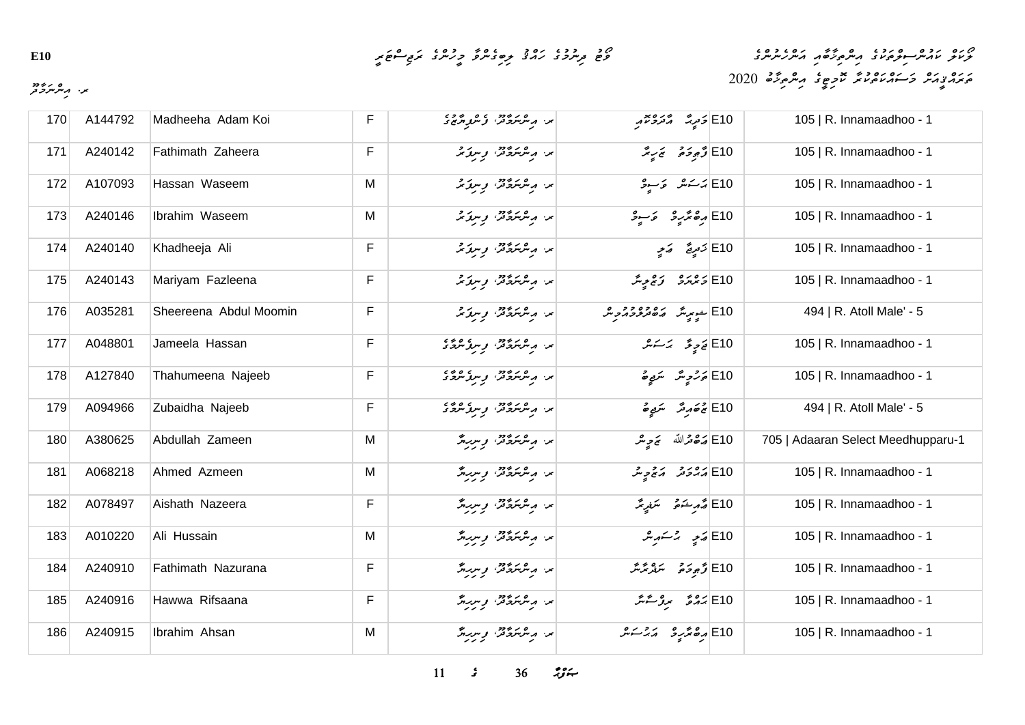*sCw7q7s5w7m< o<n9nOoAw7o< sCq;mAwBoEw7q<m; wBm;vB* م من المسجد المسجد المسجد المسجد المسجد العام 2020<br>مجم*د المسجد المسجد المستجد المسجد المسجد المسجد المسجد المسجد المسجد المسجد المسجد المسجد المسجد المسجد المسجد* 

| 170 | A144792 | Madheeha Adam Koi      | F | بر ریگریزده و عروف             | E10 كەمپەنتە مەمكەنگەر                                    | 105   R. Innamaadhoo - 1           |  |
|-----|---------|------------------------|---|--------------------------------|-----------------------------------------------------------|------------------------------------|--|
| 171 | A240142 | Fathimath Zaheera      | F | أيرا ماهانكردون وسوكانك        | E10 گۇجۇڭمەس ئىم پەنگە                                    | 105   R. Innamaadhoo - 1           |  |
| 172 | A107093 | Hassan Waseem          | M | ىر. مەسكىگەن بەسلەش            | E10   يَرْسَعْرُ - مَرْسِوْرٌ                             | 105   R. Innamaadhoo - 1           |  |
| 173 | A240146 | Ibrahim Waseem         | M | أيرا ماهانكردون وسوكانك        | E10 م <i>وڭ ئۇر</i> بۇ ھەسپى                              | 105   R. Innamaadhoo - 1           |  |
| 174 | A240140 | Khadheeja Ali          | F |                                | E10   زَمرِيَّ = صَمِّ                                    | 105   R. Innamaadhoo - 1           |  |
| 175 | A240143 | Mariyam Fazleena       | F | يرا مايكريكري وبلوتر           | E10 كەيترى ئەنج م <sub>ج</sub> ىتر                        | 105   R. Innamaadhoo - 1           |  |
| 176 | A035281 | Sheereena Abdul Moomin | F | برا مر مگر برگار محمد و سرو بر | E10 خوم شهر مقصر محرم محرم محمد به حر                     | 494   R. Atoll Male' - 5           |  |
| 177 | A048801 | Jameela Hassan         | F | بر ریگریزده و سرو ۲۵۰۰         | E10 ت <sub>ح</sub> رِیْ کاسکار                            | 105   R. Innamaadhoo - 1           |  |
| 178 | A127840 | Thahumeena Najeeb      | F | بر ریگریزده و سره ۲۵۵          | E10 ك <sup>ې</sup> رتى <sub>چ</sub> ىنگە سى <i>تې</i> ق   | 105   R. Innamaadhoo - 1           |  |
| 179 | A094966 | Zubaidha Najeeb        | F | بر ریگریزده و سرگرمرد و        | E10 نِحْ صَ <sub>م</sub> ِ مَّرَ سَرَ <sub>ّبِ</sub> صَحْ | 494   R. Atoll Male' - 5           |  |
| 180 | A380625 | Abdullah Zameen        | M | يرا أبر مريكرد فرق أو سربر مر  | E10 كەھەتراللە     كى پەشر                                | 705   Adaaran Select Meedhupparu-1 |  |
| 181 | A068218 | Ahmed Azmeen           | M | أين أرتكر مكر من المحر والمرسر | E10 كەبرى قىر كەيم <i>چەر</i>                             | 105   R. Innamaadhoo - 1           |  |
| 182 | A078497 | Aishath Nazeera        | F | أيرا ما مكانكردون والرسر       | E10 مَدْمِرْ حَمَّةً مَسْمَنِيَّةً.                       | 105   R. Innamaadhoo - 1           |  |
| 183 | A010220 | Ali Hussain            | M | أيرا ما مكانكردون والرسر       | E10 کھ پر برگ کھیر بھر                                    | 105   R. Innamaadhoo - 1           |  |
| 184 | A240910 | Fathimath Nazurana     | F | أين أبا مرتكز فكره والرزمز     | E10 گۇجۇچۇ سىنى <i>رىتى</i> گە                            | 105   R. Innamaadhoo - 1           |  |
| 185 | A240916 | Hawwa Rifsaana         | F | برا مریکردون و سربانژ          | E10 كەش <sup>ى</sup> ر مورگەنتر                           | 105   R. Innamaadhoo - 1           |  |
| 186 | A240915 | Ibrahim Ahsan          | M | بر ریگریزده و سربرگ            | E10 <sub>م</sub> ەمگەر بەر كەرگە بىر                      | 105   R. Innamaadhoo - 1           |  |

 $11$  *s* 36  $23$   $\div$ 

*r> به به مروده*<br>بو *به مرمور و*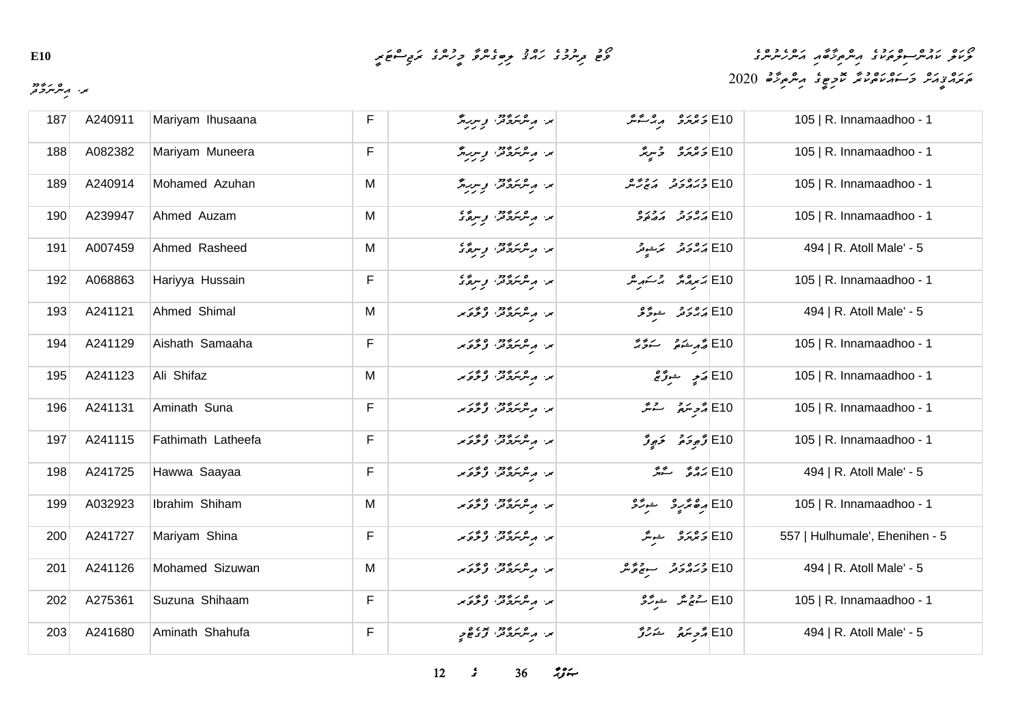*sCw7q7s5w7m< o<n9nOoAw7o< sCq;mAwBoEw7q<m; wBm;vB* م من المرة المرة المرة المرجع المرجع في المركبة 2020<br>مجم*د المريض المربوط المربع المرجع في المراجع المركبة* 

| 187 | A240911 | Mariyam Ihusaana   | $\mathsf F$ | أين أرتكر مركز والرزارة  | E10 كەبەدى بەرشەتىر               | 105   R. Innamaadhoo - 1       |
|-----|---------|--------------------|-------------|--------------------------|-----------------------------------|--------------------------------|
| 188 | A082382 | Mariyam Muneera    | F           | بر ریگریزده و سربار      | E10 كەنگەنىڭ كەسپەنگە             | 105   R. Innamaadhoo - 1       |
| 189 | A240914 | Mohamed Azuhan     | M           | بر ریگریزده و سربار      | E10 دُبَرْدُونْ دَبِرْتُهْ        | 105   R. Innamaadhoo - 1       |
| 190 | A239947 | Ahmed Auzam        | M           | ىن مەسكەنگە بەسھە        | E10 كەبرى كەرگە كەرگە             | 105   R. Innamaadhoo - 1       |
| 191 | A007459 | Ahmed Rasheed      | M           | بر ریگر کرده و سرگان     | E10  كەندى كىلى كىرىسى تەرىپ      | 494   R. Atoll Male' - 5       |
| 192 | A068863 | Hariyya Hussain    | $\mathsf F$ | بر ریگر دور و سره د      | E10 يَهْرِمْ مَنْ مِرْسَمْرِ مِنْ | 105   R. Innamaadhoo - 1       |
| 193 | A241121 | Ahmed Shimal       | M           | بر ، مرسر دور و و در     | E10 كەندى قىدىگە                  | 494   R. Atoll Male' - 5       |
| 194 | A241129 | Aishath Samaaha    | F           | بر ریر مرکز و در در      | E10 مَگْرِسْتَمْ حَوَيْرٌ         | 105   R. Innamaadhoo - 1       |
| 195 | A241123 | Ali Shifaz         | M           | بر رەپرىزدە ۋەر          | E10 کی جوگئ                       | 105   R. Innamaadhoo - 1       |
| 196 | A241131 | Aminath Suna       | $\mathsf F$ | بر ، ما ما دود . و در با | E10 مُرْحِبَهُ مَثْبَرُ           | 105   R. Innamaadhoo - 1       |
| 197 | A241115 | Fathimath Latheefa | $\mathsf F$ | بر رعبترون ويحوير        | E10 گەچ قەم ئىچ ئىل               | 105   R. Innamaadhoo - 1       |
| 198 | A241725 | Hawwa Saayaa       | $\mathsf F$ | بر ، ما ما دود . و در .  | E10 كەبۇ شەر                      | 494   R. Atoll Male' - 5       |
| 199 | A032923 | Ibrahim Shiham     | M           | بر ، ما ما دود . و در با | E10 م <i>وڭ مگرى</i> ھەر ئىش      | 105   R. Innamaadhoo - 1       |
| 200 | A241727 | Mariyam Shina      | $\mathsf F$ | بر ریمونزور وی           | E10 كەنگەنى ھەمگە                 | 557   Hulhumale', Ehenihen - 5 |
| 201 | A241126 | Mohamed Sizuwan    | M           | برا ما ما مردود المحروب  | E10 <i>32,25 بەيغ</i> ۇنىر        | 494   R. Atoll Male' - 5       |
| 202 | A275361 | Suzuna Shihaam     | $\mathsf F$ | بر رەپرىگەدە ۋەر         | E10 سەچ ش ھو <i>ر دى</i>          | 105   R. Innamaadhoo - 1       |
| 203 | A241680 | Aminath Shahufa    | F           | بر ریر مرکز در بره و     | E10 مَّ حِسَمَةٌ حَسَنَةٌ         | 494   R. Atoll Male' - 5       |

 $12$  *s* 36  $23$   $\div$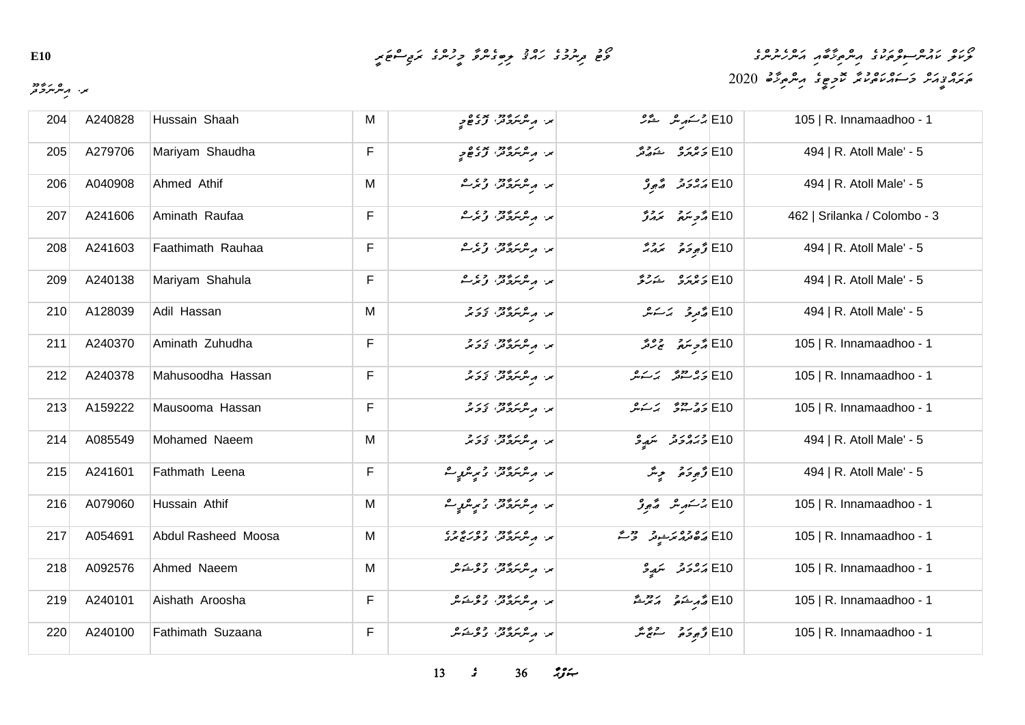*sCw7q7s5w7m< o<n9nOoAw7o< sCq;mAwBoEw7q<m; wBm;vB* م من المرة المرة المرة المرجع المرجع في المركبة 2020<br>مجم*د المريض المربوط المربع المرجع في المراجع المركبة* 

| 204 | A240828 | Hussain Shaah       | M           | پر په مرکز ده پره ه په                                | E10 پرڪبريش ڪ <i>ي</i> ڪ                                                                                       | 105   R. Innamaadhoo - 1     |
|-----|---------|---------------------|-------------|-------------------------------------------------------|----------------------------------------------------------------------------------------------------------------|------------------------------|
| 205 | A279706 | Mariyam Shaudha     | F           | بر مر مر برده بره ه<br>بر مر مر مر قر د و ع           | E10 كانترنى مىشى ئىش ئىش ئىشى ئىشتى ئىشتى ئىشتى ئىشتى ئىشتى ئىشتى ئىشتى ئىشتى ئىشتى ئىشتى ئىشتى ئىشتى ئىشتى ئى | 494   R. Atoll Male' - 5     |
| 206 | A040908 | Ahmed Athif         | M           | بر رعب دور دی ه                                       | E10 كەش <sup>ى</sup> رى گەھ بۇ                                                                                 | 494   R. Atoll Male' - 5     |
| 207 | A241606 | Aminath Raufaa      | F           | بر روبرپرور دی ه                                      | E10 مُج سَمَعٌ مَحَمَدَتَرٌ                                                                                    | 462   Srilanka / Colombo - 3 |
| 208 | A241603 | Faathimath Rauhaa   | F           | بر رمز مردود دی ه                                     | E10 گ <sub>ۇ</sub> چەقە ئىمە <i>م</i> ىگە                                                                      | 494   R. Atoll Male' - 5     |
| 209 | A240138 | Mariyam Shahula     | F           | بر رعم دور دی ه                                       | E10 كانترنز كالمنتصر                                                                                           | 494   R. Atoll Male' - 5     |
| 210 | A128039 | Adil Hassan         | M           | بر ریگریزو را د                                       | E10 صَّمِرتِر – سَ <sup>م</sup> َسَر                                                                           | 494   R. Atoll Male' - 5     |
| 211 | A240370 | Aminath Zuhudha     | $\mathsf F$ | ىن مەسكەقرى توخىر                                     | E10 مَّ مِسَعَمٍ مَحْتَمَّ                                                                                     | 105   R. Innamaadhoo - 1     |
| 212 | A240378 | Mahusoodha Hassan   | F           | ىر. مەس <i>رىرى ئەدى</i> ر                            | E10 كەن يەشقە كەشكەنلەر                                                                                        | 105   R. Innamaadhoo - 1     |
| 213 | A159222 | Mausooma Hassan     | F           | ىر. مەش <i>رىقى ق</i> وير                             | E10 كەن يېزىش بىر ئەسكەنلەر                                                                                    | 105   R. Innamaadhoo - 1     |
| 214 | A085549 | Mohamed Naeem       | M           | ىر. مەش <i>رىقى ق</i> وير                             | E10 \$ جەم 3 مىقدىم كىلىمبورى كىلە                                                                             | 494   R. Atoll Male' - 5     |
| 215 | A241601 | Fathmath Leena      | F           | بر ریرسردن ویرسری                                     | E10 <i>وُّهِ دَهُ</i> مِهْ مَ                                                                                  | 494   R. Atoll Male' - 5     |
| 216 | A079060 | Hussain Athif       | M           | ىر. مەشرىكەت ئايرىش ك                                 | E10 برڪويڪر گھجو قر                                                                                            | 105   R. Innamaadhoo - 1     |
| 217 | A054691 | Abdul Rasheed Moosa | M           | بر به مربوده وه ربود و د<br>بر به مرس د بر د بر بر بر | E10 كەھەر كەر ئەسىر بىر تەرىبىگە                                                                               | 105   R. Innamaadhoo - 1     |
| 218 | A092576 | Ahmed Naeem         | M           | بر ار شریده وه شکره                                   | E10 كەندى كىر سىمبەر                                                                                           | 105   R. Innamaadhoo - 1     |
| 219 | A240101 | Aishath Aroosha     | F           | بر رسربرود وه دیگر                                    | E10 مەم ئىقتىمە مەممىز ئىش                                                                                     | 105   R. Innamaadhoo - 1     |
| 220 | A240100 | Fathimath Suzaana   | F           | بر رمزمود وه شکر                                      | E10 گۇجوچە ئىس ئىق ئىگە                                                                                        | 105   R. Innamaadhoo - 1     |

 $13$  *s* 36  $23$   $\div$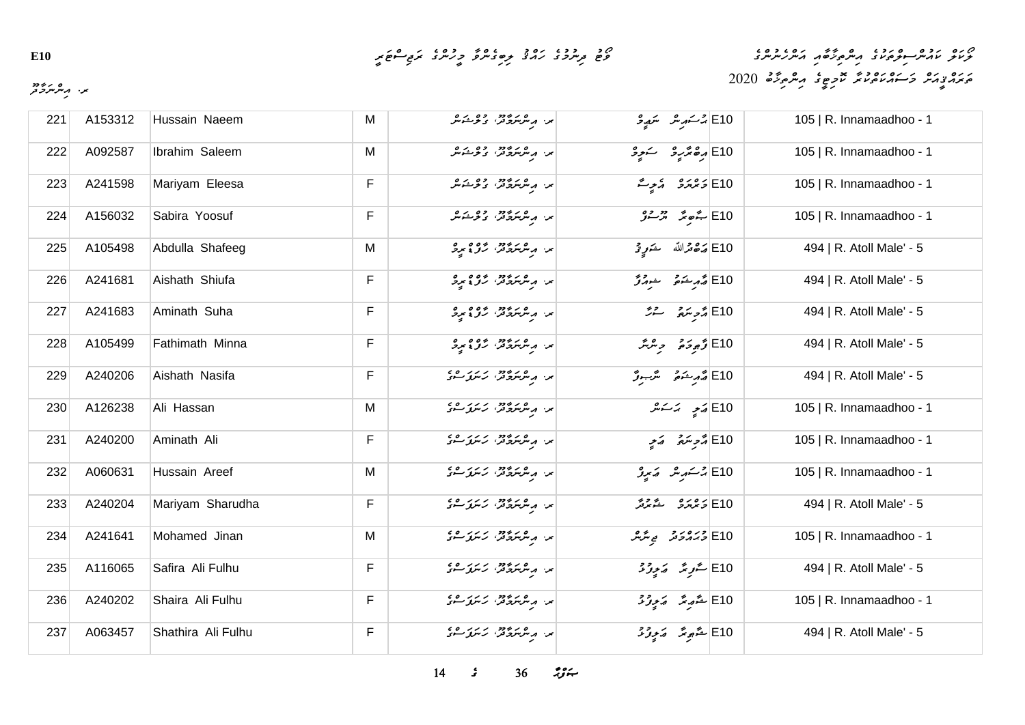*sCw7q7s5w7m< o<n9nOoAw7o< sCq;mAwBoEw7q<m; wBm;vB* م من المرة المرة المرة المرجع المرجع في المركبة 2020<br>مجم*د المريض المربوط المربع المرجع في المراجع المركبة* 

| <b>33 G S</b><br>ىر. برسرسر تەر |  |
|---------------------------------|--|
|---------------------------------|--|

| 221 | A153312 | Hussain Naeem      | M           | أبرا أرغروه وواقع والمحافظ | E10   يُرْسَمَ مِرْسَ مَسَمِيرَ \$                   | 105   R. Innamaadhoo - 1 |
|-----|---------|--------------------|-------------|----------------------------|------------------------------------------------------|--------------------------|
| 222 | A092587 | Ibrahim Saleem     | M           | بر رسربرود وه دیگر         | E10 م <i>وڭ ئۇر</i> ۇ سىمب <i>و</i> ۇ                | 105   R. Innamaadhoo - 1 |
| 223 | A241598 | Mariyam Eleesa     | F           | بر رسربرود وه دیگر         | E10 كەندىرى كەربە                                    | 105   R. Innamaadhoo - 1 |
| 224 | A156032 | Sabira Yoosuf      | F           | بر رسربرود ده در بر        | E10 يُتَوَجَّدُ بَرْسَنْرُ                           | 105   R. Innamaadhoo - 1 |
| 225 | A105498 | Abdulla Shafeeg    | M           | بر رسر دور دوه وه          | E10 كەڭ قىراللە ھەرتى                                | 494   R. Atoll Male' - 5 |
| 226 | A241681 | Aishath Shiufa     | $\mathsf F$ | بر ریز مربود و وه و و      | E10 مَدْمِرْ مَدَمْ وَ مَسْرِمْرٌ                    | 494   R. Atoll Male' - 5 |
| 227 | A241683 | Aminath Suha       | F           | بر ریزیود دوه و            | E10 مَّ صِنَّعَهُ شَمَّدٌ                            | 494   R. Atoll Male' - 5 |
| 228 | A105499 | Fathimath Minna    | $\mathsf F$ | بر ریگر دور دوه دو         | E10 رَّجِوحَةُ وِسْرَسَّ                             | 494   R. Atoll Male' - 5 |
| 229 | A240206 | Aishath Nasifa     | F           | بر ، مرس دور ده در ده د    | E10 مَگْرِسْتَمْ مُگْرَسِرِدَّ                       | 494   R. Atoll Male' - 5 |
| 230 | A126238 | Ali Hassan         | M           | بر به مربوده کند و ،       | E10 كەيپ كەشكە                                       | 105   R. Innamaadhoo - 1 |
| 231 | A240200 | Aminath Ali        | $\mathsf F$ | بر به پر پروژ کریز وی      | E10 مُرْحِبَهُ مَعْ                                  | 105   R. Innamaadhoo - 1 |
| 232 | A060631 | Hussain Areef      | M           | بر به شرور در ۲۵۰          | E10 پڑے پر بڑ کھیرو<br>ا                             | 105   R. Innamaadhoo - 1 |
| 233 | A240204 | Mariyam Sharudha   | F           | بر . په شریرون کنترو ده په | E10 كەنگەر ئەيغا ئىسىمەتكە                           | 494   R. Atoll Male' - 5 |
| 234 | A241641 | Mohamed Jinan      | M           | بر به مربوده کنگر ده       | E10 دُبَرْدْدَتْر ب <sub>ے</sub> بُرْب <sub>ْر</sub> | 105   R. Innamaadhoo - 1 |
| 235 | A116065 | Safira Ali Fulhu   | $\mathsf F$ | بر ، مرس دور ده در ده د    | E10 گرېگ   ټرېژنژ                                    | 494   R. Atoll Male' - 5 |
| 236 | A240202 | Shaira Ali Fulhu   | $\mathsf F$ | بر به مربوده کنگر ده       | E10 ڪمبرنگ - <i>مکچوڏن</i> گ                         | 105   R. Innamaadhoo - 1 |
| 237 | A063457 | Shathira Ali Fulhu | F           | بر ، پرسروس کنرو وی        | E10 ڪُمبرنگ صَمِرِگرُک                               | 494   R. Atoll Male' - 5 |

*14 s* **36** *n***<sub>s</sub>***n*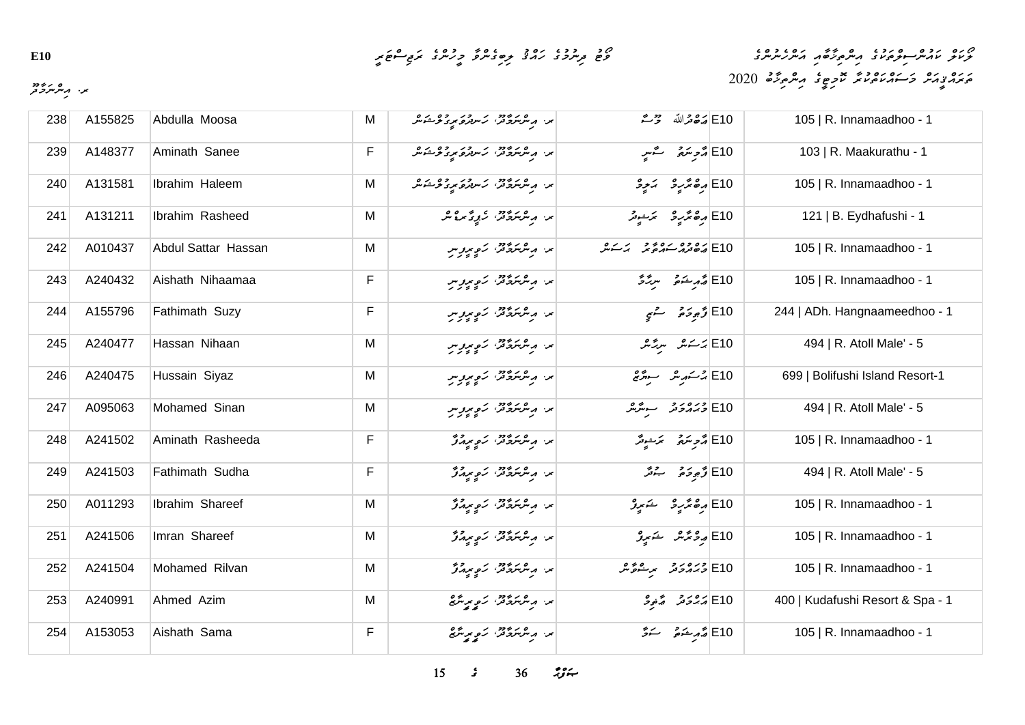*sCw7q7s5w7m< o<n9nOoAw7o< sCq;mAwBoEw7q<m; wBm;vB* م من المرة المرة المرة المرجع المرجع في المركبة 2020<br>مجم*د المريض المربوط المربع المرجع في المراجع المركبة* 

| <b>33 G S</b><br>بر. برسرسر و در |
|----------------------------------|
|----------------------------------|

| 238 | A155825 | Abdulla Moosa       | M           | بر ومرکبرد کرده میلی و میکن                         | E10 مَرْجُ مِّرْاللّه حَرْجُهِ        | 105   R. Innamaadhoo - 1         |
|-----|---------|---------------------|-------------|-----------------------------------------------------|---------------------------------------|----------------------------------|
| 239 | A148377 | Aminath Sanee       | F           | بر ومربود رسرو ومدون                                | E10 أ <i>مُّ دِسَمُ</i> مُسَّسِ       | 103   R. Maakurathu - 1          |
| 240 | A131581 | Ibrahim Haleem      | M           | ىر. مەس دەپىر كەس <i>بولى تو</i> ر دەپ كە           | E10 <sub>م</sub> ەنگەر تكمي           | 105   R. Innamaadhoo - 1         |
| 241 | A131211 | Ibrahim Rasheed     | M           | ىن مەس دەم ئەر ئەر ئەر ئا                           | E10 مر <i>ے مگرچ</i> و کے مختصر ا     | 121   B. Eydhafushi - 1          |
| 242 | A010437 | Abdul Sattar Hassan | M           | بر رمز مرود رکوبروس                                 | E10 <sub>مەھ</sub> ور بەر ئەرگە بەسەس | 105   R. Innamaadhoo - 1         |
| 243 | A240432 | Aishath Nihaamaa    | $\mathsf F$ | بر رس دور به در بروس                                | E10 مَ مِ حَمَع مَ سِرَّدَةَ ۖ        | 105   R. Innamaadhoo - 1         |
| 244 | A155796 | Fathimath Suzy      | $\mathsf F$ | بر ریگریزده کروبروس                                 | E10 گ <sub>ې</sub> وځو شمې            | 244   ADh. Hangnaameedhoo - 1    |
| 245 | A240477 | Hassan Nihaan       | M           | ىر. مەس كەن كەن ئەر بىر<br>ئارا مەس كەن كەن كەن كەن | E10   پزشتر سرچھر                     | 494   R. Atoll Male' - 5         |
| 246 | A240475 | Hussain Siyaz       | M           | بر ، پرسروس کوبروس                                  | E10 بڑے ہر شہ سو پر تھے               | 699   Bolifushi Island Resort-1  |
| 247 | A095063 | Mohamed Sinan       | M           | بر رسر المرود كوبروس                                | E10 <i>\$222 ئۇيۇر س</i> ېتىر         | 494   R. Atoll Male' - 5         |
| 248 | A241502 | Aminath Rasheeda    | F           | ىر. مەشكەق ئويىمەت                                  | E10 مَرْحِ سَرَمَ مَرْسُوِمَّرُ       | 105   R. Innamaadhoo - 1         |
| 249 | A241503 | Fathimath Sudha     | F           | ىر. مەشرىقلار كىم <i>بولە</i> ر                     | E10 گۇجۇڭمۇ سىمى <i>گ</i> ە           | 494   R. Atoll Male' - 5         |
| 250 | A011293 | Ibrahim Shareef     | M           | بر ، مرسر دود. کو برمای                             | E10 مەھەر ئەر ئىسىر ئىسىر ئىس         | 105   R. Innamaadhoo - 1         |
| 251 | A241506 | Imran Shareef       | M           | ر ، ما ما دود.<br>مسر المسترد در ما در مورد و       | E10 مەرگەنگە ھەمرى <sup>1</sup>       | 105   R. Innamaadhoo - 1         |
| 252 | A241504 | Mohamed Rilvan      | M           | بر ریزروز کویدرو                                    | E10 <i>22828 برندۇ</i> نىر            | 105   R. Innamaadhoo - 1         |
| 253 | A240991 | Ahmed Azim          | M           | ىر. مەشرىكەن كۆپرىگە                                | E10 كەندى قىر قەرىج                   | 400   Kudafushi Resort & Spa - 1 |
| 254 | A153053 | Aishath Sama        | F           | ىر. مەشرىق ئويدىگە                                  | E10 مُگرِيشَمُ ڪُرُّ                  | 105   R. Innamaadhoo - 1         |

 $15$  *s* 36  $23$   $\div$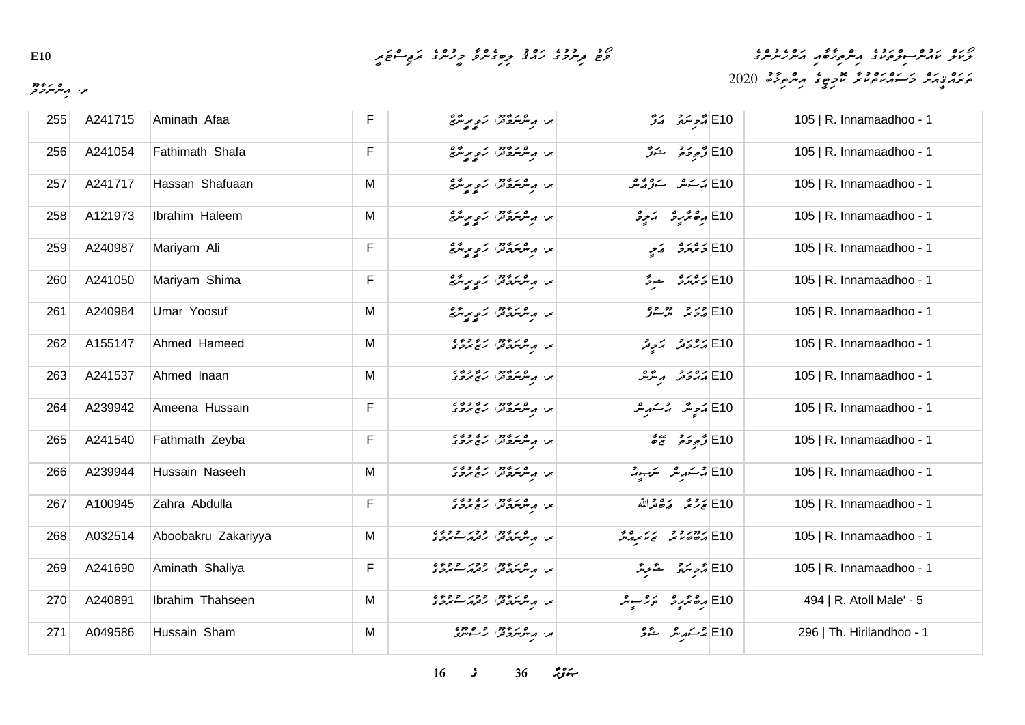*sCw7q7s5w7m< o<n9nOoAw7o< sCq;mAwBoEw7q<m; wBm;vB* م من المرة المرة المرة المرجع المرجع في المركبة 2020<br>مجم*د المريض المربوط المربع المرجع في المراجع المركبة* 

| ココ ク ノ  の<br>ىر. برسرسرتر تر |  |
|------------------------------|--|
|------------------------------|--|

| 255 | A241715 | Aminath Afaa        | $\mathsf F$ | ىر. مەشرىردە ئەم برىگە                                 | E10 مُج سَعْرِ صَوَّرَ                  | 105   R. Innamaadhoo - 1  |
|-----|---------|---------------------|-------------|--------------------------------------------------------|-----------------------------------------|---------------------------|
| 256 | A241054 | Fathimath Shafa     | $\mathsf F$ | ىر. مەس ئۇق كەم بەشق                                   | E10 <i>وُّجِ دَمُ</i> شَرَّ             | 105   R. Innamaadhoo - 1  |
| 257 | A241717 | Hassan Shafuaan     | M           | أين أرشر ودود الكوابر للمع                             | E10 يزيد سترومبر                        | 105   R. Innamaadhoo - 1  |
| 258 | A121973 | Ibrahim Haleem      | M           | بر ، مرسر دود کو برس                                   | E10 بر <i>ے پڑچ</i> کی پڑو              | 105   R. Innamaadhoo - 1  |
| 259 | A240987 | Mariyam Ali         | $\mathsf F$ | ىر. مەس ئۇق كەم بەشق                                   | E10 كانترنى كامي                        | 105   R. Innamaadhoo - 1  |
| 260 | A241050 | Mariyam Shima       | $\mathsf F$ | بر رسر مردود کو بر مرد                                 | E10 كەنگەنى ھەدى                        | 105   R. Innamaadhoo - 1  |
| 261 | A240984 | Umar Yoosuf         | M           | ىر. مەشرىرون كەيدىكى                                   | $3 - 3 - 252$ E10                       | 105   R. Innamaadhoo - 1  |
| 262 | A155147 | Ahmed Hameed        | M           | د رسر دود.<br>د رسر دسرون کرد دود                      | E10 كەنزى كەر بۇ ئىر                    | 105   R. Innamaadhoo - 1  |
| 263 | A241537 | Ahmed Inaan         | M           | بر به مربوده از داده وای<br>بر به مرس دادن کردنج برواد | E10 كەندى قىر مەمگەنلە                  | 105   R. Innamaadhoo - 1  |
| 264 | A239942 | Ameena Hussain      | F           | د رسر دود.<br>د رسر دسر در کام دود                     | E10 كەچ ئىر مىشكەر ئىر                  | 105   R. Innamaadhoo - 1  |
| 265 | A241540 | Fathmath Zeyba      | $\mathsf F$ | د ر مردود د د د د د<br>د ر مرمورون رخ مرد د            | E10 تُرجوح مَن صَحَّة الله              | 105   R. Innamaadhoo - 1  |
| 266 | A239944 | Hussain Naseeh      | M           | ه د به دود.<br>بر د سرس د د کنج بروی                   | E10 پر کے پہلا میں مگر ہے جاتا ہے۔<br>ا | 105   R. Innamaadhoo - 1  |
| 267 | A100945 | Zahra Abdulla       | $\mathsf F$ | י הממשבת מי כניו<br>זה הממשבתי מיצובי                  | E10 يَحْرَيْرَ بِهَ صَوْتِرَاللّهِ      | 105   R. Innamaadhoo - 1  |
| 268 | A032514 | Aboobakru Zakariyya | M           | بر به شرور و و در و و ده<br>بر به شرور از مرد سوبرو د  | E10 كەھۋە بەر ئەركىزىدە ئىر             | 105   R. Innamaadhoo - 1  |
| 269 | A241690 | Aminath Shaliya     | F           | بر به مربوده او در و و داد.<br>بر به مرمون روبه سوروی  | E10 مَّ حِ مَّعْ مُحَمَّومَّة           | 105   R. Innamaadhoo - 1  |
| 270 | A240891 | Ibrahim Thahseen    | M           | بر به مربود دور دود و<br>بر به مرمون رسمبردی           | E10 <sub>م</sub> ەمگەرچە مەربىيە بىر    | 494   R. Atoll Male' - 5  |
| 271 | A049586 | Hussain Sham        | M           | ه د په در دور و ده دوه<br>مر د په پېړۍ تر ک            | E10 پرڪ <sub>م</sub> ريثر ڪري           | 296   Th. Hirilandhoo - 1 |

 $16$  *s* 36  $23$   $\div$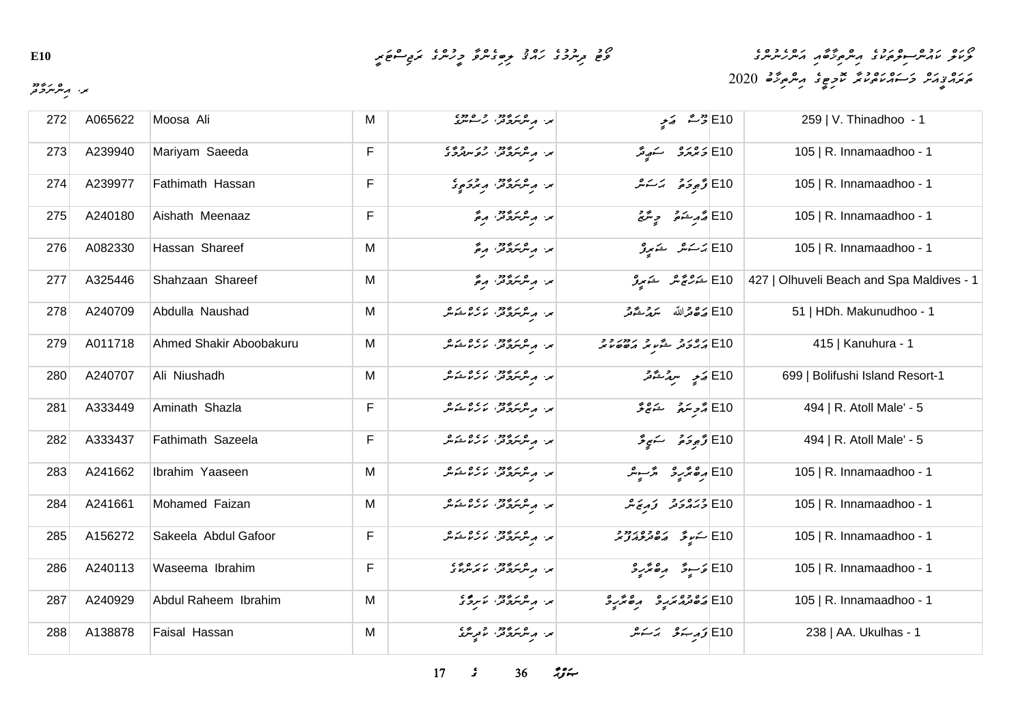*sCw7q7s5w7m< o<n9nOoAw7o< sCq;mAwBoEw7q<m; wBm;vB* م من المرة المرة المرة المرجع المرجع في المركبة 2020<br>مجم*د المريض المربوط المربع المرجع في المراجع المركبة* 

| <b>33 G S</b><br>بر. برسرسر و در |  |
|----------------------------------|--|
|----------------------------------|--|

| 272 | A065622 | Moosa Ali               | M            | ת מיתייקבים כ-200<br>ת מייתייקבית ה-ייתב          | E10 صحيحه محمومية ج                        | 259   V. Thinadhoo - 1                    |
|-----|---------|-------------------------|--------------|---------------------------------------------------|--------------------------------------------|-------------------------------------------|
| 273 | A239940 | Mariyam Saeeda          | F            | بر به شریون گوشهروی<br>بر به شریرون گوشهروی       | E10 كەندىگە سى <i>مبەن</i> گە              | 105   R. Innamaadhoo - 1                  |
| 274 | A239977 | Fathimath Hassan        | F            | بر رسر مردود.<br>بر رسر مردون ربر دی              | E10 تۇم <sub>ب</sub> وقە ئەس <i>تەنگ</i> ە | 105   R. Innamaadhoo - 1                  |
| 275 | A240180 | Aishath Meenaaz         | F            | بر . مر شرور . مر .<br>بر . مر شرو تر . مر .      | E10 مَ مِ شَمَّ وِ مَّرَجَ                 | 105   R. Innamaadhoo - 1                  |
| 276 | A082330 | Hassan Shareef          | M            | ىر. مەسكىتى ئەرەپچ                                | E10   پزشکر گھ مقامرو                      | 105   R. Innamaadhoo - 1                  |
| 277 | A325446 | Shahzaan Shareef        | M            | ىن مەس ئەقرى مەڭ                                  | E10 ڪريچ عرصي جو پيوٽر                     | 427   Olhuveli Beach and Spa Maldives - 1 |
| 278 | A240709 | Abdulla Naushad         | M            | ىر بەشرىروفر، ئازلاشكىر                           | E10 مَرْهُ مِّرْاللَّه سَمَّرْشَوْمَرْ     | 51   HDh. Makunudhoo - 1                  |
| 279 | A011718 | Ahmed Shakir Aboobakuru | M            | بر المستر برود المراد و بالمستحاش                 | $5.500$ $2.41$ $2.500$ $2.500$             | 415   Kanuhura - 1                        |
| 280 | A240707 | Ali Niushadh            | M            | ىر بەشرىرى ئەرەبىر                                | E10 كەمىي سىرگەنگەنگە                      | 699   Bolifushi Island Resort-1           |
| 281 | A333449 | Aminath Shazla          | $\mathsf{F}$ | ىلى مەشرىقلار بەرە ئەھرى                          | E10 مَّ حِسَمَةٌ شَيْءٌ مَّ                | 494   R. Atoll Male' - 5                  |
| 282 | A333437 | Fathimath Sazeela       | $\mathsf{F}$ | ىر بەشرىرى ئەرەبىر                                | E10 گۇجۇڭمۇ سىنىمۇ                         | 494   R. Atoll Male' - 5                  |
| 283 | A241662 | Ibrahim Yaaseen         | M            | ىر بەشرىروفر، ئازلاشكىر                           | E10 مەھ ئەر ئەسىر ئىسىر ئىس                | 105   R. Innamaadhoo - 1                  |
| 284 | A241661 | Mohamed Faizan          | M            | ىر بەشرىروفر، ئازلاشكىر                           | E10 <i>ۋىز برۇ بىر تىرىنى</i> ئىر          | 105   R. Innamaadhoo - 1                  |
| 285 | A156272 | Sakeela Abdul Gafoor    | $\mathsf{F}$ | ىر بەشرىرى بەرە ئەھ                               | E10 سَرِيْرَ 2014ع دورور                   | 105   R. Innamaadhoo - 1                  |
| 286 | A240113 | Waseema Ibrahim         | F            | بر به مربور در ۲۵۵<br>بر به مربورتها با بربورته   | E10 كۈسەنى مەھەردى<br>E10                  | 105   R. Innamaadhoo - 1                  |
| 287 | A240929 | Abdul Raheem Ibrahim    | M            | بر به مرسور در در در د                            | E10 كەھەمدىرى مەھمىي 3                     | 105   R. Innamaadhoo - 1                  |
| 288 | A138878 | Faisal Hassan           | M            | بر . مر مر مرکز مر مر مر مر<br>بر . مر مر مرکز مر | E10 تۇم يىچ    ئەسەنلە                     | 238   AA. Ukulhas - 1                     |

*17 sC 36 nNw?mS*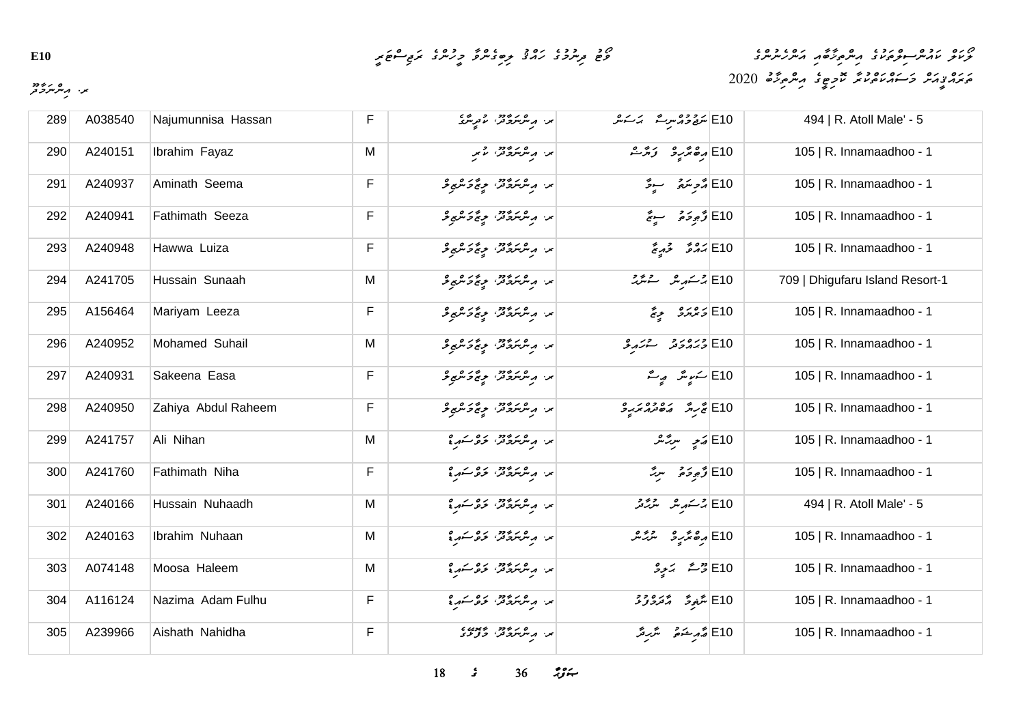*sCw7q7s5w7m< o<n9nOoAw7o< sCq;mAwBoEw7q<m; wBm;vB* م من المرة المرة المرة المرجع المرجع في المركبة 2020<br>مجم*د المريض المربوط المربع المرجع في المراجع المركبة* 

| <b>33 G S</b><br>ىر. برسرسر تەر |  |
|---------------------------------|--|
|---------------------------------|--|

| 289 | A038540 | Najumunnisa Hassan  | F           | بر . مر شرکتری از تر شر                        | E10 ىنى <i>ق 3.5 سىڭ بەسكىل</i>       | 494   R. Atoll Male' - 5        |
|-----|---------|---------------------|-------------|------------------------------------------------|---------------------------------------|---------------------------------|
| 290 | A240151 | Ibrahim Fayaz       | M           | ىر. مەس ئەقەتقۇ، ئامېر                         | E10 مەھەمگەر بۇ ئەمگەشە               | 105   R. Innamaadhoo - 1        |
| 291 | A240937 | Aminath Seema       | F           | بر ریگریزود. ویڅو نگرېږي                       | E10 مَّ مِ مَعْدَ سِيحَ               | 105   R. Innamaadhoo - 1        |
| 292 | A240941 | Fathimath Seeza     | F           | ىر. مەشكەقتر، بوغ كەنگىرى                      | E10 گ <sub>ھ</sub> وتر مریج           | 105   R. Innamaadhoo - 1        |
| 293 | A240948 | Hawwa Luiza         | F           | ىر. مەشرىكەت چەكەش ئ                           | E10 يَرْدُوَّ - قَرْمِيَّ             | 105   R. Innamaadhoo - 1        |
| 294 | A241705 | Hussain Sunaah      | M           | ىر. مەسكىگە ئۇي ئەسكەنچ                        | E10 پر شهر شد مشرحهٔ می               | 709   Dhigufaru Island Resort-1 |
| 295 | A156464 | Mariyam Leeza       | $\mathsf F$ | بر ریگریزود. ویڅو نگرېږي                       | E10 5 <i>بح</i> مد حجمة مح            | 105   R. Innamaadhoo - 1        |
| 296 | A240952 | Mohamed Suhail      | M           | بر ریگریزود. ویڅو نگرېږي                       | E10 <i>جُهُوَدُو بِهُمْ بِهُمْ وَ</i> | 105   R. Innamaadhoo - 1        |
| 297 | A240931 | Sakeena Easa        | F           | ىر. مەشكەقتر، بوغ كەنگىرى                      | E10 سَرِیٹر پریٹر                     | 105   R. Innamaadhoo - 1        |
| 298 | A240950 | Zahiya Abdul Raheem | F           | ىر. مەشرىكەت چەكەش ئ                           | E10 ئج بەنتە ئەھ <i>قىھ ئىرب</i> و    | 105   R. Innamaadhoo - 1        |
| 299 | A241757 | Ali Nihan           | M           | بر ، مرسروس نوگر شهر ؟                         | E10 کھ میں میرچمند                    | 105   R. Innamaadhoo - 1        |
| 300 | A241760 | Fathimath Niha      | F           | بر به شریدو ده شور ه                           | E10 <i>وُّجِوحَةْ</i> سِرَّتْهِ       | 105   R. Innamaadhoo - 1        |
| 301 | A240166 | Hussain Nuhaadh     | M           | بر به شریدو ره مرد                             | E10 بڑے پر ش <i>ر شرن</i> گر          | 494   R. Atoll Male' - 5        |
| 302 | A240163 | Ibrahim Nuhaan      | M           | بر به شریدو ره در ه                            | E10 م <i>وڭ ئۇر</i> ۇ س <i>رگىل</i> ر | 105   R. Innamaadhoo - 1        |
| 303 | A074148 | Moosa Haleem        | M           | بر ، مرس دو ده شور ه                           | E10 جي پر پريونز                      | 105   R. Innamaadhoo - 1        |
| 304 | A116124 | Nazima Adam Fulhu   | F           | بر ، مرسروس نوع شهر ؟                          | E10 سَّمَىٰ 5 مَتَرَوْتَرْ 5          | 105   R. Innamaadhoo - 1        |
| 305 | A239966 | Aishath Nahidha     | F           | بر ، پرسربرور میرده .<br>بر ، پرسربروتر ، بروی | E10 م <i>ۇم ھۇم مۇرى</i> گر           | 105   R. Innamaadhoo - 1        |

**18** *s* **36** *n***<sub>s</sub>***n*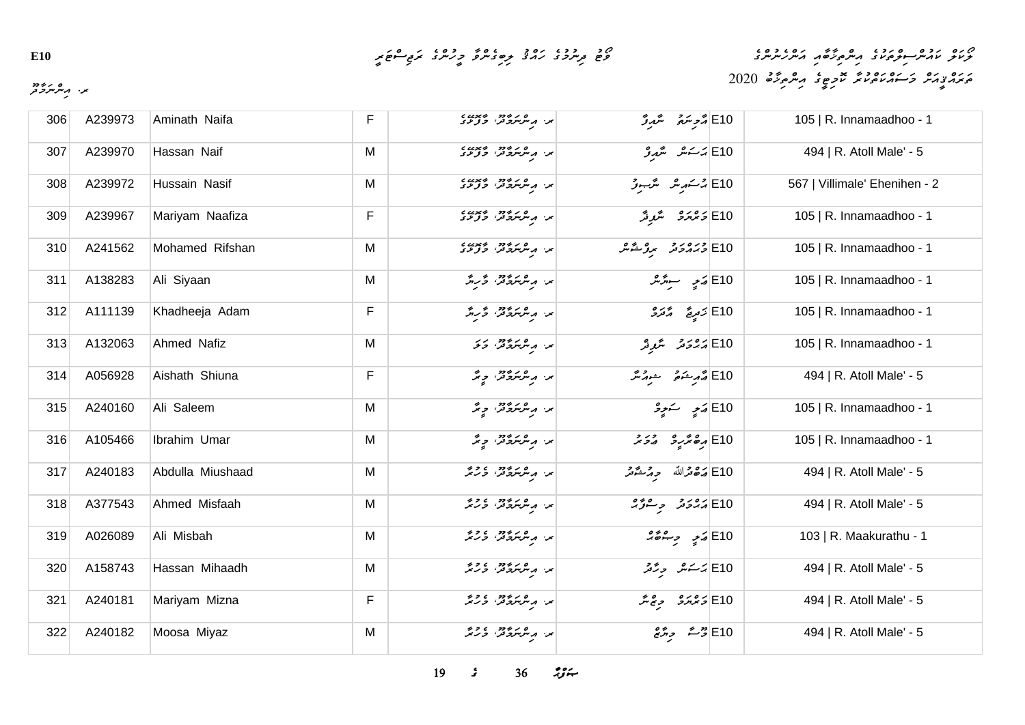*sCw7q7s5w7m< o<n9nOoAw7o< sCq;mAwBoEw7q<m; wBm;vB* م من المرة المرة المرة المرجع المرجع في المركبة 2020<br>مجم*د المريض المربوط المربع المرجع في المراجع المركبة* 

| 306 | A239973 | Aminath Naifa    | F | بر . مر سر بر در .<br>بر . مر سر بر تر بر بر بر د    | E10 مَّ حِسَمَۃ سَمَّدٍ وَّ                                  | 105   R. Innamaadhoo - 1      |
|-----|---------|------------------|---|------------------------------------------------------|--------------------------------------------------------------|-------------------------------|
| 307 | A239970 | Hassan Naif      | M | بر ، پرسربرو و وجوړ ،<br>بر ، پرسربروتر ، و ژبری     | E10 بزسک مگرو مح                                             | 494   R. Atoll Male' - 5      |
| 308 | A239972 | Hussain Nasif    | M | ه د سرسرود.<br>بر د سرسروتر، و ژبر د                 | E10   پرستمبر مگرسوژ                                         | 567   Villimale' Ehenihen - 2 |
| 309 | A239967 | Mariyam Naafiza  | F | ه د سرسرود.<br>بر د سرسروتر، و ژبر د                 | E10 كەبىر بىر ئىگى <i>د</i> ىگە                              | 105   R. Innamaadhoo - 1      |
| 310 | A241562 | Mohamed Rifshan  | M | بر پر بر برده و بردن و<br>بر پر بر برگرفتر و تو بر د | E10 <i>\$نەۋەتى بىرۇ</i> شەھ                                 | 105   R. Innamaadhoo - 1      |
| 311 | A138283 | Ali Siyaan       | M | ىر. مەسىر ئەقرى ئەرگە                                | E10 کھ جو سوچر گھر                                           | 105   R. Innamaadhoo - 1      |
| 312 | A111139 | Khadheeja Adam   | F | ىر. مەسىر ئەقرى ئەسەر                                | E10   زَمرِيحٌ     مُرْمَرْدُ                                | 105   R. Innamaadhoo - 1      |
| 313 | A132063 | Ahmed Nafiz      | M | ىر. مەشرىقلار كەت                                    | E10 كەندى قىر ئىگەنى                                         | 105   R. Innamaadhoo - 1      |
| 314 | A056928 | Aishath Shiuna   | F | ىن مەس ئەقرى جانگ                                    | E10 م <i>مَّ مِ</i> مِنْدَمَّة مُسْتَفَرَّة مُسَّرِّدَة مِنْ | 494   R. Atoll Male' - 5      |
| 315 | A240160 | Ali Saleem       | M | ىر. مەس ئەقتى، ج.ئ                                   | E10] پَرمٍ سَمَوٍ وُ                                         | 105   R. Innamaadhoo - 1      |
| 316 | A105466 | Ibrahim Umar     | M | ىر. مەسكىترى بولگە                                   | E10 <sub>مر</sub> ھ مُرَ <sub>بِ</sub> وْ مِرْدَ مُر         | 105   R. Innamaadhoo - 1      |
| 317 | A240183 | Abdulla Miushaad | M | بر . پر شریر ی و ه<br>بر . پر شریر تر . بر بر        | E10 مَەمْراللە جەمشىر                                        | 494   R. Atoll Male' - 5      |
| 318 | A377543 | Ahmed Misfaah    | M | بر . مرس و ده ده .<br>بر . مرس و در بر               | E10 كەيرى قىرىسى ئەرەپچە                                     | 494   R. Atoll Male' - 5      |
| 319 | A026089 | Ali Misbah       | M | بر . پر شریر ی و ه<br>بر . پر شریر تر . بر بر        | E10 كەم <sub>ج</sub> وشۇر                                    | 103   R. Maakurathu - 1       |
| 320 | A158743 | Hassan Mihaadh   | M | بر . پر شریر ی و ه<br>بر . پر شریر تر . بر بر        | E10   يَرْسَسْ وِرَّسْ                                       | 494   R. Atoll Male' - 5      |
| 321 | A240181 | Mariyam Mizna    | F | بر . مرس و ده ده .<br>بر . مرس و در بر               | E10 كەبىر بىر بىر يەنگە                                      | 494   R. Atoll Male' - 5      |
| 322 | A240182 | Moosa Miyaz      | M | بر . مر شرور ، و و بر .<br>بر . مر شرور الله .       | E10 ح مريم محمد جو برقم تع                                   | 494   R. Atoll Male' - 5      |

*19 s* 36 *i*<sub>S</sub> $\approx$ 

*r> به به مروده*<br>بو *به مرمور و*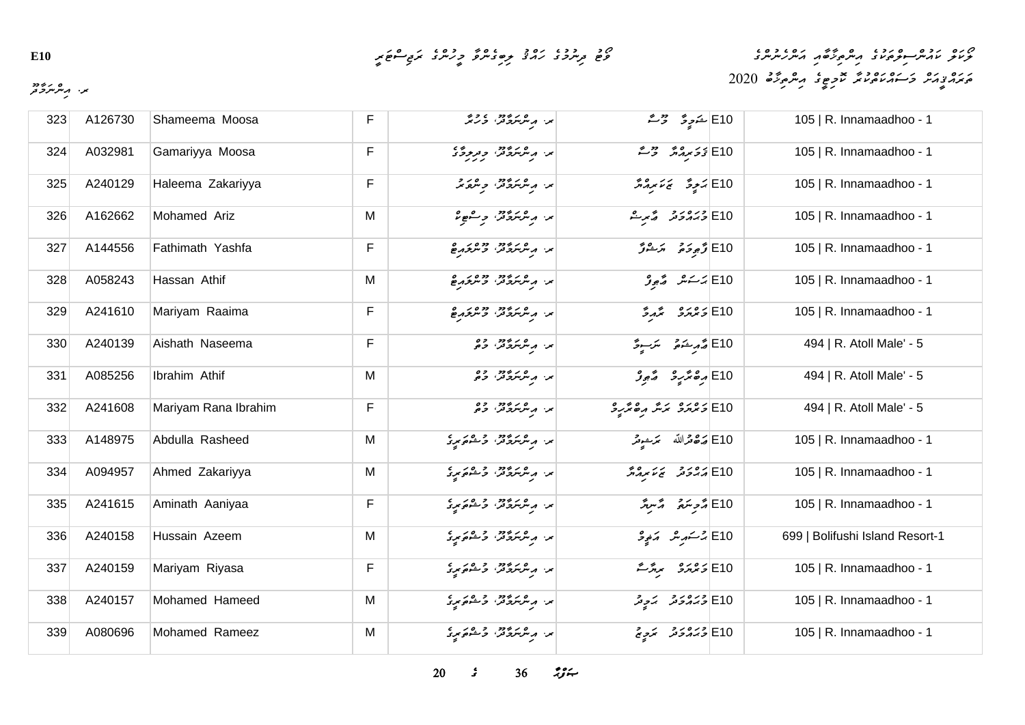*sCw7q7s5w7m< o<n9nOoAw7o< sCq;mAwBoEw7q<m; wBm;vB* م من المرة المرة المرة المرجع المرجع في المركبة 2020<br>مجم*د المريض المربوط المربع المرجع في المراجع المركبة* 

| <b>33 G S</b><br>بر. برسرسر و در |  |  |
|----------------------------------|--|--|
|----------------------------------|--|--|

| 323 | A126730 | Shameema Moosa       | $\mathsf F$ | بر . په شرکتري ورتو .<br>بر . په شرکتري ورتو    | E10 شوءً تي ش                            | 105   R. Innamaadhoo - 1        |
|-----|---------|----------------------|-------------|-------------------------------------------------|------------------------------------------|---------------------------------|
| 324 | A032981 | Gamariyya Moosa      | $\mathsf F$ | بر ریزبرد. ویروژی                               | E10 تۇتەبەيگە ئ <sup>و</sup> شە          | 105   R. Innamaadhoo - 1        |
| 325 | A240129 | Haleema Zakariyya    | $\mathsf F$ | بر ، مرسر دور و بروبر                           | E10 كەچەدىگە ئەمەمەر گەنگە               | 105   R. Innamaadhoo - 1        |
| 326 | A162662 | Mohamed Ariz         | M           | بر رسرسروس ورموم                                | E10 دېرو دي. گه برگ                      | 105   R. Innamaadhoo - 1        |
| 327 | A144556 | Fathimath Yashfa     | $\mathsf F$ | بر رسر مردود دور ه<br>بر رسر مردوس وسر دره      | E10 گ <sub>رگ</sub> وچر مرشوگر           | 105   R. Innamaadhoo - 1        |
| 328 | A058243 | Hassan Athif         | M           | بر ، مرسروس و مرکزم ه                           | E10 پرسٹر گھور                           | 105   R. Innamaadhoo - 1        |
| 329 | A241610 | Mariyam Raaima       | $\mathsf F$ | بر به سرسروس وروبر ه<br>بر به سرسروس و سربربر ه | E10 كانترنىڭ مەرگە                       | 105   R. Innamaadhoo - 1        |
| 330 | A240139 | Aishath Naseema      | $\mathsf F$ | بر ب <i>ه مرسوده وه</i>                         | E10 مَگْرِسْتَمْ مَرْسِوَدَّ             | 494   R. Atoll Male' - 5        |
| 331 | A085256 | Ibrahim Athif        | M           | بر ب <i>ه مرسوده وه</i>                         | E10 مِرْحَمَّدِ - مُسْتَمْرِ وَ          | 494   R. Atoll Male' - 5        |
| 332 | A241608 | Mariyam Rana Ibrahim | $\mathsf F$ | بر به سرسروس وه<br>بر به سرسروس وه              | E10 كەندىرى ئەنگە م <i>ەھتگەپ</i> ى      | 494   R. Atoll Male' - 5        |
| 333 | A148975 | Abdulla Rasheed      | M           | بر ریگریزود و دور د                             | E10 كەڭ قىراللە     كرىشونتر             | 105   R. Innamaadhoo - 1        |
| 334 | A094957 | Ahmed Zakariyya      | M           | بر به شریده و دور و                             | E10 كەبرى قىرىم ئىر ئىرىدىگە             | 105   R. Innamaadhoo - 1        |
| 335 | A241615 | Aminath Aaniyaa      | F           | بر به مربوده و ۵ د د د<br>بر به مربود تر شویری  | E10 مَّ مِسَعَ <sub>مِ</sub> مَسِعَّ     | 105   R. Innamaadhoo - 1        |
| 336 | A240158 | Hussain Azeem        | M           | د رسرسرو و ده د د                               | E10  پرڪمبريش ڪمن <sub>ج</sub> ي ه       | 699   Bolifushi Island Resort-1 |
| 337 | A240159 | Mariyam Riyasa       | $\mathsf F$ | بر ریگریزود و دور و                             | E10 كەنگەردە بىر ئەستە                   | 105   R. Innamaadhoo - 1        |
| 338 | A240157 | Mohamed Hameed       | M           | بر ریگریزود و دور و                             | E10 <i>\$ پُرُوُدَوَ پُرَ بِرَوْ</i> تُر | 105   R. Innamaadhoo - 1        |
| 339 | A080696 | Mohamed Rameez       | M           | بر به شریروز و شوند و                           | E10 <i>\$ بَرْدُوَنْڌَ بَرَجِ</i> جُ     | 105   R. Innamaadhoo - 1        |

 $20$  *s* 36  $23$   $\div$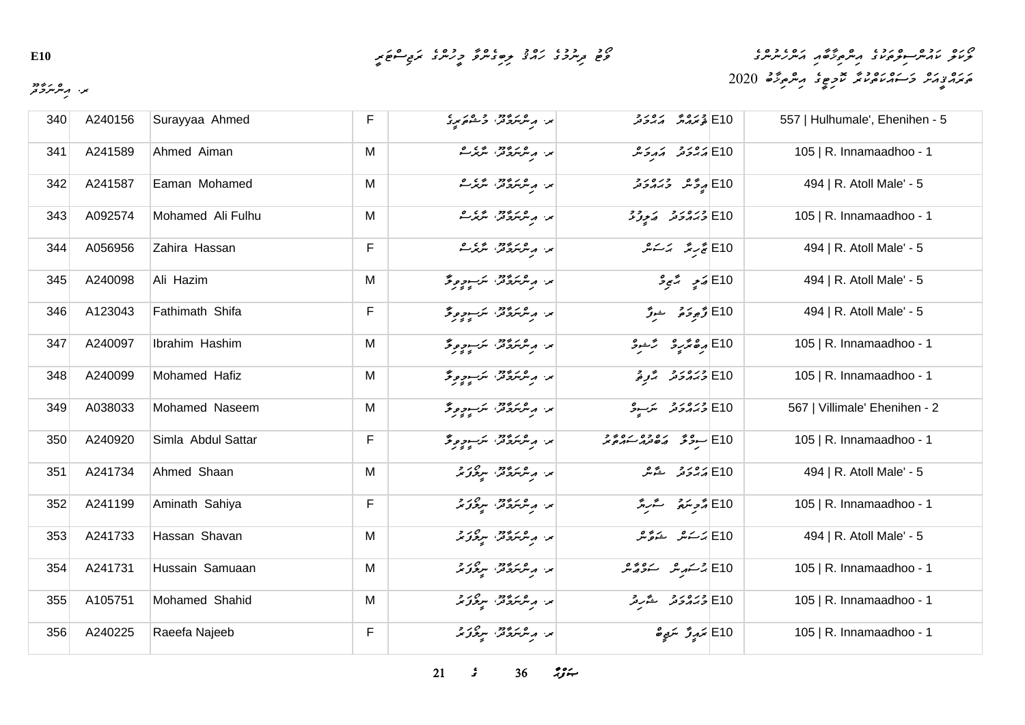*sCw7q7s5w7m< o<n9nOoAw7o< sCq;mAwBoEw7q<m; wBm;vB* م من المرة المرة المرة المرجع المرجع في المركبة 2020<br>مجم*د المريض المربوط المربع المرجع في المراجع المركبة* 

| 340 | A240156 | Surayyaa Ahmed     | $\mathsf F$ | بر به شریروز و شونده                         | E10 فوتره مر مرد د                 | 557   Hulhumale', Ehenihen - 5 |
|-----|---------|--------------------|-------------|----------------------------------------------|------------------------------------|--------------------------------|
| 341 | A241589 | Ahmed Aiman        | M           | بر روزبرده وه و                              | E10 كەبرى قىم كەرىخە ئىر           | 105   R. Innamaadhoo - 1       |
| 342 | A241587 | Eaman Mohamed      | M           | بر ، مرسر برود به بره ه                      | E10 مِرَّشْ كَرَمْ كَرْمَ تَرْكَبَ | 494   R. Atoll Male' - 5       |
| 343 | A092574 | Mohamed Ali Fulhu  | M           | ىر. مەس ئەق ئەس ئە                           | E10 <i>\$نەچى ھوۋ</i> ى            | 105   R. Innamaadhoo - 1       |
| 344 | A056956 | Zahira Hassan      | $\mathsf F$ | ىر بەشكەق ئىرىمى                             | E10 تج برنز - برسترنتر             | 494   R. Atoll Male' - 5       |
| 345 | A240098 | Ali Hazim          | M           | ىر. مەشرىقلار سەسوھەتى                       | E10 کی په چینې تو                  | 494   R. Atoll Male' - 5       |
| 346 | A123043 | Fathimath Shifa    | F           | ىر. مەشكەن سەسوھەتى                          | E10 رَّجِودَةُ صَوَّرَ             | 494   R. Atoll Male' - 5       |
| 347 | A240097 | Ibrahim Hashim     | M           | ىر. مەشرىقۇش، سەسىرى بەرگە                   | E10 م <i>وڭ ئۇر</i> ئەشرى          | 105   R. Innamaadhoo - 1       |
| 348 | A240099 | Mohamed Hafiz      | M           | ىر. مەشكەق سەسىرە بۇ                         | E10 <i>\$ پروونر برگې</i> تو       | 105   R. Innamaadhoo - 1       |
| 349 | A038033 | Mohamed Naseem     | M           | ىر. مەشرىرون سەسىرە ئ                        | E10 <i>\$ پُرُوُ يَ مَدْ بِ</i> وَ | 567   Villimale' Ehenihen - 2  |
| 350 | A240920 | Simla Abdul Sattar | $\mathsf F$ | أير. ويترتزون الكرسولولو                     | E10 سوڭر مەھەرمەمەد                | 105   R. Innamaadhoo - 1       |
| 351 | A241734 | Ahmed Shaan        | M           | بر ریرسروی سرور د                            | E10 كەندى قىرىشى ئىستىلىر          | 494   R. Atoll Male' - 5       |
| 352 | A241199 | Aminath Sahiya     | $\mathsf F$ | ىر. مەشرىگەن سرچەترىر                        | E10 مُرْحِبَهُ مُسَبَّرِ مُسَبَّر  | 105   R. Innamaadhoo - 1       |
| 353 | A241733 | Hassan Shavan      | M           | ىر. مەشكەڭ ئەسرەر ج                          | E10 كەسكەش ھەدىگە                  | 494   R. Atoll Male' - 5       |
| 354 | A241731 | Hussain Samuaan    | M           | بر ، مرسر دور .<br>بر ، مرسر دور ، سر دور بر | E10 يُرسَمبر سُر سَنَ سُرْمَ مُد   | 105   R. Innamaadhoo - 1       |
| 355 | A105751 | Mohamed Shahid     | M           | ىر. مەسىرگە ئۇس سەر ئەر ئ                    | E10 دُيَرْدُوَتْرَ ۖ شَرِيْرَ      | 105   R. Innamaadhoo - 1       |
| 356 | A240225 | Raeefa Najeeb      | F           | ىر. مەسىرگەن سرگرىزىم                        | E10 بَرَمٍ وَ " سَمِعٍ صَّ         | 105   R. Innamaadhoo - 1       |

 $21$  *s* 36  $29$   $\div$ 

*r> به به مروده*<br>بو *به مرمور و*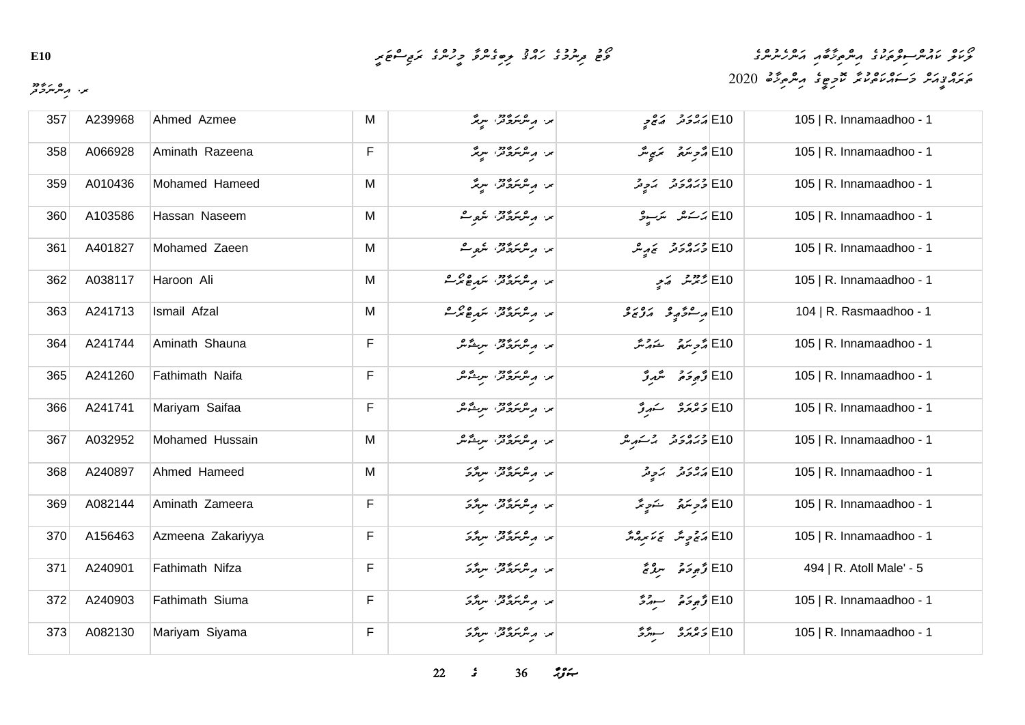*sCw7q7s5w7m< o<n9nOoAw7o< sCq;mAwBoEw7q<m; wBm;vB* م من المرة المرة المرة المرجع المرجع في المركبة 2020<br>مجم*د المريض المربوط المربع المرجع في المراجع المركبة* 

| 357 | A239968 | Ahmed Azmee       | M | ىر. مەشكەقتر، سەنگە                   | E10 كەندى قىرىمى ئىلگە بىر ئىلگە بىر ئ           | 105   R. Innamaadhoo - 1 |
|-----|---------|-------------------|---|---------------------------------------|--------------------------------------------------|--------------------------|
| 358 | A066928 | Aminath Razeena   | F | ىر. مەشكەقلار سېڭە                    | E10 گەجەنىڭ <sub>ە م</sub> ىرىپەتتە              | 105   R. Innamaadhoo - 1 |
| 359 | A010436 | Mohamed Hameed    | M | ىر. مەسكىترى ئىرىگە                   | E10  <i>3223 كەچ</i> ىر                          | 105   R. Innamaadhoo - 1 |
| 360 | A103586 | Hassan Naseem     | M | ىر. مەس كەن ئەرەب                     | E10] پَرَسَسٌ - سَرَسِوطُ                        | 105   R. Innamaadhoo - 1 |
| 361 | A401827 | Mohamed Zaeen     | M | ىر. مەشرىكەت شوپ                      | E10 <i>\$22.2 يوپىر</i>                          | 105   R. Innamaadhoo - 1 |
| 362 | A038117 | Haroon Ali        | M | بر ریگر مردود شروع مرت                | E10 كەنترىتر كەبچە                               | 105   R. Innamaadhoo - 1 |
| 363 | A241713 | Ismail Afzal      | M | بر ویرسرد در ۵۵۰ ه                    | E10 <sub>م</sub> رےد <sub>گیر</sub> و ۔ پی پی کی | 104   R. Rasmaadhoo - 1  |
| 364 | A241744 | Aminath Shauna    | F | ىر. مەس كەللەر سويىگەش                | E10 مَّ حِسَمَ حَسَنَ مَّتَ                      | 105   R. Innamaadhoo - 1 |
| 365 | A241260 | Fathimath Naifa   | F | ىر. مەس كەللەر سويىگەش                | E10 زَّەپرىق سَمْدِرَّ                           | 105   R. Innamaadhoo - 1 |
| 366 | A241741 | Mariyam Saifaa    | F | ىر. مەسىرگەن سىشەش                    | E10 كەبىر بىر سىمب <i>ە</i> ر                    | 105   R. Innamaadhoo - 1 |
| 367 | A032952 | Mohamed Hussain   | M | ىر. بەشكەردە سويىگەش                  | E10 دېم دي د مشهد ش                              | 105   R. Innamaadhoo - 1 |
| 368 | A240897 | Ahmed Hameed      | M | ىر. مەھككەتر، سەرگە                   | E10   كەش <sup>ى</sup> كىمى كەر بەر كەر          | 105   R. Innamaadhoo - 1 |
| 369 | A082144 | Aminath Zameera   | F | ىر. مەسكىگەنى سىڭەك                   | E10 مَّ حِ سَمَعَ مَسَجِعَّہ                     | 105   R. Innamaadhoo - 1 |
| 370 | A156463 | Azmeena Zakariyya | F | ىر. مەسكىگەنى سىڭەك                   | E10 كەيھى چىڭ سىم ئىروگە ئىر                     | 105   R. Innamaadhoo - 1 |
| 371 | A240901 | Fathimath Nifza   | F | ىر. مەس <i>كىن</i> دىن سى <i>لا</i> د | E10 رَّجِوحَةُ مَسِرْجٌ                          | 494   R. Atoll Male' - 5 |
| 372 | A240903 | Fathimath Siuma   | F | ىر. مەشكەكتر، سەركە                   | E10 أَوَّجِوَحَةُ مَسِيَّرَةُ ۖ                  | 105   R. Innamaadhoo - 1 |
| 373 | A082130 | Mariyam Siyama    | F | بر. م <i>ر شرکتر می شرکت</i>          | E10 كانترنىڭ سىزگە                               | 105   R. Innamaadhoo - 1 |

 $22$  *s* 36  $23$   $\div$ 

*r> ... م*ر *مرو*د<br>بر *... مر مر مرو* تر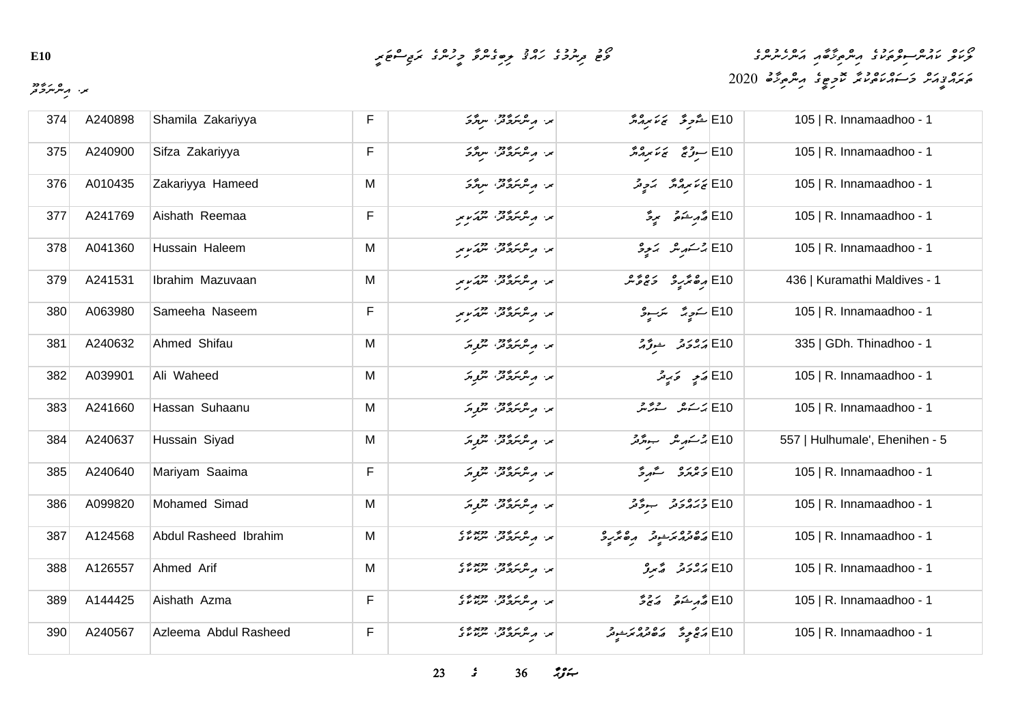*sCw7q7s5w7m< o<n9nOoAw7o< sCq;mAwBoEw7q<m; wBm;vB* م من المرة المرة المرة المرجع المرجع في المركبة 2020<br>مجم*د المريض المربوط المربع المرجع في المراجع المركبة* 

| <b>33 G C</b><br>بر. برسرسر جر |  |
|--------------------------------|--|
|--------------------------------|--|

| 374 | A240898 | Shamila Zakariyya     | $\mathsf{F}$ | ىر. مەسكىگەنگە، سىڭرى                            | E10 ڪوير تم <i>مامبرائر</i>                       | 105   R. Innamaadhoo - 1       |
|-----|---------|-----------------------|--------------|--------------------------------------------------|---------------------------------------------------|--------------------------------|
| 375 | A240900 | Sifza Zakariyya       | F            | ىن مەسكىگەن سىڭ                                  | E10 سوژیج نج <i>ما م</i> روگر                     | 105   R. Innamaadhoo - 1       |
| 376 | A010435 | Zakariyya Hameed      | M            | ىر. مەس <i>رىدىق س</i> ىردى                      | E10 ئى ئەمبەم مىچە ئىچە ئىر                       | 105   R. Innamaadhoo - 1       |
| 377 | A241769 | Aishath Reemaa        | F            | بر به سرسرو در دور بر                            | E10 مَگرِ شَمَّة مِرَدَّ                          | 105   R. Innamaadhoo - 1       |
| 378 | A041360 | Hussain Haleem        | M            | بر ریگر دور دوربر بر                             | E10 پڑے پہلا کے برچ                               | 105   R. Innamaadhoo - 1       |
| 379 | A241531 | Ibrahim Mazuvaan      | M            | بر ریگریزده شد با بر                             | E10 <sub>م</sub> ەمگەر ئەرەبىر قىلغان كىلىمات ئىس | 436   Kuramathi Maldives - 1   |
| 380 | A063980 | Sameeha Naseem        | F            | بر . مر سر سر دور<br>بر . مر سر سر کرد سر کرد بر | E10 کے پڑ سر سر پر محمد کرنے کی م                 | 105   R. Innamaadhoo - 1       |
| 381 | A240632 | Ahmed Shifau          | M            | ىر. مەسكىگەنى، شروش                              | E10 كەندى ھەرىپە                                  | 335   GDh. Thinadhoo - 1       |
| 382 | A039901 | Ali Waheed            | M            | ىر. مەھككەن ئىروم                                | E10 کمبر کاریٹر                                   | 105   R. Innamaadhoo - 1       |
| 383 | A241660 | Hassan Suhaanu        | M            | ىر. مەسكىگەنگە، شركەتكە                          | E10 پرسٹر گے گھر                                  | 105   R. Innamaadhoo - 1       |
| 384 | A240637 | Hussain Siyad         | M            | أين أبر مكر مركزة المسترومر                      | E10 پرستمبر شہر سبزرگر                            | 557   Hulhumale', Ehenihen - 5 |
| 385 | A240640 | Mariyam Saaima        | F            | ىر. مەشكەكتر، شركەتك                             | E10 كانترنترنت مستهردً                            | 105   R. Innamaadhoo - 1       |
| 386 | A099820 | Mohamed Simad         | M            | ىر. مەسكىگەنگە، شركەتكە                          | E10 <i>جُهُوَدُو جُهُ جَ</i> ثَر                  | 105   R. Innamaadhoo - 1       |
| 387 | A124568 | Abdul Rasheed Ibrahim | M            | ת התייקבית בבינים                                | E10 كەھەركە ئوسى مەھەر بىر ئى                     | 105   R. Innamaadhoo - 1       |
| 388 | A126557 | Ahmed Arif            | M            | ת התייכד בביבים<br>ת הייתייכני יימוש             | E10 كەندى قىلىدى ئىلىدى كەندى                     | 105   R. Innamaadhoo - 1       |
| 389 | A144425 | Aishath Azma          | $\mathsf F$  | ת התייקבר בביבים<br>ת הייתייקבית ייקודו ב        | E10 مەم شىم ھىمى ئىچ                              | 105   R. Innamaadhoo - 1       |
| 390 | A240567 | Azleema Abdul Rasheed | F            |                                                  | E10 كەنج بۇ ھەھەر كەنبەتر                         | 105   R. Innamaadhoo - 1       |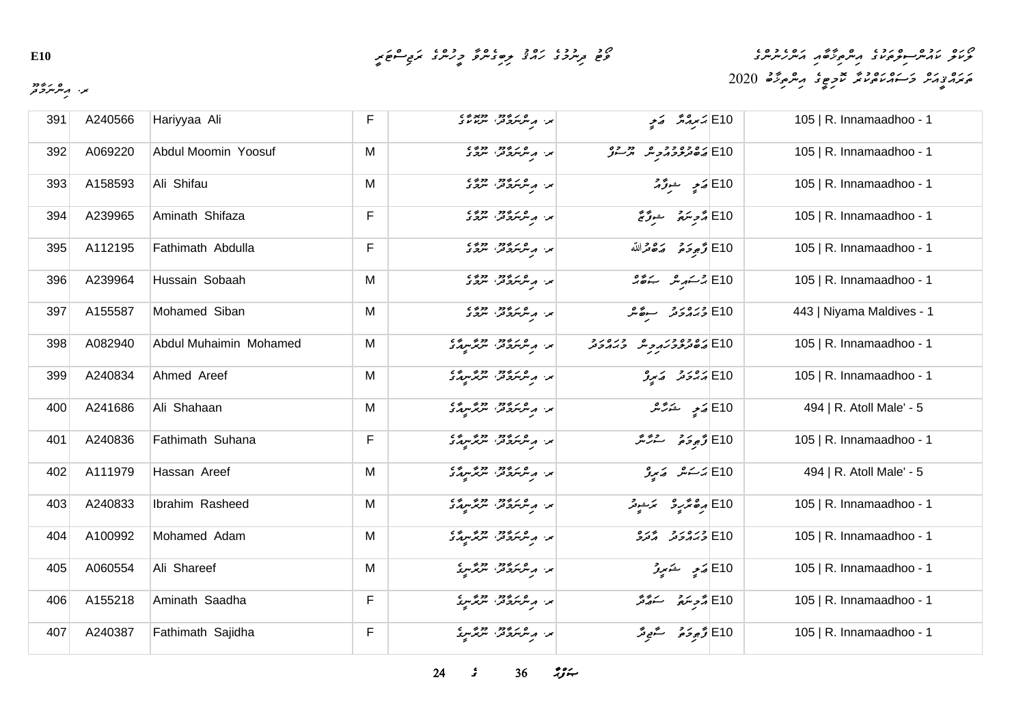*sCw7q7s5w7m< o<n9nOoAw7o< sCq;mAwBoEw7q<m; wBm;vB* م من المرة المرة المرة المرجع المرجع في المركبة 2020<br>مجم*د المريض المربوط المربع المرجع في المراجع المركبة* 

| <b>33 G S</b><br>بر. برسرسر و در |  |
|----------------------------------|--|
|----------------------------------|--|

| 391 | A240566 | Hariyyaa Ali           | $\mathsf{F}$ | יני הייתיות בני כראשים בי                    | E10 بربروتژ پر چ                      | 105   R. Innamaadhoo - 1  |
|-----|---------|------------------------|--------------|----------------------------------------------|---------------------------------------|---------------------------|
| 392 | A069220 | Abdul Moomin Yoosuf    | M            | ת היי המינדית ובני ה                         | E10 كەھەر <i>جەھەر جىلى بىر سىز</i>   | 105   R. Innamaadhoo - 1  |
| 393 | A158593 | Ali Shifau             | M            | ת היי המינדית ובני ה                         | E10 كەمچە سىر <i>ۇ</i> گە             | 105   R. Innamaadhoo - 1  |
| 394 | A239965 | Aminath Shifaza        | $\mathsf{F}$ | ם מיכח - כי הם<br>מי הייתיות ברי יינב ב      | E10 مُرْحِبَتَهُ ۖ سُوَرٌّ مَحَ       | 105   R. Innamaadhoo - 1  |
| 395 | A112195 | Fathimath Abdulla      | $\mathsf{F}$ | ת הייתולד בכל ב                              | E10 تَرْجِعَةً صَدَّةَ مَدَاللَّه     | 105   R. Innamaadhoo - 1  |
| 396 | A239964 | Hussain Sobaah         | M            | <br>  پر د مرس دور العروج                    | E10 ير شهر شهر مست <i>مر پ</i>        | 105   R. Innamaadhoo - 1  |
| 397 | A155587 | Mohamed Siban          | M            | ת היי המינדית ובני ה                         | E10 دېم ديز سرځ شر                    | 443   Niyama Maldives - 1 |
| 398 | A082940 | Abdul Muhaimin Mohamed | M            | أبر المستر مردود المرتجز من المحمد           | E10 مەھىر <i>جەم مەدەر جەم</i> ەر قىر | 105   R. Innamaadhoo - 1  |
| 399 | A240834 | Ahmed Areef            | M            |                                              | E10 كەندى كەر كەر بىر                 | 105   R. Innamaadhoo - 1  |
| 400 | A241686 | Ali Shahaan            | M            | ת מיטובת מידי הם<br>ת מיטובת יודעית          | E10 كەي ھەرچىر                        | 494   R. Atoll Male' - 5  |
| 401 | A240836 | Fathimath Suhana       | $\mathsf F$  | د. د سرسرو در دور ده د                       | E10 گ <sub>رم</sub> وځو شرمنگر        | 105   R. Innamaadhoo - 1  |
| 402 | A111979 | Hassan Areef           | M            | ת מיטובת מידי הם<br>ת מיטובת יודעית          | E10   يَرْسَسْ - مَدْمِيْرٌ           | 494   R. Atoll Male' - 5  |
| 403 | A240833 | Ibrahim Rasheed        | M            | بر رسر دور دور دره<br>بر رسر مرد در مربر مرد | E10 م <i>وڭ ئۇر</i> بۇ ھەمئىيەتمە     | 105   R. Innamaadhoo - 1  |
| 404 | A100992 | Mohamed Adam           | M            | ת מיטובת מידי הם<br>ת מיטובת יודעית          | E10 \$ پروژو پر په پروژ               | 105   R. Innamaadhoo - 1  |
| 405 | A060554 | Ali Shareef            | M            | ىر. مەس كەفتۇر، سىر كەنبەرى                  | E10 کړې خ <i>مېر</i> ژ                | 105   R. Innamaadhoo - 1  |
| 406 | A155218 | Aminath Saadha         | F            | ىر. مەس كەفتۇر، سىر كەنبەرى                  | E10 مَّ حِبَّمَةٌ مَسَمَّةٌ           | 105   R. Innamaadhoo - 1  |
| 407 | A240387 | Fathimath Sajidha      | F            | بر . ما مرکز در دولار ع                      | E10 گرموځو گرمونگر                    | 105   R. Innamaadhoo - 1  |

 $24$  *s* 36  $23$   $\div$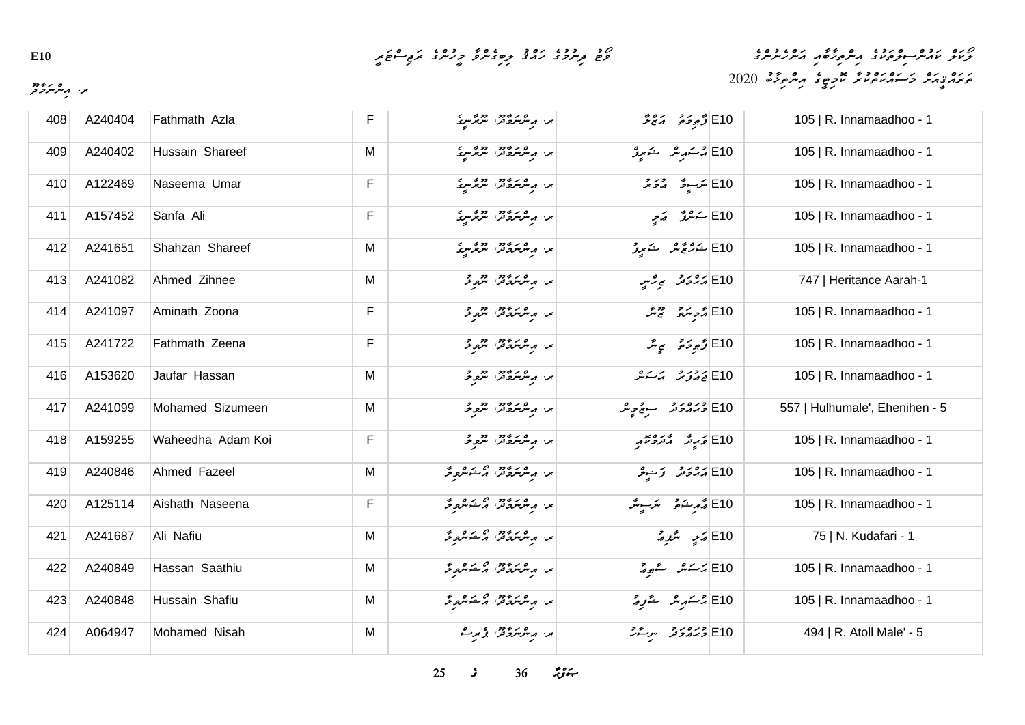*sCw7q7s5w7m< o<n9nOoAw7o< sCq;mAwBoEw7q<m; wBm;vB* م من المرة المرة المرة المرجع المرجع في المركبة 2020<br>مجم*د المريض المربوط المربع المرجع في المراجع المركبة* 

| <b>33 G S</b><br>ىر. برسرسر تەر |  |
|---------------------------------|--|
|---------------------------------|--|

| 408 | A240404 | Fathmath Azla     | $\mathsf F$ | بر ، مر سر سر در دیگر سر بر سر بر در این مردم برد .<br>مردم این سر سر سر بر سر بر سر بر سر برد .                                 | E10 تَ <i>مْجِوَة</i> دَيْءٌ                   | 105   R. Innamaadhoo - 1       |
|-----|---------|-------------------|-------------|----------------------------------------------------------------------------------------------------------------------------------|------------------------------------------------|--------------------------------|
| 409 | A240402 | Hussain Shareef   | M           | بر ، مر سر سر دیگر سر بر سر بر سر بر د                                                                                           | E10   يرسكوبر مسكوبيرد                         | 105   R. Innamaadhoo - 1       |
| 410 | A122469 | Naseema Umar      | F           | بر ، مر سر سر دیگر سر بر سر بر سر بر د                                                                                           | E10 سَرَسِرَةٌ مَرْدَ بَرْ                     | 105   R. Innamaadhoo - 1       |
| 411 | A157452 | Sanfa Ali         | F           | بر ، مرسر دورو ، دورو ، د                                                                                                        | E10 سنه پژو په چې                              | 105   R. Innamaadhoo - 1       |
| 412 | A241651 | Shahzan Shareef   | M           | د رسرسروس سربرسری<br>در رسرسروس سربرسری                                                                                          | E10 ڪر <i>ي گھ</i> ر ڪمبر <i>ق</i>             | 105   R. Innamaadhoo - 1       |
| 413 | A241082 | Ahmed Zihnee      | M           | ىر. مەسكىگەن ئىتموتر                                                                                                             | E10   كەندى كىمى ئەس ب                         | 747   Heritance Aarah-1        |
| 414 | A241097 | Aminath Zoona     | F           | ىر. مەسكىگەنى شھوقى                                                                                                              | E10 گھ جي مگھ جي مگھ آ                         | 105   R. Innamaadhoo - 1       |
| 415 | A241722 | Fathmath Zeena    | F           | ىر. مەسكىگەن ئىتموتر                                                                                                             | E10 گۇجوڭرىمى سېڭر                             | 105   R. Innamaadhoo - 1       |
| 416 | A153620 | Jaufar Hassan     | M           | ىر. مەسكىگەنى شھوقى                                                                                                              | E10 نے <i>مگرم</i> کر ترک مگر                  | 105   R. Innamaadhoo - 1       |
| 417 | A241099 | Mohamed Sizumeen  | M           | بر ریگریزور در د                                                                                                                 | E10 <i>\$نەۋەقە</i> سى <i>نج</i> وبىر          | 557   Hulhumale', Ehenihen - 5 |
| 418 | A159255 | Waheedha Adam Koi | $\mathsf F$ | ىر. مەسكىگەنى شھوقى                                                                                                              | E10 كۈيەتتە ب <sup>ە</sup> ئىر <i>قەتت</i> ەبە | 105   R. Innamaadhoo - 1       |
| 419 | A240846 | Ahmed Fazeel      | M           | بر رسرسروس کرشور کار                                                                                                             | E10] پَرْدُی تَرْ تَوَسِیْرُ                   | 105   R. Innamaadhoo - 1       |
| 420 | A125114 | Aishath Naseena   | F           | ىر. مەشرىقلار، مەشكىرىمىتى ئى                                                                                                    | E10 <i>مەھمەشقىقى</i> س <i>ىرسى</i> تىر        | 105   R. Innamaadhoo - 1       |
| 421 | A241687 | Ali Nafiu         | M           | ىم بە مەسرى بول ئەسكەن ئى                                                                                                        | E10 کړې شموځ                                   | 75   N. Kudafari - 1           |
| 422 | A240849 | Hassan Saathiu    | M           | ىر. مەشرىقىق مەشرىقىدۇ                                                                                                           | E10 پرسٹر گ <sub>جو</sub> ر                    | 105   R. Innamaadhoo - 1       |
| 423 | A240848 | Hussain Shafiu    | M           | ىر مەسىر ئەرەر ئەسكەنگەنگە                                                                                                       | E10 پرڪ <i>مبرنگر</i> ڪ <i>وبرگ</i>            | 105   R. Innamaadhoo - 1       |
| 424 | A064947 | Mohamed Nisah     | M           | بر <sub>ا</sub> مرتکز در محمد علم استفاده به استفاده به استفاده به استفاده به استفاده باشد.<br>مراجع استفاده باشدهاستان باشدهاست | E10 <i>\$22 مرتدًا برس</i>                     | 494   R. Atoll Male' - 5       |

 $25$  *s*  $36$  *n***<sub>3</sub>** *n*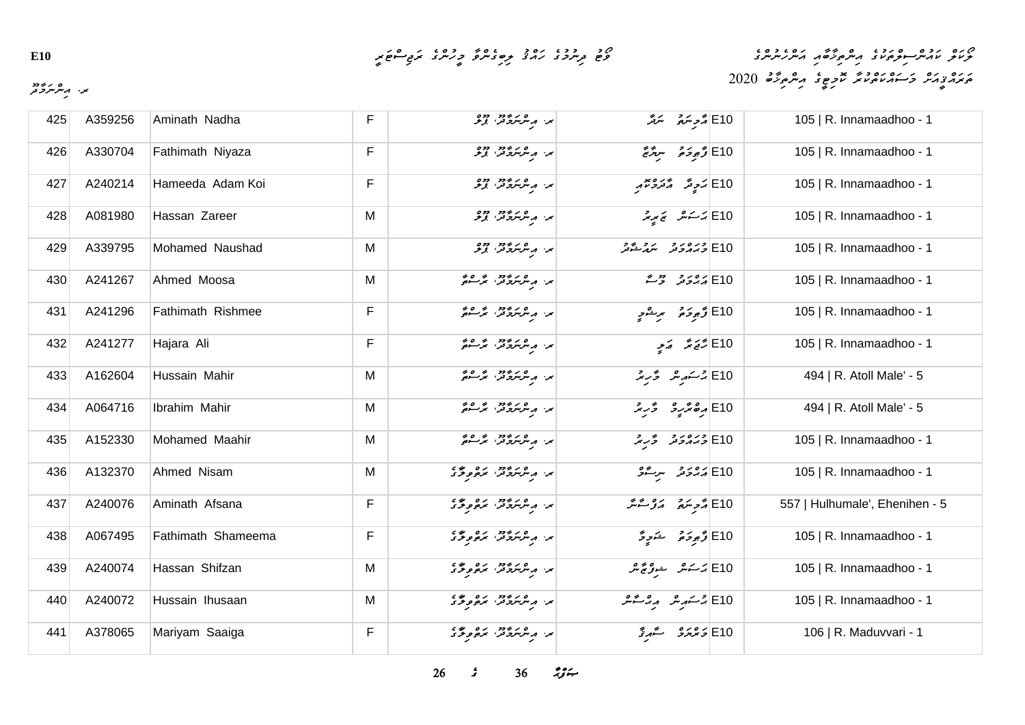*sCw7q7s5w7m< o<n9nOoAw7o< sCq;mAwBoEw7q<m; wBm;vB* م من المرة المرة المرة المرجع المرجع في المركبة 2020<br>مجم*د المريض المربوط المربع المرجع في المراجع المركبة* 

| <b>33 G S</b><br>ىر. برسرسرتر تر |  |
|----------------------------------|--|
|----------------------------------|--|

| 425 | A359256 | Aminath Nadha      | F | ىر. مەس <i>رىدىن ب</i> وھ                                            | E10 مَّ صِنَعَهُ مَسَمَّد                                                         | 105   R. Innamaadhoo - 1       |
|-----|---------|--------------------|---|----------------------------------------------------------------------|-----------------------------------------------------------------------------------|--------------------------------|
| 426 | A330704 | Fathimath Niyaza   | F | ىر. مەس <i>رىدىن ب</i> وھ                                            | E10 زَّەپرەَ ئ <sup>و</sup> ر سر <i>مَزَّة</i> َ                                  | 105   R. Innamaadhoo - 1       |
| 427 | A240214 | Hameeda Adam Koi   | F | ىر. مەس <i>رىدىن ب</i> وھ                                            | E10 كەچ قەر قەتىر قىلغان ب                                                        | 105   R. Innamaadhoo - 1       |
| 428 | A081980 | Hassan Zareer      | M | بر به شرور ده<br>بر به شرور در بود                                   | E10  تەستەنلىر ئەمرىتىر                                                           | 105   R. Innamaadhoo - 1       |
| 429 | A339795 | Mohamed Naushad    | M | بر. <sub>م</sub> ه شر <del>ود</del> وه<br>بر. م <i>ه شروفر، ب</i> رخ | E10 در برور میگر میگرد                                                            | 105   R. Innamaadhoo - 1       |
| 430 | A241267 | Ahmed Moosa        | M | بر . د سرسرو در ه ۵ د م                                              | $23.525$ E10                                                                      | 105   R. Innamaadhoo - 1       |
| 431 | A241296 | Fathimath Rishmee  | F | بر . مر سر سر در در ۵ در ۲۵ شخصی<br>بر . مر سر سر پر قرانسوی         | E10 رَّجِودَةُ مِي <sup>ش</sup> ْرِ                                               | 105   R. Innamaadhoo - 1       |
| 432 | A241277 | Hajara Ali         | F | بر . مر سر سر در در ۵ در ۲۵ شخصی<br>بر . مر سر سر پر قرانسوی         | E10 حُقے بھ مگار کی تھا۔<br>ا                                                     | 105   R. Innamaadhoo - 1       |
| 433 | A162604 | Hussain Mahir      | M | بر ریر مردود بر ده                                                   | E10 پر شہر شہر محمد ت                                                             | 494   R. Atoll Male' - 5       |
| 434 | A064716 | Ibrahim Mahir      | M | بر . مر سر سر در در ۵ در ۲۵ شخصی<br>بر . مر سر سر پر تر سر مر        | E10 <sub>مو</sub> ھ تژر باتھ اور باتھ<br>ا                                        | 494   R. Atoll Male' - 5       |
| 435 | A152330 | Mohamed Maahir     | M | بر . مر شرور از ۲۵ ورم                                               | E10 كەندە ئەرىرى ق                                                                | 105   R. Innamaadhoo - 1       |
| 436 | A132370 | Ahmed Nisam        | M | بر ، مرسر دود . بره و د ،                                            | E10 كەندى كىر سرىسىگى                                                             | 105   R. Innamaadhoo - 1       |
| 437 | A240076 | Aminath Afsana     | F | د رسرسرون ده ده د                                                    | E10 گەجە ئىرق مەنزىسىگەنگە                                                        | 557   Hulhumale', Ehenihen - 5 |
| 438 | A067495 | Fathimath Shameema | F | د رسر دود.<br>د رسر دول مردون                                        | E10 تَ <i>وْجِوَة</i> مُصَوِرَّ                                                   | 105   R. Innamaadhoo - 1       |
| 439 | A240074 | Hassan Shifzan     | M | بر ، مرسر دود . بره و د ،                                            | E10 كەسكەنلە ھەرىج ئىر                                                            | 105   R. Innamaadhoo - 1       |
| 440 | A240072 | Hussain Ihusaan    | M | بر ریگر دور بره بود                                                  | E10 يُرْسَمَ مِهْ مِيْرَ مَشْتَرَ مِيْرَ مِيْرَ مِيْرَ مِيْرَ مِيْرَ مِيْرَ مِيْر | 105   R. Innamaadhoo - 1       |
| 441 | A378065 | Mariyam Saaiga     | F | بر رسر مردود ده وره<br>بر رسر مردود برونو د                          | E10 كەنترىرى مەھمىرىتى                                                            | 106   R. Maduvvari - 1         |

 $26$  *s*  $36$  *n***<sub>3</sub>** *n*<sub>3</sub> *n*<sub>1</sub>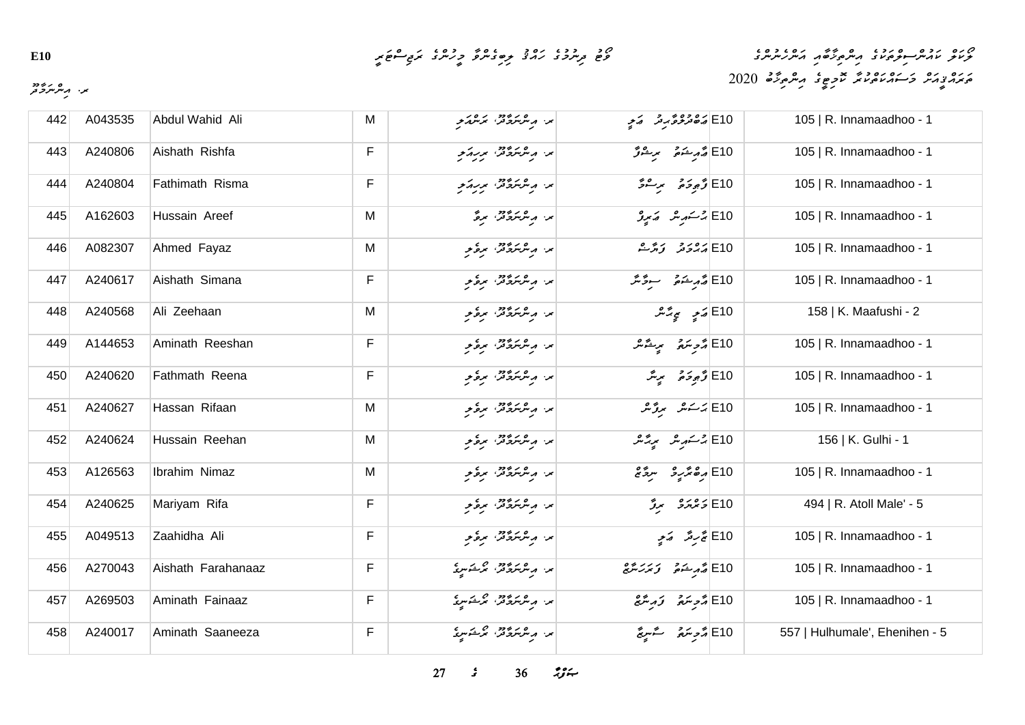*sCw7q7s5w7m< o<n9nOoAw7o< sCq;mAwBoEw7q<m; wBm;vB* م من المرة المرة المرة المرجع المرجع في المركبة 2020<br>مجم*د المريض المربوط المربع المرجع في المراجع المركبة* 

| <b>33 G S</b><br>ىر. برسرسرتر تر |  |
|----------------------------------|--|
|----------------------------------|--|

| 442 | A043535 | Abdul Wahid Ali    | M           | أين أرتكر مؤثر المحامد المراجع | E10   رَەترىۋە برىتر       رَمِي    | 105   R. Innamaadhoo - 1       |
|-----|---------|--------------------|-------------|--------------------------------|-------------------------------------|--------------------------------|
| 443 | A240806 | Aishath Rishfa     | F           | بر ریگر کرده برند              | E10 مَگْرِسْتَمْ مِنْ مِشْرَ        | 105   R. Innamaadhoo - 1       |
| 444 | A240804 | Fathimath Risma    | $\mathsf F$ | برا ويكلكون برزونو             | E10 رَّجِوحَةُ مِ مِنْ مَحَّ        | 105   R. Innamaadhoo - 1       |
| 445 | A162603 | Hussain Areef      | M           | أين أبا الرسودي المراكز        | E10 پرڪوپر ڪيور                     | 105   R. Innamaadhoo - 1       |
| 446 | A082307 | Ahmed Fayaz        | M           | بر ، مرتكز قراء بروكر          | E10 كەيرى قىر ئەرگەنتىر             | 105   R. Innamaadhoo - 1       |
| 447 | A240617 | Aishath Simana     | $\mathsf F$ | ىر. مەشكەقلار بىرەگىر          | E10 مَەرِيْتَمْ مِنْ سِرمَّة مَّد   | 105   R. Innamaadhoo - 1       |
| 448 | A240568 | Ali Zeehaan        | M           | بر ریگر کرده برگرم             | E10 کی پی پی ش                      | 158   K. Maafushi - 2          |
| 449 | A144653 | Aminath Reeshan    | $\mathsf F$ | بر ، مرتكز قراء بروكر          | E10 مَّ حِسَمَ مِيشَمَّر            | 105   R. Innamaadhoo - 1       |
| 450 | A240620 | Fathmath Reena     | F           | ىن مەسكىلاتىق بىرغام           | E10 <i>ؤوخو م</i> ېتر               | 105   R. Innamaadhoo - 1       |
| 451 | A240627 | Hassan Rifaan      | M           | بر ریگر کرده برگرم             | E10   يَرْسَسْ مِرَدَّسْ            | 105   R. Innamaadhoo - 1       |
| 452 | A240624 | Hussain Reehan     | M           | ىر. مەشكەقلار بىرەگىر          | E10 پرڪيريش سرپر س                  | 156   K. Gulhi - 1             |
| 453 | A126563 | Ibrahim Nimaz      | M           | بر ریگریزده بروگر              | E10 م <i>وڭ مگرچ</i> سر <i>گ</i> رچ | 105   R. Innamaadhoo - 1       |
| 454 | A240625 | Mariyam Rifa       | $\mathsf F$ | ىر. مەسكىلاتىق بىرغام          | E10 كەنگەنى ئىس                     | 494   R. Atoll Male' - 5       |
| 455 | A049513 | Zaahidha Ali       | F           | بر ، مرتكز قراء بروكر          | E10 كچ پەنتىر كەمچ                  | 105   R. Innamaadhoo - 1       |
| 456 | A270043 | Aishath Farahanaaz | $\mathsf F$ | بر رسر مردود مرشوم             | E10 مەم ئىقق ق <i>ىمىز ئىرى</i> ج   | 105   R. Innamaadhoo - 1       |
| 457 | A269503 | Aminath Fainaaz    | $\mathsf F$ | بر رسرسروی برخاس               | E10 مَّ <i>جِسَمَۃ وَم</i> ِسَّمَّة | 105   R. Innamaadhoo - 1       |
| 458 | A240017 | Aminath Saaneeza   | F           | بر رسر دور مرشور               | E10 أُمُّ حِسَمٌ مُسَمَّسٍ مُّ      | 557   Hulhumale', Ehenihen - 5 |

*27 sC 36 nNw?mS*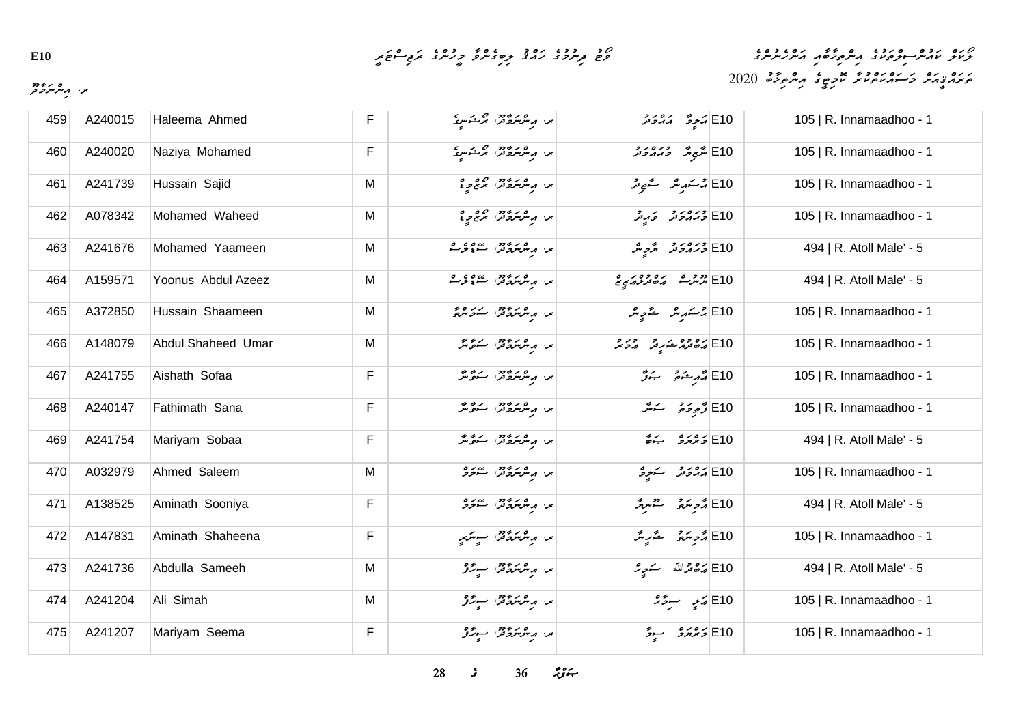*sCw7q7s5w7m< o<n9nOoAw7o< sCq;mAwBoEw7q<m; wBm;vB* م من المرة المرة المرة المرجع المرجع في المركبة 2020<br>مجم*د المريض المربوط المربع المرجع في المراجع المركبة* 

| <b>33 G S</b><br>ىر. برسرسرچەر |
|--------------------------------|
|--------------------------------|

| 459 | A240015 | Haleema Ahmed             | $\mathsf F$ | بر ریرسروی کرشوس          | E10  تر <i>وِدَّة المُدْوَدَّة</i>       | 105   R. Innamaadhoo - 1 |
|-----|---------|---------------------------|-------------|---------------------------|------------------------------------------|--------------------------|
| 460 | A240020 | Naziya Mohamed            | F           | بر رسر مردود مرشوس        | E10 سَّمِيمَد حَمَدَ حَمَد               | 105   R. Innamaadhoo - 1 |
| 461 | A241739 | Hussain Sajid             | M           | بر رعبر مردود می و ه      | E10 پڑےمبربٹر سگھی تھر                   | 105   R. Innamaadhoo - 1 |
| 462 | A078342 | Mohamed Waheed            | M           | بر ، مرسر پروه ه ه ه ه    | E10 <i>\$ بَرُدْدُوتْرِ كَبِ</i> رِتْر   | 105   R. Innamaadhoo - 1 |
| 463 | A241676 | Mohamed Yaameen           | M           | بر رسر مردود در دول و     | E10  <i>وټرونو پر چې</i> ر               | 494   R. Atoll Male' - 5 |
| 464 | A159571 | Yoonus Abdul Azeez        | M           | بر رسر مردود در دول و     | E10 ترىر مەھەر <i>ۈم ي</i>               | 494   R. Atoll Male' - 5 |
| 465 | A372850 | Hussain Shaameen          | M           | بر رسر دود. دره د         | E10 پرڪيريش ڪ <sub>ي</sub> وچين          | 105   R. Innamaadhoo - 1 |
| 466 | A148079 | <b>Abdul Shaheed Umar</b> | M           | بر ، مرسر دود. کوه شو     | E10 كەھەر مەرقىر بەر قىمىز               | 105   R. Innamaadhoo - 1 |
| 467 | A241755 | Aishath Sofaa             | F           | بر رەربۇرى سوتر           | E10 مَّەمِسْتَمَّى سَنَرَّ               | 105   R. Innamaadhoo - 1 |
| 468 | A240147 | Fathimath Sana            | F           | بر ، مرسروی کوی           | E10 گۇجوڭمۇ سىگىر                        | 105   R. Innamaadhoo - 1 |
| 469 | A241754 | Mariyam Sobaa             | F           | بر ، مرسر دور کرده        | E10 كەبەر ئەرىپە                         | 494   R. Atoll Male' - 5 |
| 470 | A032979 | Ahmed Saleem              | M           |                           | E10 كەندى قىلى سىمبورى                   | 105   R. Innamaadhoo - 1 |
| 471 | A138525 | Aminath Sooniya           | F           | بر پ <i>ر مربوده</i> عدده | E10 مُرْحِبَتِهُ مُسْتَسِيَّرُ           | 494   R. Atoll Male' - 5 |
| 472 | A147831 | Aminath Shaheena          | F           | ىر. مەسكىگەن سوسكىر       | E10 مَّ حِسَمَ <sub>ّة مَ</sub> شَرِسَّر | 105   R. Innamaadhoo - 1 |
| 473 | A241736 | Abdulla Sameeh            | M           | ىر. مەسكىگەن سوڭرى        | E10 مَەھْتَراللە سَمَوِرْ                | 494   R. Atoll Male' - 5 |
| 474 | A241204 | Ali Simah                 | M           | ىر. مەسكەنچەش سەرجۇ       | E10 کی سوگ                               | 105   R. Innamaadhoo - 1 |
| 475 | A241207 | Mariyam Seema             | F           | ىر. مەشكەنىڭ سوڭۇ         | E10 كىمىدى سىرىتى                        | 105   R. Innamaadhoo - 1 |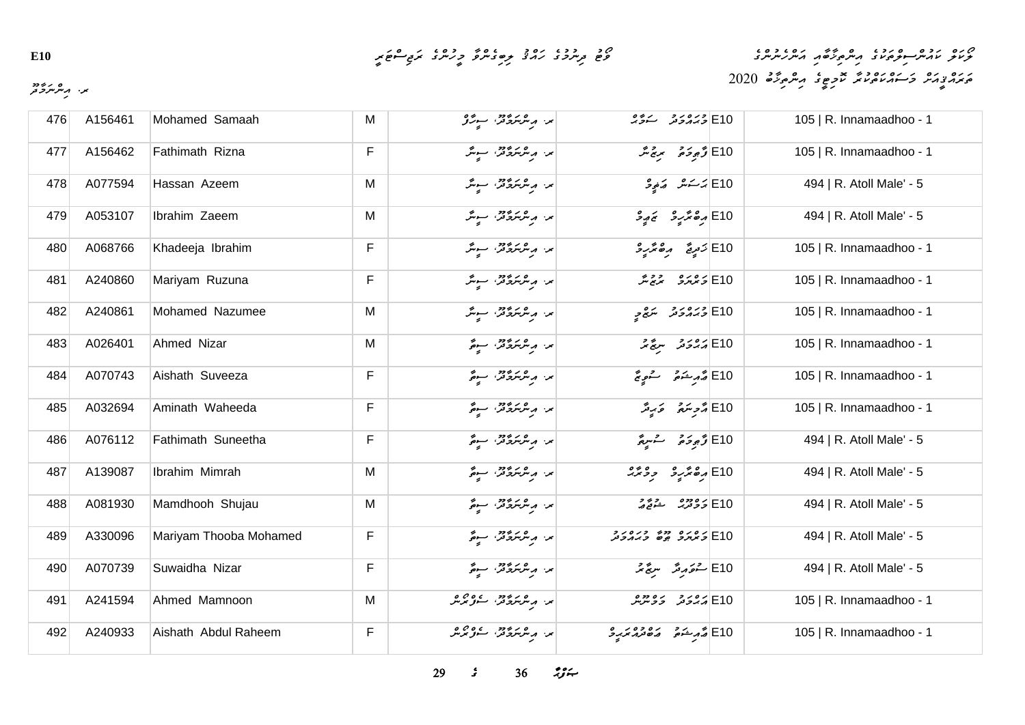*sCw7q7s5w7m< o<n9nOoAw7o< sCq;mAwBoEw7q<m; wBm;vB* م من المرة المرة المرة المرجع المرجع في المركبة 2020<br>مجم*د المريض المربوط المربع المرجع في المراجع المركبة* 

| <b>33 G S</b><br>بر. برسرسر و در |  |
|----------------------------------|--|
|----------------------------------|--|

| 476 | A156461 | Mohamed Samaah         | M            | ىر. مەھەردە بەرگەر                   | E10 دېم ديځي شوکړي E10                                                                               | 105   R. Innamaadhoo - 1 |
|-----|---------|------------------------|--------------|--------------------------------------|------------------------------------------------------------------------------------------------------|--------------------------|
| 477 | A156462 | Fathimath Rizna        | F            | ىن مەشرىردە بەسىر                    | E10 رَّج <i>وحَةُ</i> بِرِجْتَرَ                                                                     | 105   R. Innamaadhoo - 1 |
| 478 | A077594 | Hassan Azeem           | M            | ىن مەشكەقتى سوس                      | E10 يَرْسَسْ كَمَنْ مِيْرَة الْمَسْتَقْ                                                              | 494   R. Atoll Male' - 5 |
| 479 | A053107 | Ibrahim Zaeem          | M            | ىن مەشكەقتى سونىگە                   | E10 مەھمىر تىم يەقى                                                                                  | 494   R. Atoll Male' - 5 |
| 480 | A068766 | Khadeeja Ibrahim       | $\mathsf F$  | ىن مەشرىرى بىر                       | E10 كَتَعِيقٌ مِنْ صُحَّرٍ فِي الْمَسْتَخَرِ مِنْ الْمُسْتَخَرِ مِنْ الْمُسْتَخَرِ مِنْ الْمُسْتَخَر | 105   R. Innamaadhoo - 1 |
| 481 | A240860 | Mariyam Ruzuna         | $\mathsf F$  | ىر. مەشرىردىق سوس                    | E10 كەبەر بەر يەتەنگە                                                                                | 105   R. Innamaadhoo - 1 |
| 482 | A240861 | Mohamed Nazumee        | M            | أبر. وبالكريز فرانس سوبگر            | E10 <i>\$22 كەنى</i> ر بىر ئىستى ئىر                                                                 | 105   R. Innamaadhoo - 1 |
| 483 | A026401 | Ahmed Nizar            | M            | ىن مەسكىترگەن سوڭر                   | E10 كەندى كەر سېنى ئىر                                                                               | 105   R. Innamaadhoo - 1 |
| 484 | A070743 | Aishath Suveeza        | F            | ىن مەسكىتى قىلى سوق                  | E10 مَگْرِسْتَمْ مُتَّ مِيَّ                                                                         | 105   R. Innamaadhoo - 1 |
| 485 | A032694 | Aminath Waheeda        | $\mathsf{F}$ | ىر. مەسكىرى ئىلىمى سىر               | E10 مَّ صِنَّعَهُ – حَ سِنَّدَ                                                                       | 105   R. Innamaadhoo - 1 |
| 486 | A076112 | Fathimath Suneetha     | $\mathsf F$  | ىر. مەشكەقتى، سوقە                   | E10 گۇج <sub>و</sub> چە ئەسىرىگە                                                                     | 494   R. Atoll Male' - 5 |
| 487 | A139087 | Ibrahim Mimrah         | M            | ىر. مەشكەقتى سوق                     | E10 <sub>مر</sub> ھ <i>مگردی ج</i> و <i>مگ</i> ر                                                     | 494   R. Atoll Male' - 5 |
| 488 | A081930 | Mamdhooh Shujau        | M            | ىر. مەسكىر ئەتقى سوق                 | E10 كروفرچ مش <i>هق</i> پر                                                                           | 494   R. Atoll Male' - 5 |
| 489 | A330096 | Mariyam Thooba Mohamed | $\mathsf F$  | ىن مەسكىتى قىلى سوق                  | E10 كرمرو موقع وبرورو                                                                                | 494   R. Atoll Male' - 5 |
| 490 | A070739 | Suwaidha Nizar         | F            | ىن مەسكىترگەن سوڭر                   | E10 سنوَرِمَّد سِيَّ مُر                                                                             | 494   R. Atoll Male' - 5 |
| 491 | A241594 | Ahmed Mamnoon          | M            | بر رسر دور ۵۵۵۰                      | E10 كەبروتر كەن ئۇيترىتر                                                                             | 105   R. Innamaadhoo - 1 |
| 492 | A240933 | Aishath Abdul Raheem   | F            | بر ریربرد و وړه<br>بر ریربردن سرتربر | E10 مەم شەرق مەھ <i>ەرمىدى</i>                                                                       | 105   R. Innamaadhoo - 1 |

**29** *s* 36 *if* $\frac{1}{2}$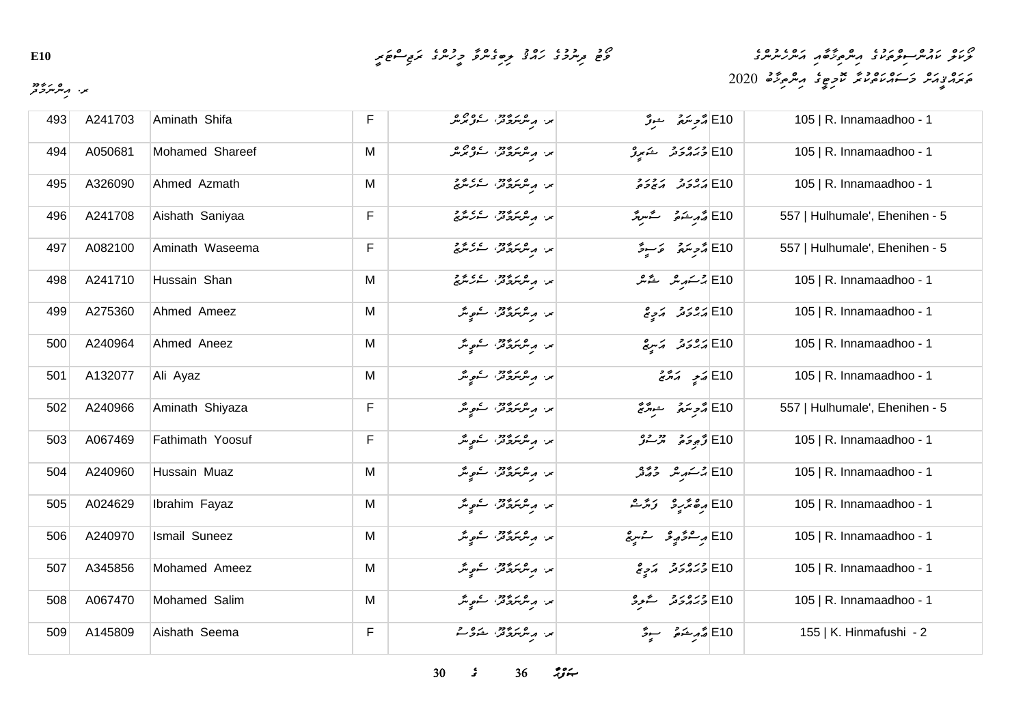*sCw7q7s5w7m< o<n9nOoAw7o< sCq;mAwBoEw7q<m; wBm;vB* م من المرة المرة المرة المرجع المراجع المراجع المراجع المراجع المراجع المراجع المراجع المراجع المراجع المراجع<br>مرين المراجع المراجع المرجع المراجع المراجع المراجع المراجع المراجع المراجع المراجع المراجع المراجع المراجع ال

| <b>33 G S</b><br>ىر. برسرسرتر تە |  |
|----------------------------------|--|
|----------------------------------|--|

| 493 | A241703 | Aminath Shifa    | F           | بر به شریده و ۵۵۵۵<br>بر به شریدوس سومرس | E10 مَرْحِ سَمَّةَ مَسْوَرٌ              | 105   R. Innamaadhoo - 1       |
|-----|---------|------------------|-------------|------------------------------------------|------------------------------------------|--------------------------------|
| 494 | A050681 | Mohamed Shareef  | M           | بر پرس دوره ده ۵۵۵۵<br>بر پرس دوس        | E10 <i>\$ پَرُوُدَوَ مَدْ مِدَوْ</i>     | 105   R. Innamaadhoo - 1       |
| 495 | A326090 | Ahmed Azmath     | M           |                                          | E10 كەبروتىر كەنبەدە ئ                   | 105   R. Innamaadhoo - 1       |
| 496 | A241708 | Aishath Saniyaa  | $\mathsf F$ | بر ار مردود در داد و                     | E10 مَدْمِرْ مَنْهُمْ مَسْتَمَسِيَّر     | 557   Hulhumale', Ehenihen - 5 |
| 497 | A082100 | Aminath Waseema  | F           | ת מיתותכתי המינית.<br>ת מיתותכתי התייתה  | E10 مَّ مِ سَمَّةٍ مَ سَمَّةٍ            | 557   Hulhumale', Ehenihen - 5 |
| 498 | A241710 | Hussain Shan     | M           | بر . د سرسرو در الماد و د                | E10 پر <i>کے پہ</i> شہر مش               | 105   R. Innamaadhoo - 1       |
| 499 | A275360 | Ahmed Ameez      | M           | ىر. مەسىر ئەققى، سىرى ئىگە               | E10 كەندى قىرىقى قى                      | 105   R. Innamaadhoo - 1       |
| 500 | A240964 | Ahmed Aneez      | M           | ىر. مەسىر ئەققى، سىرى ئىگە               | E10 كەندى قىر كەرىپ                      | 105   R. Innamaadhoo - 1       |
| 501 | A132077 | Ali Ayaz         | M           | ىر. مەس ئەق ئەھمەتگە                     | E10 که په ډگريزي                         | 105   R. Innamaadhoo - 1       |
| 502 | A240966 | Aminath Shiyaza  | $\mathsf F$ | ىر. مەس كەفتۇ، سەھ ئىگە                  | E10 أَمُّ حِبَّرَةٌ مُسْتَخَبَّرَةٌ مِنْ | 557   Hulhumale', Ehenihen - 5 |
| 503 | A067469 | Fathimath Yoosuf | $\mathsf F$ | ىر. مەسىر ئەقتى سىمولىگە                 | E10 زُ <sub>جو</sub> دَ ۾ مرڪز           | 105   R. Innamaadhoo - 1       |
| 504 | A240960 | Hussain Muaz     | M           | ىر. مەسىر ئەققى، سىرى ئىگە               | E10 يُرْسَمهِ بْلْ مَحْدَثْرِ            | $105$   R. Innamaadhoo - 1     |
| 505 | A024629 | Ibrahim Fayaz    | M           | بر په مربوده کورگر                       | E10 مەھەردى ئەرمىشە                      | 105   R. Innamaadhoo - 1       |
| 506 | A240970 | Ismail Suneez    | M           | ىر. مەسىر ئەقتى، سىمو ئىگە               | E10 مرڪو <i>ڻ ۾ جي س</i> مبر             | 105   R. Innamaadhoo - 1       |
| 507 | A345856 | Mohamed Ameez    | M           | ىر. مەسىر ئەقتى سىمولىگە                 | E10 <i>\$32,23</i> مَر <sub>َ</sub> حِ ج | 105   R. Innamaadhoo - 1       |
| 508 | A067470 | Mohamed Salim    | M           | ىر. مەسىر ئەققى، سىمو ئىگە               | E10] <i>5223 قرقى ست</i> مور             | 105   R. Innamaadhoo - 1       |
| 509 | A145809 | Aishath Seema    | F           | ىر. مەسكەن ئەرەب                         | E10 مُ مِشَمَّ بِعَثَّرِ                 | 155   K. Hinmafushi - 2        |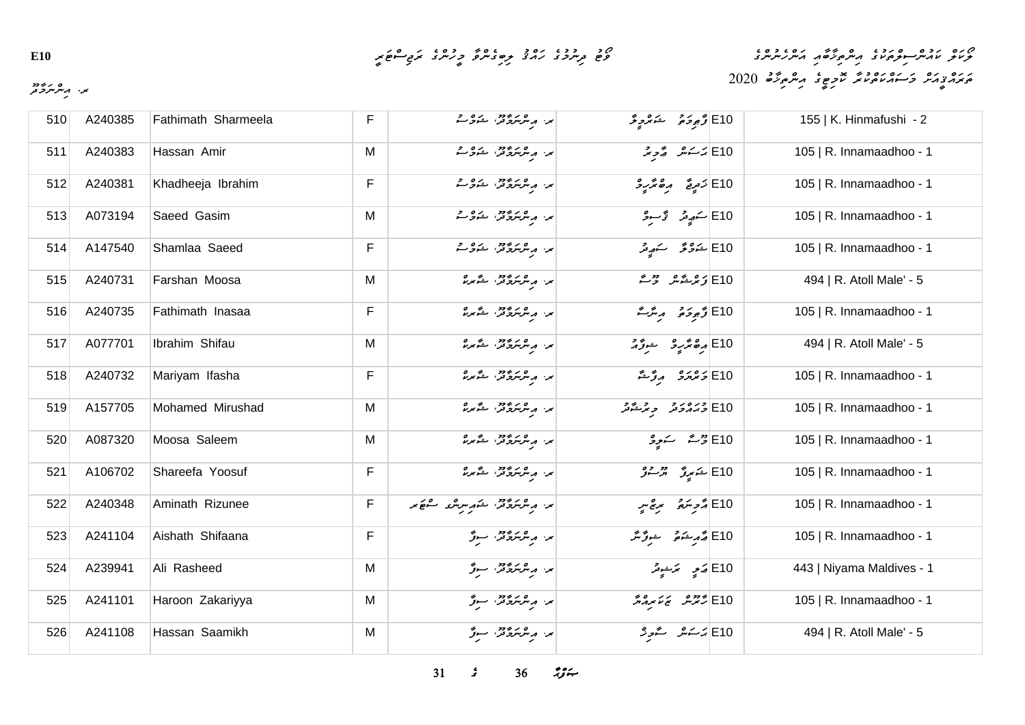*sCw7q7s5w7m< o<n9nOoAw7o< sCq;mAwBoEw7q<m; wBm;vB* م من المرة المرة المرة المرجع المراجع المراجع المراجع المراجع المراجع المراجع المراجع المراجع المراجع المراجع<br>مرين المراجع المراجع المرجع المراجع المراجع المراجع المراجع المراجع المراجع المراجع المراجع المراجع المراجع ال

| <b>33 G S</b><br>ىر. برسرسرچەر |
|--------------------------------|
|--------------------------------|

| 510 | A240385 | Fathimath Sharmeela | $\mathsf F$ | ىر. مەس كەن ئەرەب       | E10 تَ <i>وْجِوَة</i> شَعْرُوِيَّةَ       | 155   K. Hinmafushi - 2   |
|-----|---------|---------------------|-------------|-------------------------|-------------------------------------------|---------------------------|
| 511 | A240383 | Hassan Amir         | M           | ىر بەس كەن ئەرەب        | E10   پرسترس م <i>ح</i> می تر             | 105   R. Innamaadhoo - 1  |
| 512 | A240381 | Khadheeja Ibrahim   | F           | ىر بەس كەن ئەرەب        | E10 كَتَبِيعٌ – مِرْهُ مُدْرِدٌ           | 105   R. Innamaadhoo - 1  |
| 513 | A073194 | Saeed Gasim         | M           | ىر. مەسكىگەنى ئەرەب     | E10 ڪن <i>ي پڻ ٿڙ-يو</i> گر               | 105   R. Innamaadhoo - 1  |
| 514 | A147540 | Shamlaa Saeed       | F           | ىر. مەسكەت ئىسى ئە      |                                           | 105   R. Innamaadhoo - 1  |
| 515 | A240731 | Farshan Moosa       | M           | ىن مەسكىرى ئىسىمى       | E10 كَرْمْشْمْر حْ شْ                     | 494   R. Atoll Male' - 5  |
| 516 | A240735 | Fathimath Inasaa    | F           | ىن مەسكىلاتى ئىشمەر     | E10 تۇمومۇم بېرىشە                        | 105   R. Innamaadhoo - 1  |
| 517 | A077701 | Ibrahim Shifau      | M           | ىن مەسكىلات شەرى        | E10 مەھەر بەر ئىس <i>ەر ئە</i>            | 494   R. Atoll Male' - 5  |
| 518 | A240732 | Mariyam Ifasha      | F           | ىن مەسكىلات شىر         | E10 كەنگەنى مەرگىشە                       | 105   R. Innamaadhoo - 1  |
| 519 | A157705 | Mohamed Mirushad    | M           | ىر. مەشكە ئەرە          | E10  <i>وَيَرْوُوَتْنَ</i> وِيُرْشُرْتُرُ | 105   R. Innamaadhoo - 1  |
| 520 | A087320 | Moosa Saleem        | M           | ىن مەسكىلاتى ئىشمەر     | E10 جيءُ ستعرِءُ                          | 105   R. Innamaadhoo - 1  |
| 521 | A106702 | Shareefa Yoosuf     | F           | ىن مەسكىلاتى ئىشمەر     | E10 ڪيپوگر مرڪو                           | 105   R. Innamaadhoo - 1  |
| 522 | A240348 | Aminath Rizunee     | $\mathsf F$ | من وصرح و شهر سرها سعيد | E10 أُمُّ حِسَمُ مِنْ مِنْ مِنْ           | 105   R. Innamaadhoo - 1  |
| 523 | A241104 | Aishath Shifaana    | F           | ىر. مەشكەقتى، سوڭر      | E10 مَگْرِمِسْتَمْ مُسْتَوَكِّدً          | 105   R. Innamaadhoo - 1  |
| 524 | A239941 | Ali Rasheed         | M           | ىر. مەسكىتى قىلى سوڭر   | E10 كەي - ئەنسونى <i>گ</i>                | 443   Niyama Maldives - 1 |
| 525 | A241101 | Haroon Zakariyya    | M           | ىر. مەسكىتى قىلى سوڭر   | E10 ترترينز تم مرمر مر                    | 105   R. Innamaadhoo - 1  |
| 526 | A241108 | Hassan Saamikh      | M           | ىر. مەشكەنچە سوڭر       | E10   پزشکر گے و <sup>9</sup>             | 494   R. Atoll Male' - 5  |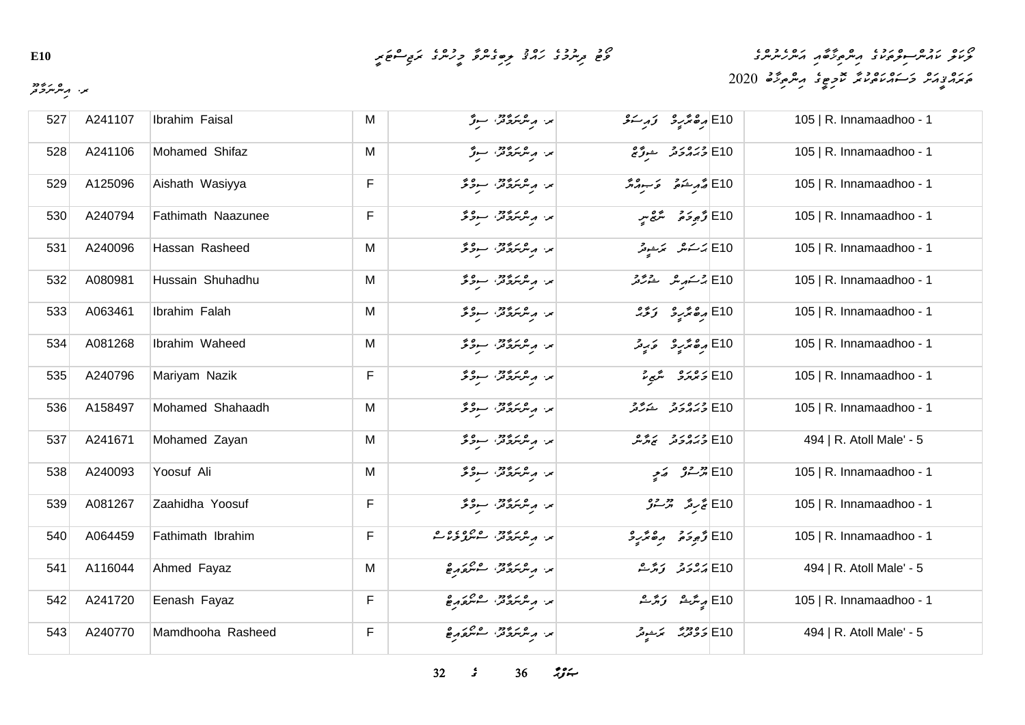*sCw7q7s5w7m< o<n9nOoAw7o< sCq;mAwBoEw7q<m; wBm;vB* م من المرة المرة المرة المرجع المراجع المراجع المراجع المراجع المراجع المراجع المراجع المراجع المراجع المراجع<br>مرين المراجع المراجع المرجع المراجع المراجع المراجع المراجع المراجع المراجع المراجع المراجع المراجع المراجع ال

| بر. <sub>م</sub> یریزود<br>بر. میر <i>یزو</i> د |         |                    |   |
|-------------------------------------------------|---------|--------------------|---|
| 527                                             | A241107 | Ibrahim Faisal     | М |
| 528                                             | A241106 | Mohamed Shifaz     | M |
| 529                                             | A125096 | Aishath Wasiyya    | F |
| 530                                             | A240794 | Fathimath Naazunee | F |
| 531                                             | A240096 | Hassan Rasheed     | M |
| 532                                             | A080981 | Hussain Shuhadhu   | M |
| 533                                             | A063461 | Ibrahim Falah      | M |
| 534                                             | A081268 | Ibrahim Waheed     | M |
|                                                 |         |                    |   |

| 527 | A241107 | Ibrahim Faisal     | м | ىر. مەشرىكرى سوڭر      | E10 مەھەمگەر قىم ئىكرىمىتىلىكى ئىس       | $105$   R. Innamaadhoo - 1 |
|-----|---------|--------------------|---|------------------------|------------------------------------------|----------------------------|
| 528 | A241106 | Mohamed Shifaz     | M | ىر. مەشكەقتى، سوڭر     | E10 <i>\$ بَهُمْ دَمَّرٌ</i> مُسْبَوَّجٌ | 105   R. Innamaadhoo - 1   |
| 529 | A125096 | Aishath Wasiyya    | F | ىر. مەس ئەقرى سوۋى     | E10 مَّەرِسْمَةً كَسِيْهُمَّ             | 105   R. Innamaadhoo - 1   |
| 530 | A240794 | Fathimath Naazunee | F | بر. مەسىر ئەدە سىرىگى  | E10 تۇموخۇ مەممىھىيە                     | 105   R. Innamaadhoo - 1   |
| 531 | A240096 | Hassan Rasheed     | M | بر رسر مردود سوژگر     | E10 پزشکر کرجوٹر                         | 105   R. Innamaadhoo - 1   |
| 532 | A080981 | Hussain Shuhadhu   | M | بر ، مرسر دور ، سوفر ش | E10 پڑےمبربٹر ہے جگہ تھ                  | 105   R. Innamaadhoo - 1   |
| 533 | A063461 | Ibrahim Falah      | M | ىر. مەس ئەقرى سەۋىۋ    | E10 مەھەرى كەنى ئى                       | 105   R. Innamaadhoo - 1   |
| 534 | A081268 | Ibrahim Waheed     | M | بر ، مرسر دور ، سوفر ش | E10 م <i>وڭ ئۇر</i> ۇ ھەرىمە             | 105   R. Innamaadhoo - 1   |
| 535 | A240796 | Mariyam Nazik      | F | ىر. مەس ئەقرى سەۋىۋ    | E10 كەنگەر ئىگى بىر ئىگەنىي ئى           | 105   R. Innamaadhoo - 1   |
| 536 | A158497 | Mohamed Shahaadh   | M | بر ، مرسر دور ، سوفر ش | E10 دُيرورو شرگرمر                       | 105   R. Innamaadhoo - 1   |
| 537 | A241671 | Mohamed Zayan      | M | ىر. مەس ئەقرى سوۋى     | E10 <i>\$نەۋەتى بى ئەن</i>               | 494   R. Atoll Male' - 5   |
| 538 | A240093 | Yoosuf Ali         | M | بر ، مرسر دور ، سوفر ش | E10 پر قسمبر کر <sub>م</sub> بر          | 105   R. Innamaadhoo - 1   |
| 539 | A081267 | Zaahidha Yoosuf    | F | ىر. مەشرىرى سوۋۇ       | E10 تج بەنتە تەشتەتى                     | 105   R. Innamaadhoo - 1   |
| 540 | A064459 | Fathimath Ibrahim  | F | ى مەر بولى سىرو ئەر    | E10 گەچ ئەھمە مەھەمگە پەنج               | 105   R. Innamaadhoo - 1   |
| 541 | A116044 | Ahmed Fayaz        | M | بر مرسود والمره        | E10 كەبرى تەڭرىشە                        | 494   R. Atoll Male' - 5   |
| 542 | A241720 | Eenash Fayaz       | F | بر مرسر ودو ومره       | E10 <sub>مو</sub> سَّرْتْ زَبَّرْتْہ     | 105   R. Innamaadhoo - 1   |
| 543 | A240770 | Mamdhooha Rasheed  | F | بر مرسر ودو ومره       | E10 كەنتىر كىمى مىزىدىم                  | 494   R. Atoll Male' - 5   |
|     |         |                    |   |                        |                                          |                            |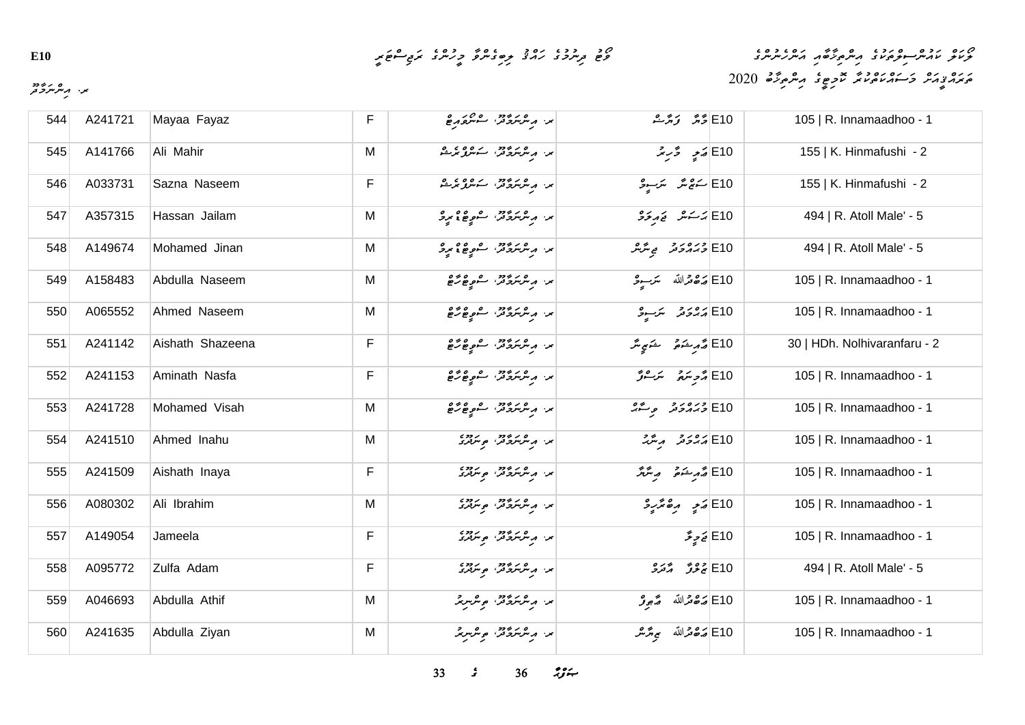*sCw7q7s5w7m< o<n9nOoAw7o< sCq;mAwBoEw7q<m; wBm;vB* م من المرة المرة المرة المرجع المراجع المراجع المراجع المراجع المراجع المراجع المراجع المراجع المراجع المراجع<br>مرين المراجع المراجع المرجع المراجع المراجع المراجع المراجع المراجع المراجع المراجع المراجع المراجع المراجع ال

| 544 | A241721 | Mayaa Fayaz      | F | مر مرسر ودو ده در ه                                  | E10 مَحْدَّرُ وَتَرْتَدُ                | 105   R. Innamaadhoo - 1     |
|-----|---------|------------------|---|------------------------------------------------------|-----------------------------------------|------------------------------|
| 545 | A141766 | Ali Mahir        | M | بر به مربود در ۲۵۵۰<br>بر به مربودن کشور برخو        | E10  رَمِ دَّرِيْرُ                     | 155   K. Hinmafushi - 2      |
| 546 | A033731 | Sazna Naseem     | F | ىر. مەشرىقلار سەھرىرىشى                              | E10 سَنَ چمگ سَرَسِ وَ ْ                | 155   K. Hinmafushi - 2      |
| 547 | A357315 | Hassan Jailam    | M | بر مشرح من معرفي المعرفي                             | E10   يَرْسَسْ فَقَصَرَ مَرْكَبَرْ \$   | 494   R. Atoll Male' - 5     |
| 548 | A149674 | Mohamed Jinan    | M | بر ریگریزده کشوره و د                                | E10 كەندۇ تەر ب <sub>و</sub> شرىر       | 494   R. Atoll Male' - 5     |
| 549 | A158483 | Abdulla Naseem   | M | بر به مربوده و موضح و                                | E10 كَەھەراللە مەسور                    | 105   R. Innamaadhoo - 1     |
| 550 | A065552 | Ahmed Naseem     | M | بر رسرسروس موضوع                                     | E10 كەيرى كىلى سىرسىدى ئىستىدى كىل      | 105   R. Innamaadhoo - 1     |
| 551 | A241142 | Aishath Shazeena | F | بر به مربوده و موضح                                  | E10 مَدْمِرْ مَدْمَرْ مَدْمَنِ مَدَّ    | 30   HDh. Nolhivaranfaru - 2 |
| 552 | A241153 | Aminath Nasfa    | F | بر به مربوده و موضح                                  | E10 مَّ حِسَمَةَ مَسَرَّسَ              | 105   R. Innamaadhoo - 1     |
| 553 | A241728 | Mohamed Visah    | M | بر مسر مردود و و ده                                  | E10 <i>\$222 وسَمَّة.</i>               | 105   R. Innamaadhoo - 1     |
| 554 | A241510 | Ahmed Inahu      | M | بر . مر سر سر در دو .<br>بر . مر سر سر شر می سر شر د | E10 كەبۇبۇقە بەي <i>گە</i> 2            | 105   R. Innamaadhoo - 1     |
| 555 | A241509 | Aishath Inaya    | F | بر . م. مربوع .<br>بر . م. مربوع تر . م. مربوری      | E10 مَدْمِسْمَعْ مِسَمَّدَ              | 105   R. Innamaadhoo - 1     |
| 556 | A080302 | Ali Ibrahim      | M | بر به مربوده به دود .<br>بر به مربودگر به مرفرد      | E10 <i>ھَجِ بِرھُن</i> گري <sup>و</sup> | 105   R. Innamaadhoo - 1     |
| 557 | A149054 | Jameela          | F | بر . مر سر بردد .<br>بر . مر سر سر تر . مر سر تر د   | E10 نے <sub>حی</sub> مً                 | 105   R. Innamaadhoo - 1     |
| 558 | A095772 | Zulfa Adam       | F | بر به مرکز ده بردد و<br>بر به مرکز در موس            | E10 يحوًو محترو                         | 494   R. Atoll Male' - 5     |
| 559 | A046693 | Abdulla Athif    | M | ىر. مەس ئۇقتۇ، مەس بىر                               | E10 مَەمْراللە مەم <u>و</u> ر           | 105   R. Innamaadhoo - 1     |
| 560 | A241635 | Abdulla Ziyan    | M | ىر. مەسىر ئۇقتۇ، مەس سىر                             | E10 كەڭ قىراللە     يوگرىش              | 105   R. Innamaadhoo - 1     |

*33 s* 36 *i*<sub>S</sub>

*r> ... م*ر *مرو*د<br>بر *... مر مر تر و*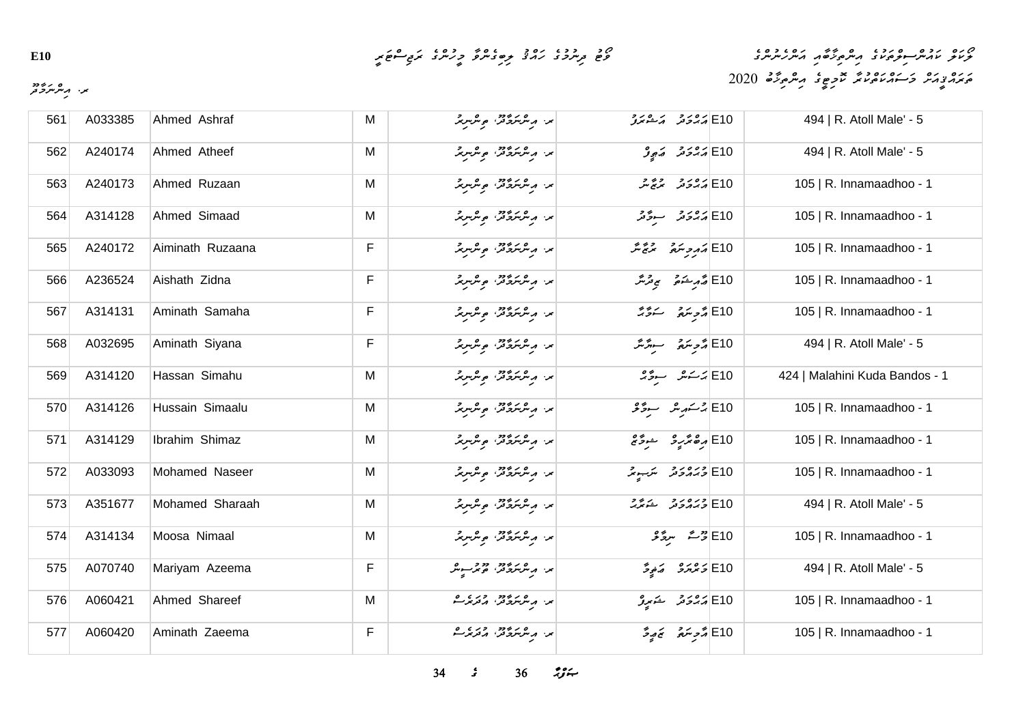*sCw7q7s5w7m< o<n9nOoAw7o< sCq;mAwBoEw7q<m; wBm;vB* م من المرة المرة المرة المرجع المراجع المراجع المراجع المراجع المراجع المراجع المراجع المراجع المراجع المراجع<br>مرين المراجع المراجع المرجع المراجع المراجع المراجع المراجع المراجع المراجع المراجع المراجع المراجع المراجع ال

| <b>33 G S</b><br>ىر. برسرسر تەر |  |  |
|---------------------------------|--|--|
|                                 |  |  |

| 561 | A033385 | Ahmed Ashraf     | M           | ىر. مەشرىردۇر. مەشرىر                 | E10 كەبرى قىر كەشلىرتى ئىشلىتىلىكى ئىستان ئىشلار 20 كىل                                                        | 494   R. Atoll Male' - 5       |
|-----|---------|------------------|-------------|---------------------------------------|----------------------------------------------------------------------------------------------------------------|--------------------------------|
| 562 | A240174 | Ahmed Atheef     | M           | بر ریرسردور ویرسربر                   | E10 كەندى قىر كەرگە بىر ئى                                                                                     | 494   R. Atoll Male' - 5       |
| 563 | A240173 | Ahmed Ruzaan     | M           | ىر. مەسىرگە ئۇس مەسىر بىر             | E10 كەبرى قىرىنى ئىر                                                                                           | 105   R. Innamaadhoo - 1       |
| 564 | A314128 | Ahmed Simaad     | M           | بر ریرسروی ویرسربر                    | E10 كەبرى كىرى سىرى ئىستىلىكى بىر كەنتىكە ئىستان ئىستان ئىستان ئىستان ئىستان ئىستان ئىستان ئىستان ئىستان ئىستا | 105   R. Innamaadhoo - 1       |
| 565 | A240172 | Aiminath Ruzaana | F           | بر ریرسروی ویرسربر                    | E10 أ <i>م أمر جرمة مستمريح م</i> تَر                                                                          | 105   R. Innamaadhoo - 1       |
| 566 | A236524 | Aishath Zidna    | F           | بر ریرسروی ویرسربر                    | E10 مۇمەيشىقى سى <i>مەمىگ</i> ە                                                                                | 105   R. Innamaadhoo - 1       |
| 567 | A314131 | Aminath Samaha   | $\mathsf F$ | بر ریرسروی ویرسربر                    | E10 مَّ جِسَعَةٍ سَوَّيْتَهِ                                                                                   | 105   R. Innamaadhoo - 1       |
| 568 | A032695 | Aminath Siyana   | F           | ىر. مەسىرگە ئۇس مەسىر بىر             | E10 مَرْحِبَتَهُ مِسِتَرَسَّرَ                                                                                 | 494   R. Atoll Male' - 5       |
| 569 | A314120 | Hassan Simahu    | M           | بر ریرسروی و سرسر                     | E10   پرسترس سبزمی                                                                                             | 424   Malahini Kuda Bandos - 1 |
| 570 | A314126 | Hussain Simaalu  | M           | بر ریرسروی ویرسربر                    | E10 پڑے پر شروع کی سر                                                                                          | 105   R. Innamaadhoo - 1       |
| 571 | A314129 | Ibrahim Shimaz   | M           | بر ریرسردو پرسربر                     | E10 م <i>وڭ مگرى</i> ھەدىج                                                                                     | 105   R. Innamaadhoo - 1       |
| 572 | A033093 | Mohamed Naseer   | M           | ىر. مەسىرگە ئۇس مۇسىرلىر              | E10 <i>\$نەۋى تىبى</i> ر                                                                                       | 105   R. Innamaadhoo - 1       |
| 573 | A351677 | Mohamed Sharaah  | M           | بر ریرسروی ویرسربر                    | E10 دُبَرْدُونْر شَعَرَبْرُ                                                                                    | 494   R. Atoll Male' - 5       |
| 574 | A314134 | Moosa Nimaal     | M           | بر ریرسروی و سرسر                     | E10 جُمْسَہ سِرَنَگو                                                                                           | 105   R. Innamaadhoo - 1       |
| 575 | A070740 | Mariyam Azeema   | F           | بر رسر مردود دوم<br>بر رسر مرکز میکرد | E10 كۈچر <i>ى ھەمچ</i> ۇ                                                                                       | 494   R. Atoll Male' - 5       |
| 576 | A060421 | Ahmed Shareef    | M           | بر به مربوده وری ه                    | E10 كەندى قىرىقىسى ئىستىدى كىتاب ئىستان ئىستان ئىستان ئىستان ئىستان ئىستان ئىستان ئىستان ئىستان ئىستان ئىستان  | 105   R. Innamaadhoo - 1       |
| 577 | A060420 | Aminath Zaeema   | F           | بر . مر سر در در در در د              | E10 مَّ <i>جِسَعَۃ پَنہ</i> ِ حَ                                                                               | 105   R. Innamaadhoo - 1       |

**34** *s* 36 *n***<sub>3</sub> <b>***n*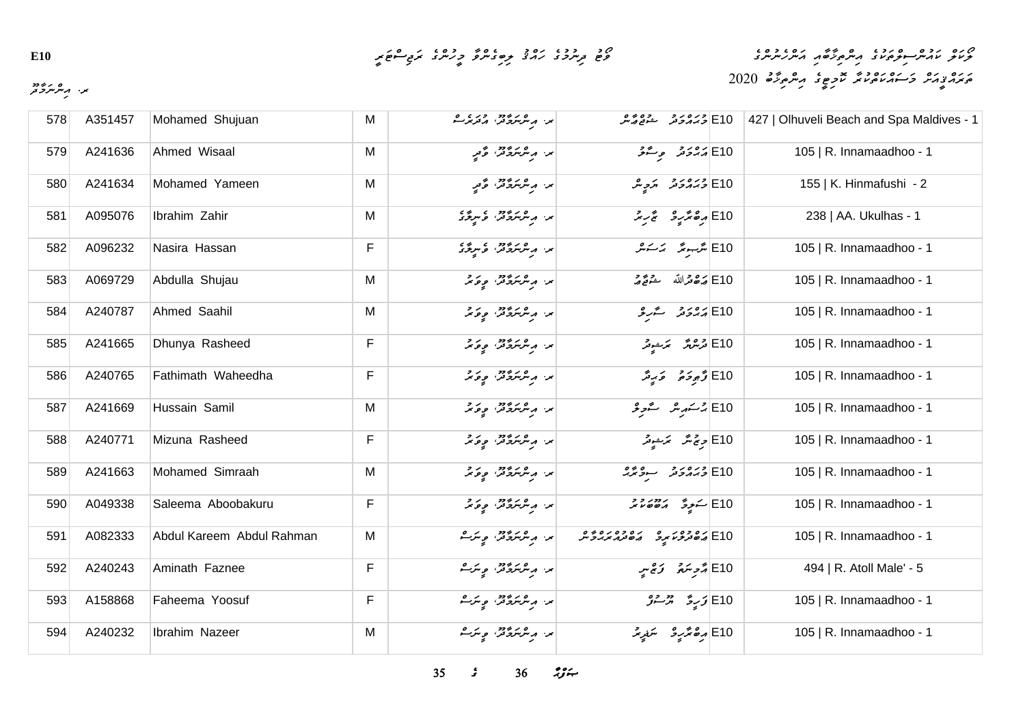*sCw7q7s5w7m< o<n9nOoAw7o< sCq;mAwBoEw7q<m; wBm;vB* م من المرة المرة المرة المرجع المراجع المراجع المراجع المراجع المراجع المراجع المراجع المراجع المراجع المراجع<br>مرين المراجع المراجع المرجع المراجع المراجع المراجع المراجع المراجع المراجع المراجع المراجع المراجع المراجع ال

| ىر. برسرسر تەر |
|----------------|
|----------------|

| 578 | A351457 | Mohamed Shujuan           | M           | بر به سرسرور ور با م             | /E10 3 <i>522 حقوق ش</i>               | 427   Olhuveli Beach and Spa Maldives - 1 |
|-----|---------|---------------------------|-------------|----------------------------------|----------------------------------------|-------------------------------------------|
| 579 | A241636 | Ahmed Wisaal              | M           | ىر. مەس ئەقرىقى، ئۇمر            | E10   كەش <sup>ى</sup> تىر ھەرسىگى     | 105   R. Innamaadhoo - 1                  |
| 580 | A241634 | Mohamed Yameen            | M           | ىر. مەس ئەقرىقى، ئۇمر            | E10 كەندى تەرەپىر                      | 155   K. Hinmafushi - 2                   |
| 581 | A095076 | Ibrahim Zahir             | M           | بر بەش <i>كەفتۇر ئەس گە</i>      | E10 م <i>وڭ ئۇرىق تارىتى</i>           | 238   AA. Ukulhas - 1                     |
| 582 | A096232 | Nasira Hassan             | F           | بر . م <i>ر مرکز ده ع مرگز</i> ک | E10 مگرسونٹر کرکٹر ک                   | 105   R. Innamaadhoo - 1                  |
| 583 | A069729 | Abdulla Shujau            | M           | بر ، مرسر الله عن الله عن الله   | E10 مَرْجَ مِّرْاللَّه شَعْقَ مَّ      | 105   R. Innamaadhoo - 1                  |
| 584 | A240787 | Ahmed Saahil              | M           | بر ریگر کرده و و کر              | E10 كەيرى ئىقرىقى سىمبرى               | 105   R. Innamaadhoo - 1                  |
| 585 | A241665 | Dhunya Rasheed            | F           | أبرا أرسر سرقرقرا أو وأبر        | E10 قرين ترجيز                         | 105   R. Innamaadhoo - 1                  |
| 586 | A240765 | Fathimath Waheedha        | F           | بر ریگر کرده و د کر              | E10 گەچەقە ھەرىگە                      | 105   R. Innamaadhoo - 1                  |
| 587 | A241669 | Hussain Samil             | M           | بر ریگر کرده و د کر              | E10 پڑے پہلا گے۔<br>ن                  | 105   R. Innamaadhoo - 1                  |
| 588 | A240771 | Mizuna Rasheed            | $\mathsf F$ | بر ریگر کرده و د کر              | E10 <sub>ح</sub> ويھ مگر ميون          | 105   R. Innamaadhoo - 1                  |
| 589 | A241663 | Mohamed Simraah           | M           | ىن مەشكەن بوقىل                  | E10 <i>\$ جاد محمد بيو مربور بير</i>   | 105   R. Innamaadhoo - 1                  |
| 590 | A049338 | Saleema Aboobakuru        | F           | بر ریرسر دور و و تر              | E10 سَعِرِةً مَصْحَمَّةً جَمَّ         | 105   R. Innamaadhoo - 1                  |
| 591 | A082333 | Abdul Kareem Abdul Rahman | M           | برا مرتكز مرتكز مرتكز على الرائع | 1020102010202010202020                 | 105   R. Innamaadhoo - 1                  |
| 592 | A240243 | Aminath Faznee            | $\mathsf F$ | ىر. مەسكەتتى، مەسك               | E10 مَرْحِ سَهْرِ وَمَحْ سِرِ          | 494   R. Atoll Male' - 5                  |
| 593 | A158868 | Faheema Yoosuf            | $\mathsf F$ | ىر. مەسكەتتى، مەسك               | E10 كۆرى ئەشقۇ                         | 105   R. Innamaadhoo - 1                  |
| 594 | A240232 | Ibrahim Nazeer            | M           | أبرا أبر مرتكزور المحمد والكرب   | E10 م <i>وڭ ئۇر</i> ئىستى <i>لى</i> گە | 105   R. Innamaadhoo - 1                  |